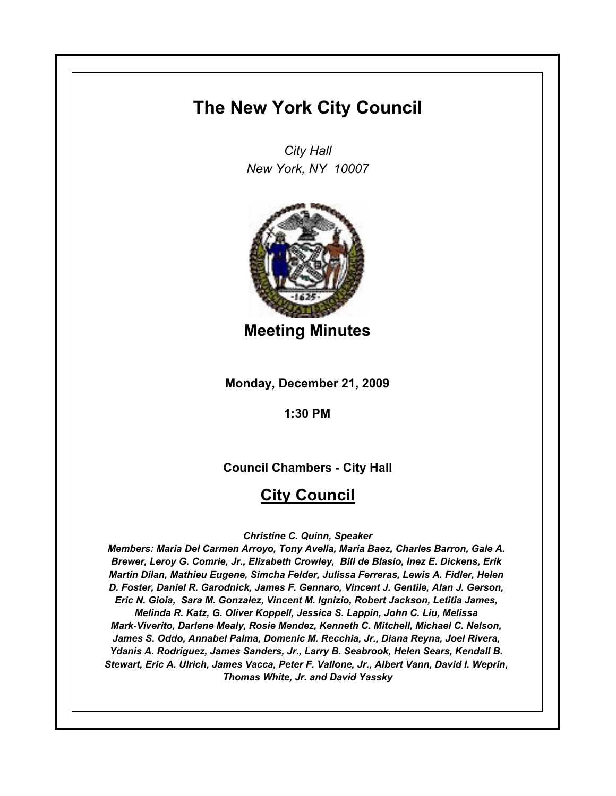# **The New York City Council**

*City Hall New York, NY 10007*



**Meeting Minutes**

**Monday, December 21, 2009**

**1:30 PM**

**Council Chambers - City Hall**

# **City Council**

*Christine C. Quinn, Speaker*

*Members: Maria Del Carmen Arroyo, Tony Avella, Maria Baez, Charles Barron, Gale A. Brewer, Leroy G. Comrie, Jr., Elizabeth Crowley, Bill de Blasio, Inez E. Dickens, Erik Martin Dilan, Mathieu Eugene, Simcha Felder, Julissa Ferreras, Lewis A. Fidler, Helen D. Foster, Daniel R. Garodnick, James F. Gennaro, Vincent J. Gentile, Alan J. Gerson, Eric N. Gioia, Sara M. Gonzalez, Vincent M. Ignizio, Robert Jackson, Letitia James, Melinda R. Katz, G. Oliver Koppell, Jessica S. Lappin, John C. Liu, Melissa Mark-Viverito, Darlene Mealy, Rosie Mendez, Kenneth C. Mitchell, Michael C. Nelson, James S. Oddo, Annabel Palma, Domenic M. Recchia, Jr., Diana Reyna, Joel Rivera, Ydanis A. Rodriguez, James Sanders, Jr., Larry B. Seabrook, Helen Sears, Kendall B. Stewart, Eric A. Ulrich, James Vacca, Peter F. Vallone, Jr., Albert Vann, David I. Weprin, Thomas White, Jr. and David Yassky*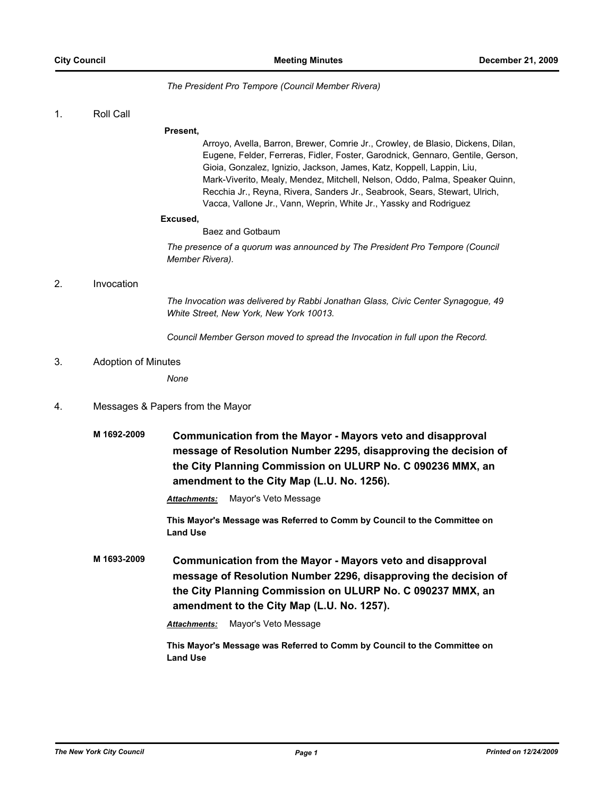#### *The President Pro Tempore (Council Member Rivera)*

#### 1. Roll Call

#### **Present,**

Arroyo, Avella, Barron, Brewer, Comrie Jr., Crowley, de Blasio, Dickens, Dilan, Eugene, Felder, Ferreras, Fidler, Foster, Garodnick, Gennaro, Gentile, Gerson, Gioia, Gonzalez, Ignizio, Jackson, James, Katz, Koppell, Lappin, Liu, Mark-Viverito, Mealy, Mendez, Mitchell, Nelson, Oddo, Palma, Speaker Quinn, Recchia Jr., Reyna, Rivera, Sanders Jr., Seabrook, Sears, Stewart, Ulrich, Vacca, Vallone Jr., Vann, Weprin, White Jr., Yassky and Rodriguez

#### **Excused,**

Baez and Gotbaum

*The presence of a quorum was announced by The President Pro Tempore (Council Member Rivera).*

#### 2. Invocation

*The Invocation was delivered by Rabbi Jonathan Glass, Civic Center Synagogue, 49 White Street, New York, New York 10013.*

*Council Member Gerson moved to spread the Invocation in full upon the Record.*

#### 3. Adoption of Minutes

*None*

#### 4. Messages & Papers from the Mayor

**M 1692-2009 Communication from the Mayor - Mayors veto and disapproval message of Resolution Number 2295, disapproving the decision of the City Planning Commission on ULURP No. C 090236 MMX, an amendment to the City Map (L.U. No. 1256).**

*Attachments:* Mayor's Veto Message

**This Mayor's Message was Referred to Comm by Council to the Committee on Land Use**

**M 1693-2009 Communication from the Mayor - Mayors veto and disapproval message of Resolution Number 2296, disapproving the decision of the City Planning Commission on ULURP No. C 090237 MMX, an amendment to the City Map (L.U. No. 1257).**

*Attachments:* Mayor's Veto Message

**This Mayor's Message was Referred to Comm by Council to the Committee on Land Use**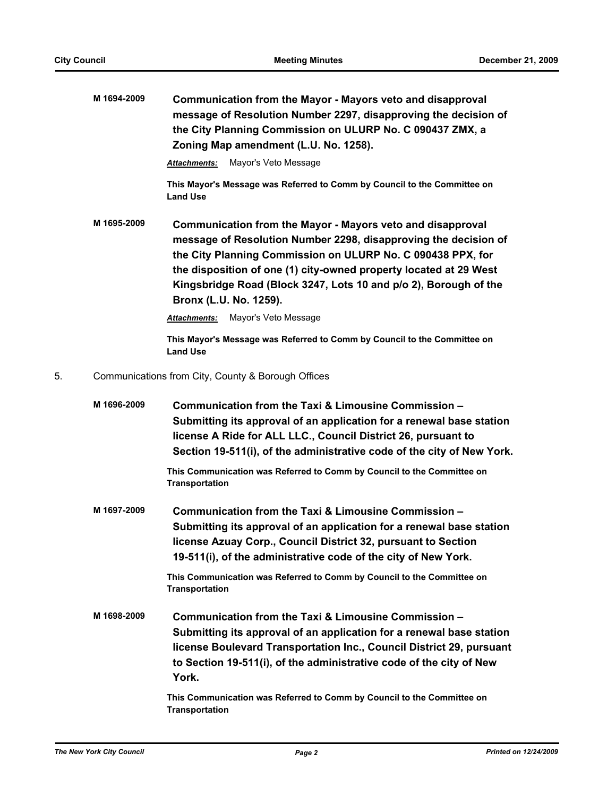|    | M 1694-2009 | Communication from the Mayor - Mayors veto and disapproval<br>message of Resolution Number 2297, disapproving the decision of<br>the City Planning Commission on ULURP No. C 090437 ZMX, a<br>Zoning Map amendment (L.U. No. 1258).                                                                                                                             |
|----|-------------|-----------------------------------------------------------------------------------------------------------------------------------------------------------------------------------------------------------------------------------------------------------------------------------------------------------------------------------------------------------------|
|    |             | Mayor's Veto Message<br>Attachments:                                                                                                                                                                                                                                                                                                                            |
|    |             | This Mayor's Message was Referred to Comm by Council to the Committee on<br><b>Land Use</b>                                                                                                                                                                                                                                                                     |
|    | M 1695-2009 | Communication from the Mayor - Mayors veto and disapproval<br>message of Resolution Number 2298, disapproving the decision of<br>the City Planning Commission on ULURP No. C 090438 PPX, for<br>the disposition of one (1) city-owned property located at 29 West<br>Kingsbridge Road (Block 3247, Lots 10 and p/o 2), Borough of the<br>Bronx (L.U. No. 1259). |
|    |             | Mayor's Veto Message<br>Attachments:                                                                                                                                                                                                                                                                                                                            |
|    |             | This Mayor's Message was Referred to Comm by Council to the Committee on<br><b>Land Use</b>                                                                                                                                                                                                                                                                     |
| 5. |             | Communications from City, County & Borough Offices                                                                                                                                                                                                                                                                                                              |
|    | M 1696-2009 | Communication from the Taxi & Limousine Commission -<br>Submitting its approval of an application for a renewal base station<br>license A Ride for ALL LLC., Council District 26, pursuant to<br>Section 19-511(i), of the administrative code of the city of New York.                                                                                         |
|    |             | This Communication was Referred to Comm by Council to the Committee on<br><b>Transportation</b>                                                                                                                                                                                                                                                                 |
|    | M 1697-2009 | Communication from the Taxi & Limousine Commission -<br>Submitting its approval of an application for a renewal base station<br>license Azuay Corp., Council District 32, pursuant to Section<br>19-511(i), of the administrative code of the city of New York.                                                                                                 |
|    |             | This Communication was Referred to Comm by Council to the Committee on<br><b>Transportation</b>                                                                                                                                                                                                                                                                 |
|    | M 1698-2009 | Communication from the Taxi & Limousine Commission -<br>Submitting its approval of an application for a renewal base station<br>license Boulevard Transportation Inc., Council District 29, pursuant<br>to Section 19-511(i), of the administrative code of the city of New<br>York.                                                                            |
|    |             | This Communication was Referred to Comm by Council to the Committee on<br><b>Transportation</b>                                                                                                                                                                                                                                                                 |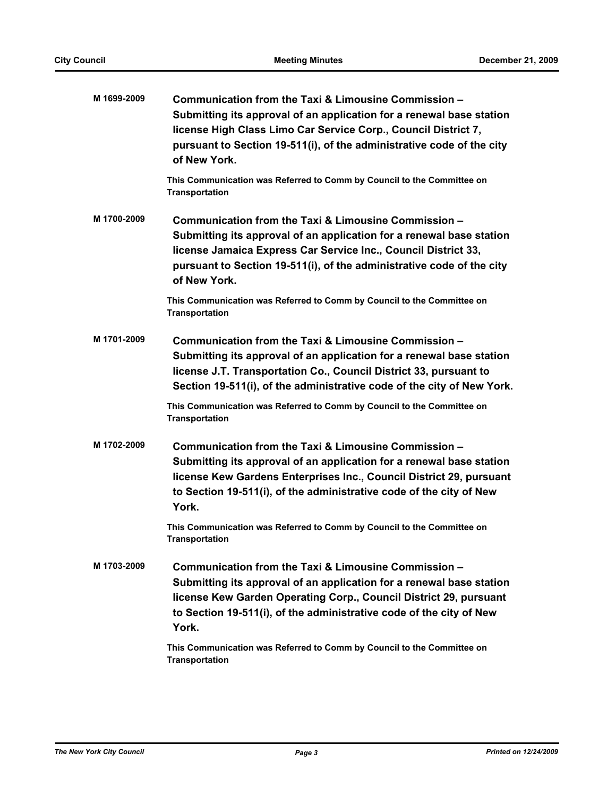| M 1699-2009 | Communication from the Taxi & Limousine Commission -<br>Submitting its approval of an application for a renewal base station<br>license High Class Limo Car Service Corp., Council District 7,<br>pursuant to Section 19-511(i), of the administrative code of the city<br>of New York. |
|-------------|-----------------------------------------------------------------------------------------------------------------------------------------------------------------------------------------------------------------------------------------------------------------------------------------|
|             | This Communication was Referred to Comm by Council to the Committee on<br><b>Transportation</b>                                                                                                                                                                                         |
| M 1700-2009 | Communication from the Taxi & Limousine Commission -<br>Submitting its approval of an application for a renewal base station<br>license Jamaica Express Car Service Inc., Council District 33,<br>pursuant to Section 19-511(i), of the administrative code of the city<br>of New York. |
|             | This Communication was Referred to Comm by Council to the Committee on<br><b>Transportation</b>                                                                                                                                                                                         |
| M 1701-2009 | Communication from the Taxi & Limousine Commission -<br>Submitting its approval of an application for a renewal base station<br>license J.T. Transportation Co., Council District 33, pursuant to<br>Section 19-511(i), of the administrative code of the city of New York.             |
|             | This Communication was Referred to Comm by Council to the Committee on<br><b>Transportation</b>                                                                                                                                                                                         |
| M 1702-2009 | Communication from the Taxi & Limousine Commission -<br>Submitting its approval of an application for a renewal base station<br>license Kew Gardens Enterprises Inc., Council District 29, pursuant<br>to Section 19-511(i), of the administrative code of the city of New<br>York.     |
|             | This Communication was Referred to Comm by Council to the Committee on<br><b>Transportation</b>                                                                                                                                                                                         |
| M 1703-2009 | Communication from the Taxi & Limousine Commission -<br>Submitting its approval of an application for a renewal base station<br>license Kew Garden Operating Corp., Council District 29, pursuant<br>to Section 19-511(i), of the administrative code of the city of New<br>York.       |
|             | This Communication was Referred to Comm by Council to the Committee on<br><b>Transportation</b>                                                                                                                                                                                         |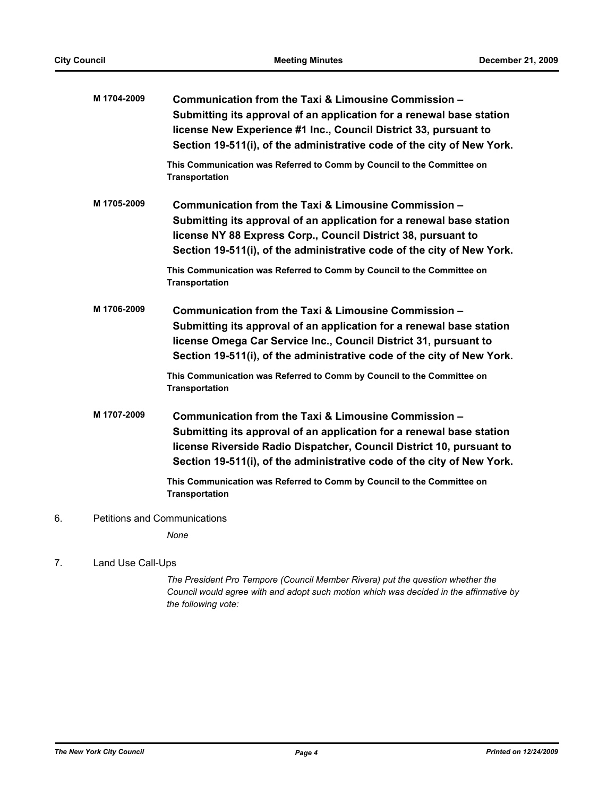|    | M 1704-2009                         | Communication from the Taxi & Limousine Commission -<br>Submitting its approval of an application for a renewal base station<br>license New Experience #1 Inc., Council District 33, pursuant to<br>Section 19-511(i), of the administrative code of the city of New York.                                                                                                        |
|----|-------------------------------------|-----------------------------------------------------------------------------------------------------------------------------------------------------------------------------------------------------------------------------------------------------------------------------------------------------------------------------------------------------------------------------------|
|    |                                     | This Communication was Referred to Comm by Council to the Committee on<br><b>Transportation</b>                                                                                                                                                                                                                                                                                   |
|    | M 1705-2009                         | Communication from the Taxi & Limousine Commission -<br>Submitting its approval of an application for a renewal base station<br>license NY 88 Express Corp., Council District 38, pursuant to<br>Section 19-511(i), of the administrative code of the city of New York.                                                                                                           |
|    |                                     | This Communication was Referred to Comm by Council to the Committee on<br><b>Transportation</b>                                                                                                                                                                                                                                                                                   |
|    | M 1706-2009                         | Communication from the Taxi & Limousine Commission -<br>Submitting its approval of an application for a renewal base station<br>license Omega Car Service Inc., Council District 31, pursuant to<br>Section 19-511(i), of the administrative code of the city of New York.<br>This Communication was Referred to Comm by Council to the Committee on                              |
|    | M 1707-2009                         | <b>Transportation</b><br>Communication from the Taxi & Limousine Commission -<br>Submitting its approval of an application for a renewal base station<br>license Riverside Radio Dispatcher, Council District 10, pursuant to<br>Section 19-511(i), of the administrative code of the city of New York.<br>This Communication was Referred to Comm by Council to the Committee on |
| 6. | <b>Petitions and Communications</b> | <b>Transportation</b>                                                                                                                                                                                                                                                                                                                                                             |
|    |                                     | None                                                                                                                                                                                                                                                                                                                                                                              |
|    |                                     |                                                                                                                                                                                                                                                                                                                                                                                   |

### 7. Land Use Call-Ups

*The President Pro Tempore (Council Member Rivera) put the question whether the Council would agree with and adopt such motion which was decided in the affirmative by the following vote:*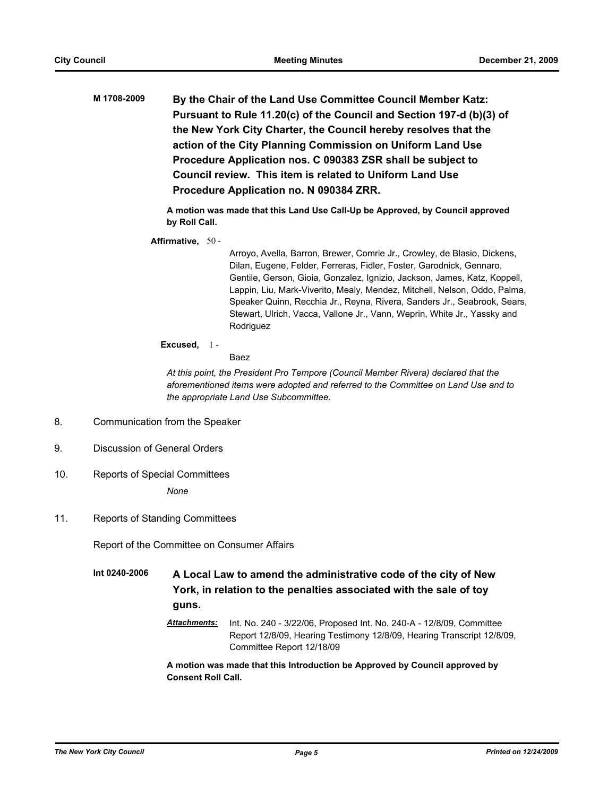**M 1708-2009 By the Chair of the Land Use Committee Council Member Katz: Pursuant to Rule 11.20(c) of the Council and Section 197-d (b)(3) of the New York City Charter, the Council hereby resolves that the action of the City Planning Commission on Uniform Land Use Procedure Application nos. C 090383 ZSR shall be subject to Council review. This item is related to Uniform Land Use Procedure Application no. N 090384 ZRR.**

> **A motion was made that this Land Use Call-Up be Approved, by Council approved by Roll Call.**

**Affirmative,** 50 -

Arroyo, Avella, Barron, Brewer, Comrie Jr., Crowley, de Blasio, Dickens, Dilan, Eugene, Felder, Ferreras, Fidler, Foster, Garodnick, Gennaro, Gentile, Gerson, Gioia, Gonzalez, Ignizio, Jackson, James, Katz, Koppell, Lappin, Liu, Mark-Viverito, Mealy, Mendez, Mitchell, Nelson, Oddo, Palma, Speaker Quinn, Recchia Jr., Reyna, Rivera, Sanders Jr., Seabrook, Sears, Stewart, Ulrich, Vacca, Vallone Jr., Vann, Weprin, White Jr., Yassky and Rodriguez

#### **Excused,** 1 -

#### Baez

*At this point, the President Pro Tempore (Council Member Rivera) declared that the aforementioned items were adopted and referred to the Committee on Land Use and to the appropriate Land Use Subcommittee.*

- 8. Communication from the Speaker
- 9. Discussion of General Orders
- 10. Reports of Special Committees

*None*

11. Reports of Standing Committees

Report of the Committee on Consumer Affairs

**Int 0240-2006 A Local Law to amend the administrative code of the city of New York, in relation to the penalties associated with the sale of toy guns.**

> *Attachments:* Int. No. 240 - 3/22/06, Proposed Int. No. 240-A - 12/8/09, Committee Report 12/8/09, Hearing Testimony 12/8/09, Hearing Transcript 12/8/09, Committee Report 12/18/09

**A motion was made that this Introduction be Approved by Council approved by Consent Roll Call.**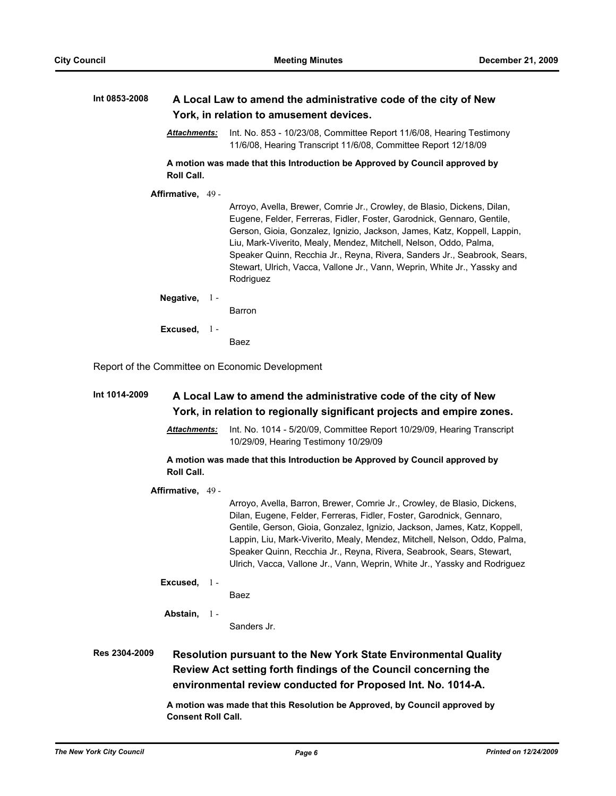### **Int 0853-2008 A Local Law to amend the administrative code of the city of New York, in relation to amusement devices.**

*Attachments:* Int. No. 853 - 10/23/08, Committee Report 11/6/08, Hearing Testimony 11/6/08, Hearing Transcript 11/6/08, Committee Report 12/18/09

#### **A motion was made that this Introduction be Approved by Council approved by Roll Call.**

**Affirmative,** 49 - Arroyo, Avella, Brewer, Comrie Jr., Crowley, de Blasio, Dickens, Dilan, Eugene, Felder, Ferreras, Fidler, Foster, Garodnick, Gennaro, Gentile, Gerson, Gioia, Gonzalez, Ignizio, Jackson, James, Katz, Koppell, Lappin, Liu, Mark-Viverito, Mealy, Mendez, Mitchell, Nelson, Oddo, Palma, Speaker Quinn, Recchia Jr., Reyna, Rivera, Sanders Jr., Seabrook, Sears, Stewart, Ulrich, Vacca, Vallone Jr., Vann, Weprin, White Jr., Yassky and Rodriguez **Negative,** Barron  $1 -$ **Excused,** Baez 1 -

Report of the Committee on Economic Development

# **Int 1014-2009 A Local Law to amend the administrative code of the city of New York, in relation to regionally significant projects and empire zones.** *Attachments:* Int. No. 1014 - 5/20/09, Committee Report 10/29/09, Hearing Transcript

10/29/09, Hearing Testimony 10/29/09 **A motion was made that this Introduction be Approved by Council approved by Roll Call.**

**Affirmative,** 49 -

Arroyo, Avella, Barron, Brewer, Comrie Jr., Crowley, de Blasio, Dickens, Dilan, Eugene, Felder, Ferreras, Fidler, Foster, Garodnick, Gennaro, Gentile, Gerson, Gioia, Gonzalez, Ignizio, Jackson, James, Katz, Koppell, Lappin, Liu, Mark-Viverito, Mealy, Mendez, Mitchell, Nelson, Oddo, Palma, Speaker Quinn, Recchia Jr., Reyna, Rivera, Seabrook, Sears, Stewart, Ulrich, Vacca, Vallone Jr., Vann, Weprin, White Jr., Yassky and Rodriguez

- **Excused,** 1
	- Baez

**Abstain,** 1 -

Sanders Jr.

# **Res 2304-2009 Resolution pursuant to the New York State Environmental Quality Review Act setting forth findings of the Council concerning the environmental review conducted for Proposed Int. No. 1014-A.**

**A motion was made that this Resolution be Approved, by Council approved by Consent Roll Call.**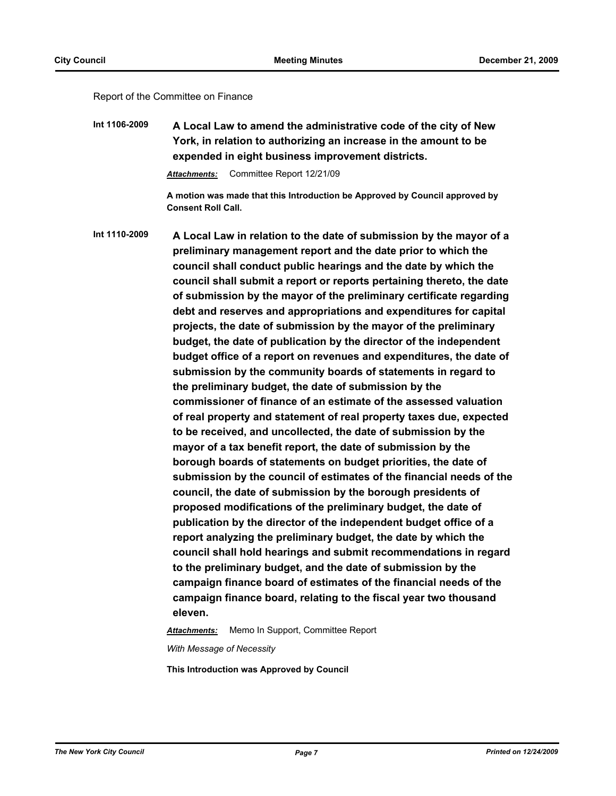#### Report of the Committee on Finance

**Int 1106-2009 A Local Law to amend the administrative code of the city of New York, in relation to authorizing an increase in the amount to be expended in eight business improvement districts.**

*Attachments:* Committee Report 12/21/09

**A motion was made that this Introduction be Approved by Council approved by Consent Roll Call.**

**Int 1110-2009 A Local Law in relation to the date of submission by the mayor of a preliminary management report and the date prior to which the council shall conduct public hearings and the date by which the council shall submit a report or reports pertaining thereto, the date of submission by the mayor of the preliminary certificate regarding debt and reserves and appropriations and expenditures for capital projects, the date of submission by the mayor of the preliminary budget, the date of publication by the director of the independent budget office of a report on revenues and expenditures, the date of submission by the community boards of statements in regard to the preliminary budget, the date of submission by the commissioner of finance of an estimate of the assessed valuation of real property and statement of real property taxes due, expected to be received, and uncollected, the date of submission by the mayor of a tax benefit report, the date of submission by the borough boards of statements on budget priorities, the date of submission by the council of estimates of the financial needs of the council, the date of submission by the borough presidents of proposed modifications of the preliminary budget, the date of publication by the director of the independent budget office of a report analyzing the preliminary budget, the date by which the council shall hold hearings and submit recommendations in regard to the preliminary budget, and the date of submission by the campaign finance board of estimates of the financial needs of the campaign finance board, relating to the fiscal year two thousand eleven.**

*Attachments:* Memo In Support, Committee Report

*With Message of Necessity*

**This Introduction was Approved by Council**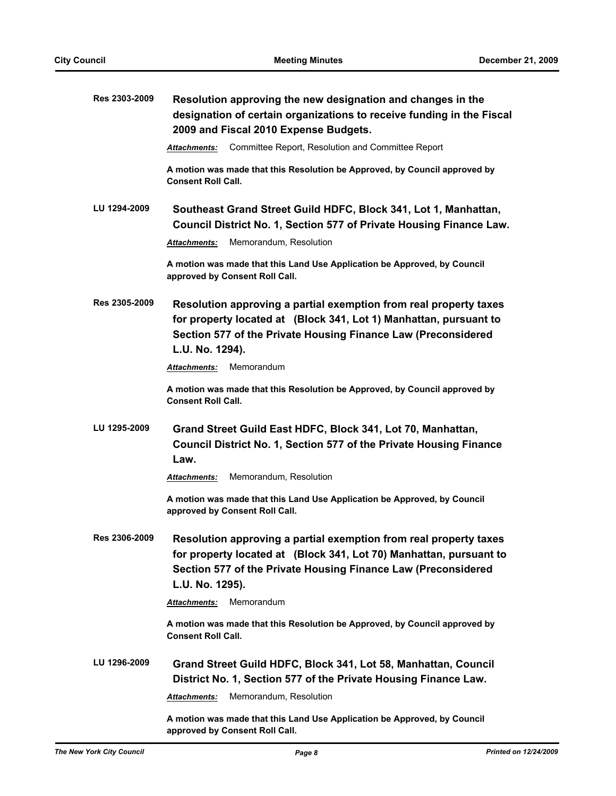| Res 2303-2009 | Resolution approving the new designation and changes in the<br>designation of certain organizations to receive funding in the Fiscal<br>2009 and Fiscal 2010 Expense Budgets.                                               |
|---------------|-----------------------------------------------------------------------------------------------------------------------------------------------------------------------------------------------------------------------------|
|               | Committee Report, Resolution and Committee Report<br>Attachments:                                                                                                                                                           |
|               | A motion was made that this Resolution be Approved, by Council approved by<br><b>Consent Roll Call.</b>                                                                                                                     |
| LU 1294-2009  | Southeast Grand Street Guild HDFC, Block 341, Lot 1, Manhattan,<br>Council District No. 1, Section 577 of Private Housing Finance Law.                                                                                      |
|               | Memorandum, Resolution<br>Attachments:                                                                                                                                                                                      |
|               | A motion was made that this Land Use Application be Approved, by Council<br>approved by Consent Roll Call.                                                                                                                  |
| Res 2305-2009 | Resolution approving a partial exemption from real property taxes<br>for property located at (Block 341, Lot 1) Manhattan, pursuant to<br>Section 577 of the Private Housing Finance Law (Preconsidered<br>L.U. No. 1294).  |
|               | Memorandum<br>Attachments:                                                                                                                                                                                                  |
|               | A motion was made that this Resolution be Approved, by Council approved by<br><b>Consent Roll Call.</b>                                                                                                                     |
| LU 1295-2009  | Grand Street Guild East HDFC, Block 341, Lot 70, Manhattan,<br>Council District No. 1, Section 577 of the Private Housing Finance<br>Law.                                                                                   |
|               | Memorandum, Resolution<br>Attachments:                                                                                                                                                                                      |
|               | A motion was made that this Land Use Application be Approved, by Council<br>approved by Consent Roll Call.                                                                                                                  |
| Res 2306-2009 | Resolution approving a partial exemption from real property taxes<br>for property located at (Block 341, Lot 70) Manhattan, pursuant to<br>Section 577 of the Private Housing Finance Law (Preconsidered<br>L.U. No. 1295). |
|               | Memorandum<br>Attachments:                                                                                                                                                                                                  |
|               | A motion was made that this Resolution be Approved, by Council approved by<br><b>Consent Roll Call.</b>                                                                                                                     |
| LU 1296-2009  | Grand Street Guild HDFC, Block 341, Lot 58, Manhattan, Council<br>District No. 1, Section 577 of the Private Housing Finance Law.                                                                                           |
|               | Memorandum, Resolution<br>Attachments:                                                                                                                                                                                      |
|               | A motion was made that this Land Use Application be Approved, by Council<br>approved by Consent Roll Call.                                                                                                                  |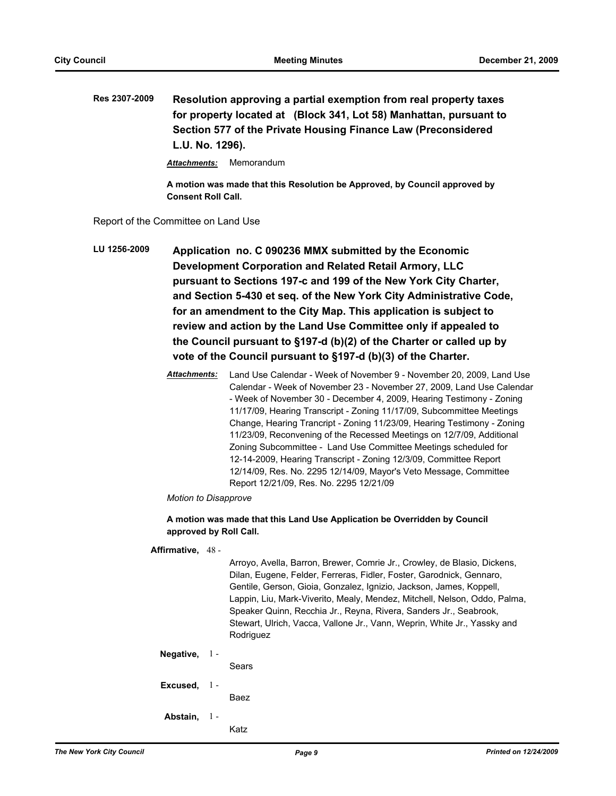**Res 2307-2009 Resolution approving a partial exemption from real property taxes for property located at (Block 341, Lot 58) Manhattan, pursuant to Section 577 of the Private Housing Finance Law (Preconsidered L.U. No. 1296).**

*Attachments:* Memorandum

**A motion was made that this Resolution be Approved, by Council approved by Consent Roll Call.**

Report of the Committee on Land Use

- **LU 1256-2009 Application no. C 090236 MMX submitted by the Economic Development Corporation and Related Retail Armory, LLC pursuant to Sections 197-c and 199 of the New York City Charter, and Section 5-430 et seq. of the New York City Administrative Code, for an amendment to the City Map. This application is subject to review and action by the Land Use Committee only if appealed to the Council pursuant to §197-d (b)(2) of the Charter or called up by vote of the Council pursuant to §197-d (b)(3) of the Charter.**
	- *Attachments:* Land Use Calendar Week of November 9 November 20, 2009, Land Use Calendar - Week of November 23 - November 27, 2009, Land Use Calendar - Week of November 30 - December 4, 2009, Hearing Testimony - Zoning 11/17/09, Hearing Transcript - Zoning 11/17/09, Subcommittee Meetings Change, Hearing Trancript - Zoning 11/23/09, Hearing Testimony - Zoning 11/23/09, Reconvening of the Recessed Meetings on 12/7/09, Additional Zoning Subcommittee - Land Use Committee Meetings scheduled for 12-14-2009, Hearing Transcript - Zoning 12/3/09, Committee Report 12/14/09, Res. No. 2295 12/14/09, Mayor's Veto Message, Committee Report 12/21/09, Res. No. 2295 12/21/09

*Motion to Disapprove*

**A motion was made that this Land Use Application be Overridden by Council approved by Roll Call.**

**Affirmative,** 48 -

Arroyo, Avella, Barron, Brewer, Comrie Jr., Crowley, de Blasio, Dickens, Dilan, Eugene, Felder, Ferreras, Fidler, Foster, Garodnick, Gennaro, Gentile, Gerson, Gioia, Gonzalez, Ignizio, Jackson, James, Koppell, Lappin, Liu, Mark-Viverito, Mealy, Mendez, Mitchell, Nelson, Oddo, Palma, Speaker Quinn, Recchia Jr., Reyna, Rivera, Sanders Jr., Seabrook, Stewart, Ulrich, Vacca, Vallone Jr., Vann, Weprin, White Jr., Yassky and Rodriguez

#### **Negative,** 1 -

Sears

**Excused,** 1 -

Baez

**Abstain,** 1 -

Katz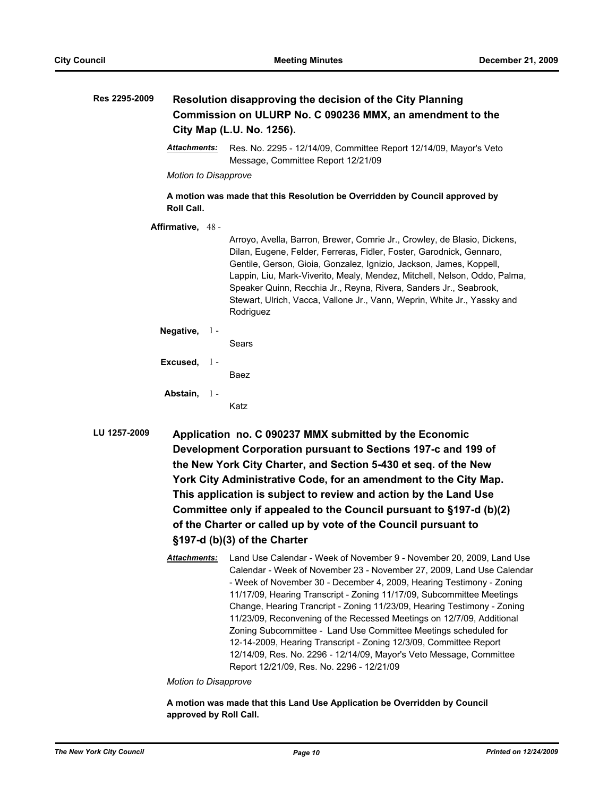| Res 2295-2009 |                             | Resolution disapproving the decision of the City Planning<br>Commission on ULURP No. C 090236 MMX, an amendment to the<br>City Map (L.U. No. 1256).                                                                                                                                                                                                                                                                                                                |
|---------------|-----------------------------|--------------------------------------------------------------------------------------------------------------------------------------------------------------------------------------------------------------------------------------------------------------------------------------------------------------------------------------------------------------------------------------------------------------------------------------------------------------------|
|               | <b>Attachments:</b>         | Res. No. 2295 - 12/14/09, Committee Report 12/14/09, Mayor's Veto<br>Message, Committee Report 12/21/09                                                                                                                                                                                                                                                                                                                                                            |
|               | <b>Motion to Disapprove</b> |                                                                                                                                                                                                                                                                                                                                                                                                                                                                    |
|               | Roll Call.                  | A motion was made that this Resolution be Overridden by Council approved by                                                                                                                                                                                                                                                                                                                                                                                        |
|               | Affirmative, 48 -           | Arroyo, Avella, Barron, Brewer, Comrie Jr., Crowley, de Blasio, Dickens,<br>Dilan, Eugene, Felder, Ferreras, Fidler, Foster, Garodnick, Gennaro,<br>Gentile, Gerson, Gioia, Gonzalez, Ignizio, Jackson, James, Koppell,<br>Lappin, Liu, Mark-Viverito, Mealy, Mendez, Mitchell, Nelson, Oddo, Palma,<br>Speaker Quinn, Recchia Jr., Reyna, Rivera, Sanders Jr., Seabrook,<br>Stewart, Ulrich, Vacca, Vallone Jr., Vann, Weprin, White Jr., Yassky and<br>Rodriguez |
|               | Negative, $1 -$             | Sears                                                                                                                                                                                                                                                                                                                                                                                                                                                              |
|               | Excused, 1-                 | Baez                                                                                                                                                                                                                                                                                                                                                                                                                                                               |
|               | Abstain, 1-                 | Katz                                                                                                                                                                                                                                                                                                                                                                                                                                                               |
| LU 1257-2009  |                             | Application no. C 090237 MMX submitted by the Economic<br>Development Corporation pursuant to Sections 197-c and 199 of<br>the New York City Charter, and Section 5-430 et seq. of the New<br>Vark City Administrative Cade, for an amondment to the City Man                                                                                                                                                                                                      |

**York City Administrative Code, for an amendment to the City Map. This application is subject to review and action by the Land Use Committee only if appealed to the Council pursuant to §197-d (b)(2) of the Charter or called up by vote of the Council pursuant to §197-d (b)(3) of the Charter**

*Attachments:* Land Use Calendar - Week of November 9 - November 20, 2009, Land Use Calendar - Week of November 23 - November 27, 2009, Land Use Calendar - Week of November 30 - December 4, 2009, Hearing Testimony - Zoning 11/17/09, Hearing Transcript - Zoning 11/17/09, Subcommittee Meetings Change, Hearing Trancript - Zoning 11/23/09, Hearing Testimony - Zoning 11/23/09, Reconvening of the Recessed Meetings on 12/7/09, Additional Zoning Subcommittee - Land Use Committee Meetings scheduled for 12-14-2009, Hearing Transcript - Zoning 12/3/09, Committee Report 12/14/09, Res. No. 2296 - 12/14/09, Mayor's Veto Message, Committee Report 12/21/09, Res. No. 2296 - 12/21/09

*Motion to Disapprove*

**A motion was made that this Land Use Application be Overridden by Council approved by Roll Call.**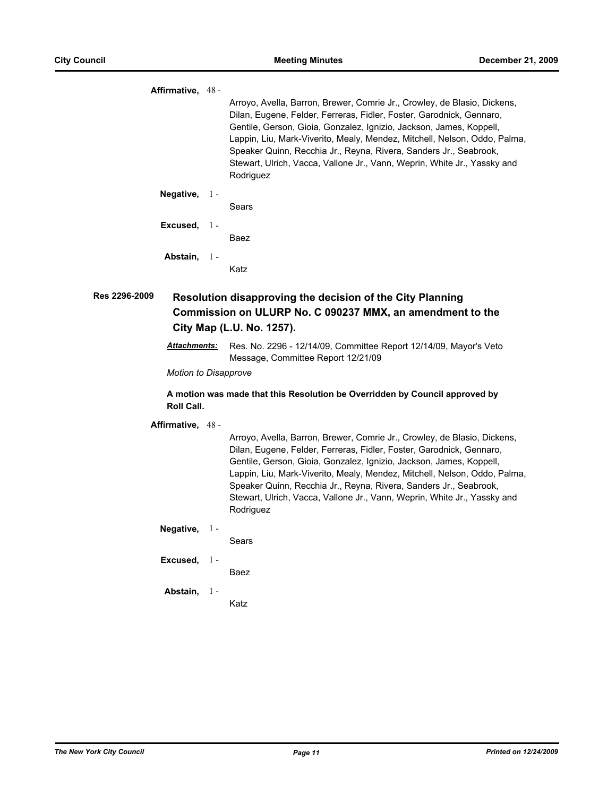**Affirmative,** 48 - Arroyo, Avella, Barron, Brewer, Comrie Jr., Crowley, de Blasio, Dickens, Dilan, Eugene, Felder, Ferreras, Fidler, Foster, Garodnick, Gennaro, Gentile, Gerson, Gioia, Gonzalez, Ignizio, Jackson, James, Koppell, Lappin, Liu, Mark-Viverito, Mealy, Mendez, Mitchell, Nelson, Oddo, Palma, Speaker Quinn, Recchia Jr., Reyna, Rivera, Sanders Jr., Seabrook, Stewart, Ulrich, Vacca, Vallone Jr., Vann, Weprin, White Jr., Yassky and Rodriguez **Negative,** Sears 1 - **Excused,** Baez 1 - **Abstain,** Katz 1 - **Res 2296-2009 Resolution disapproving the decision of the City Planning Commission on ULURP No. C 090237 MMX, an amendment to the City Map (L.U. No. 1257).** *Attachments:* Res. No. 2296 - 12/14/09, Committee Report 12/14/09, Mayor's Veto Message, Committee Report 12/21/09 *Motion to Disapprove* **A motion was made that this Resolution be Overridden by Council approved by Roll Call. Affirmative,** 48 - Arroyo, Avella, Barron, Brewer, Comrie Jr., Crowley, de Blasio, Dickens, Dilan, Eugene, Felder, Ferreras, Fidler, Foster, Garodnick, Gennaro, Gentile, Gerson, Gioia, Gonzalez, Ignizio, Jackson, James, Koppell, Lappin, Liu, Mark-Viverito, Mealy, Mendez, Mitchell, Nelson, Oddo, Palma, Speaker Quinn, Recchia Jr., Reyna, Rivera, Sanders Jr., Seabrook, Stewart, Ulrich, Vacca, Vallone Jr., Vann, Weprin, White Jr., Yassky and Rodriguez **Negative,** Sears 1 - **Excused,** Baez 1 - **Abstain,** 1 - Katz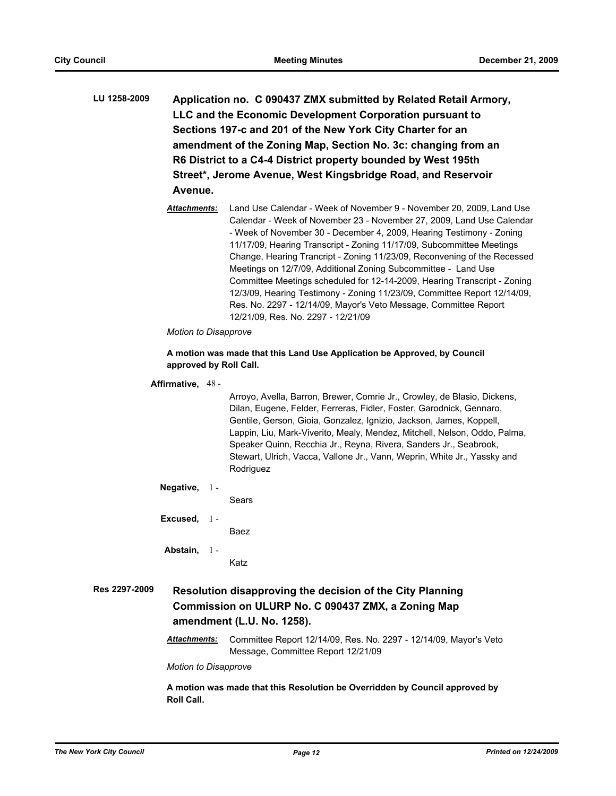- **LU 1258-2009 Application no. C 090437 ZMX submitted by Related Retail Armory, LLC and the Economic Development Corporation pursuant to Sections 197-c and 201 of the New York City Charter for an amendment of the Zoning Map, Section No. 3c: changing from an R6 District to a C4-4 District property bounded by West 195th Street\*, Jerome Avenue, West Kingsbridge Road, and Reservoir Avenue.**
	- *Attachments:* Land Use Calendar Week of November 9 November 20, 2009, Land Use Calendar - Week of November 23 - November 27, 2009, Land Use Calendar - Week of November 30 - December 4, 2009, Hearing Testimony - Zoning 11/17/09, Hearing Transcript - Zoning 11/17/09, Subcommittee Meetings Change, Hearing Trancript - Zoning 11/23/09, Reconvening of the Recessed Meetings on 12/7/09, Additional Zoning Subcommittee - Land Use Committee Meetings scheduled for 12-14-2009, Hearing Transcript - Zoning 12/3/09, Hearing Testimony - Zoning 11/23/09, Committee Report 12/14/09, Res. No. 2297 - 12/14/09, Mayor's Veto Message, Committee Report 12/21/09, Res. No. 2297 - 12/21/09

#### *Motion to Disapprove*

#### **A motion was made that this Land Use Application be Approved, by Council approved by Roll Call.**

#### **Affirmative,** 48 -

Arroyo, Avella, Barron, Brewer, Comrie Jr., Crowley, de Blasio, Dickens, Dilan, Eugene, Felder, Ferreras, Fidler, Foster, Garodnick, Gennaro, Gentile, Gerson, Gioia, Gonzalez, Ignizio, Jackson, James, Koppell, Lappin, Liu, Mark-Viverito, Mealy, Mendez, Mitchell, Nelson, Oddo, Palma, Speaker Quinn, Recchia Jr., Reyna, Rivera, Sanders Jr., Seabrook, Stewart, Ulrich, Vacca, Vallone Jr., Vann, Weprin, White Jr., Yassky and Rodriguez

#### **Negative,** 1 -

Sears

**Excused,** 1 -

Baez

**Abstain,** 1 -

Katz

**Res 2297-2009 Resolution disapproving the decision of the City Planning Commission on ULURP No. C 090437 ZMX, a Zoning Map amendment (L.U. No. 1258).**

> *Attachments:* Committee Report 12/14/09, Res. No. 2297 - 12/14/09, Mayor's Veto Message, Committee Report 12/21/09

*Motion to Disapprove*

**A motion was made that this Resolution be Overridden by Council approved by Roll Call.**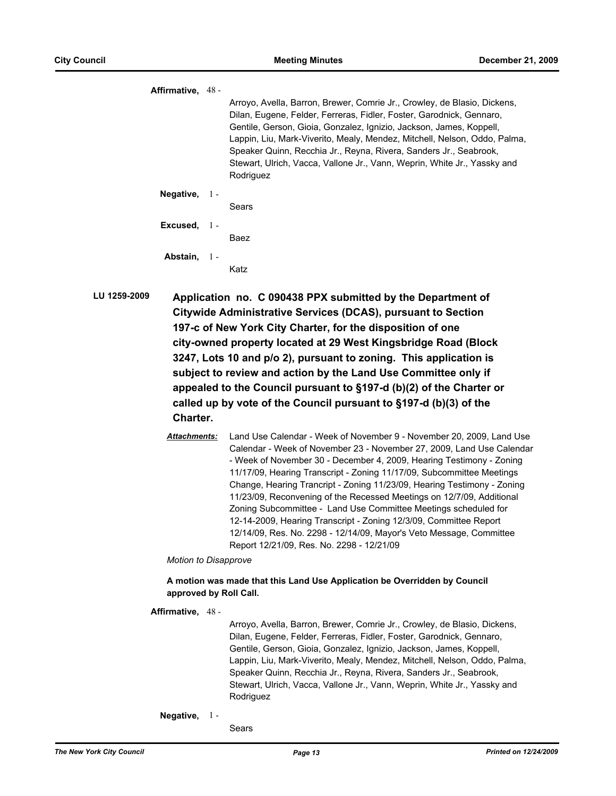**Affirmative,** 48 - Arroyo, Avella, Barron, Brewer, Comrie Jr., Crowley, de Blasio, Dickens, Dilan, Eugene, Felder, Ferreras, Fidler, Foster, Garodnick, Gennaro, Gentile, Gerson, Gioia, Gonzalez, Ignizio, Jackson, James, Koppell, Lappin, Liu, Mark-Viverito, Mealy, Mendez, Mitchell, Nelson, Oddo, Palma, Speaker Quinn, Recchia Jr., Reyna, Rivera, Sanders Jr., Seabrook, Stewart, Ulrich, Vacca, Vallone Jr., Vann, Weprin, White Jr., Yassky and Rodriguez **Negative,** Sears 1 - **Excused,** Baez 1 - **Abstain,** Katz 1 -

- **LU 1259-2009 Application no. C 090438 PPX submitted by the Department of Citywide Administrative Services (DCAS), pursuant to Section 197-c of New York City Charter, for the disposition of one city-owned property located at 29 West Kingsbridge Road (Block 3247, Lots 10 and p/o 2), pursuant to zoning. This application is subject to review and action by the Land Use Committee only if appealed to the Council pursuant to §197-d (b)(2) of the Charter or called up by vote of the Council pursuant to §197-d (b)(3) of the Charter.**
	- *Attachments:* Land Use Calendar Week of November 9 November 20, 2009, Land Use Calendar - Week of November 23 - November 27, 2009, Land Use Calendar - Week of November 30 - December 4, 2009, Hearing Testimony - Zoning 11/17/09, Hearing Transcript - Zoning 11/17/09, Subcommittee Meetings Change, Hearing Trancript - Zoning 11/23/09, Hearing Testimony - Zoning 11/23/09, Reconvening of the Recessed Meetings on 12/7/09, Additional Zoning Subcommittee - Land Use Committee Meetings scheduled for 12-14-2009, Hearing Transcript - Zoning 12/3/09, Committee Report 12/14/09, Res. No. 2298 - 12/14/09, Mayor's Veto Message, Committee Report 12/21/09, Res. No. 2298 - 12/21/09

*Motion to Disapprove*

#### **A motion was made that this Land Use Application be Overridden by Council approved by Roll Call.**

#### **Affirmative,** 48 -

Arroyo, Avella, Barron, Brewer, Comrie Jr., Crowley, de Blasio, Dickens, Dilan, Eugene, Felder, Ferreras, Fidler, Foster, Garodnick, Gennaro, Gentile, Gerson, Gioia, Gonzalez, Ignizio, Jackson, James, Koppell, Lappin, Liu, Mark-Viverito, Mealy, Mendez, Mitchell, Nelson, Oddo, Palma, Speaker Quinn, Recchia Jr., Reyna, Rivera, Sanders Jr., Seabrook, Stewart, Ulrich, Vacca, Vallone Jr., Vann, Weprin, White Jr., Yassky and Rodriguez

**Negative,** 1 -

Sears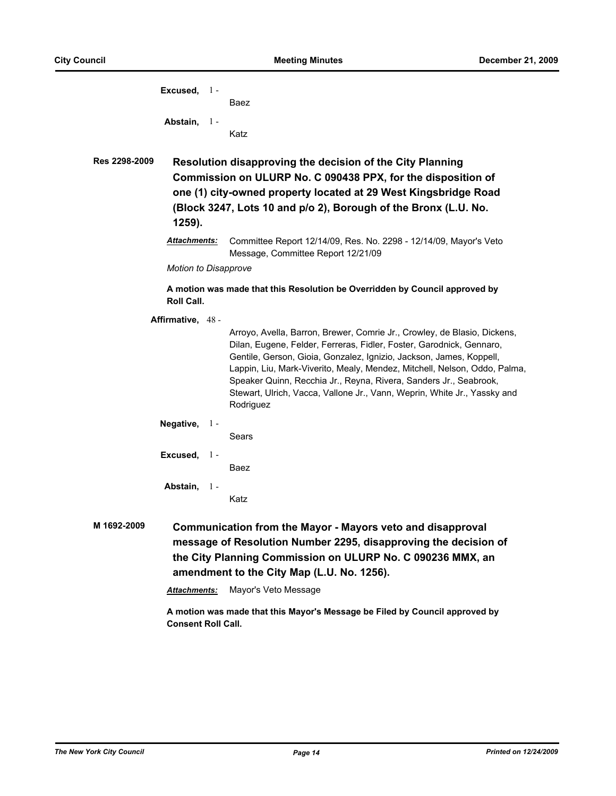|               | Excused, $1 -$              |       | Baez                                                                                                                                                                                                                                                                                                                                                                                                                                                               |
|---------------|-----------------------------|-------|--------------------------------------------------------------------------------------------------------------------------------------------------------------------------------------------------------------------------------------------------------------------------------------------------------------------------------------------------------------------------------------------------------------------------------------------------------------------|
|               | Abstain, 1-                 |       | Katz                                                                                                                                                                                                                                                                                                                                                                                                                                                               |
| Res 2298-2009 | 1259).                      |       | Resolution disapproving the decision of the City Planning<br>Commission on ULURP No. C 090438 PPX, for the disposition of<br>one (1) city-owned property located at 29 West Kingsbridge Road<br>(Block 3247, Lots 10 and p/o 2), Borough of the Bronx (L.U. No.                                                                                                                                                                                                    |
|               | <b>Attachments:</b>         |       | Committee Report 12/14/09, Res. No. 2298 - 12/14/09, Mayor's Veto<br>Message, Committee Report 12/21/09                                                                                                                                                                                                                                                                                                                                                            |
|               | <b>Motion to Disapprove</b> |       |                                                                                                                                                                                                                                                                                                                                                                                                                                                                    |
|               | <b>Roll Call.</b>           |       | A motion was made that this Resolution be Overridden by Council approved by                                                                                                                                                                                                                                                                                                                                                                                        |
|               | Affirmative, 48 -           |       | Arroyo, Avella, Barron, Brewer, Comrie Jr., Crowley, de Blasio, Dickens,<br>Dilan, Eugene, Felder, Ferreras, Fidler, Foster, Garodnick, Gennaro,<br>Gentile, Gerson, Gioia, Gonzalez, Ignizio, Jackson, James, Koppell,<br>Lappin, Liu, Mark-Viverito, Mealy, Mendez, Mitchell, Nelson, Oddo, Palma,<br>Speaker Quinn, Recchia Jr., Reyna, Rivera, Sanders Jr., Seabrook,<br>Stewart, Ulrich, Vacca, Vallone Jr., Vann, Weprin, White Jr., Yassky and<br>Rodriguez |
|               | Negative, $1 -$             |       | Sears                                                                                                                                                                                                                                                                                                                                                                                                                                                              |
|               | Excused,                    | $1 -$ | Baez                                                                                                                                                                                                                                                                                                                                                                                                                                                               |
|               | Abstain, 1-                 |       | Katz                                                                                                                                                                                                                                                                                                                                                                                                                                                               |
| M 1692-2009   |                             |       | Communication from the Mayor - Mayors veto and disapproval<br>message of Resolution Number 2295, disapproving the decision of                                                                                                                                                                                                                                                                                                                                      |

*Attachments:* Mayor's Veto Message

**amendment to the City Map (L.U. No. 1256).**

**A motion was made that this Mayor's Message be Filed by Council approved by Consent Roll Call.**

**the City Planning Commission on ULURP No. C 090236 MMX, an**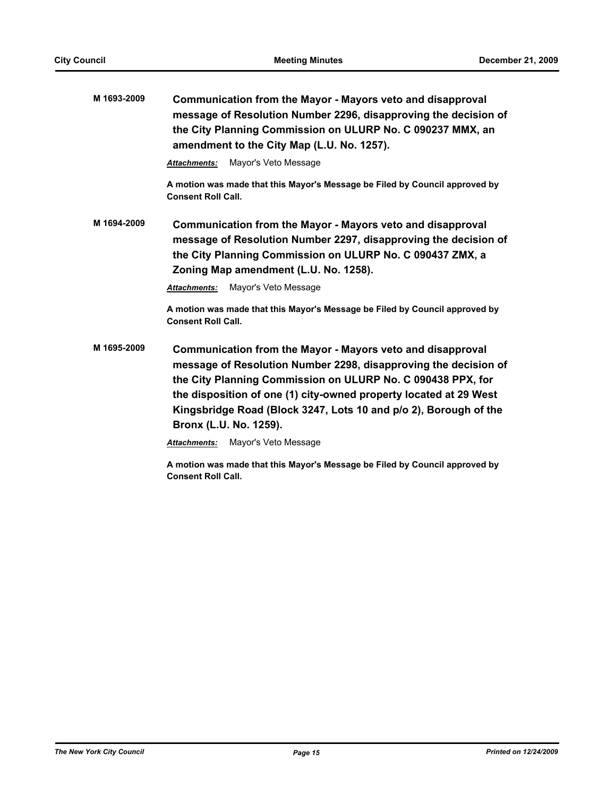| M 1693-2009 | Communication from the Mayor - Mayors veto and disapproval<br>message of Resolution Number 2296, disapproving the decision of<br>the City Planning Commission on ULURP No. C 090237 MMX, an<br>amendment to the City Map (L.U. No. 1257).                                                                                                                                                                      |
|-------------|----------------------------------------------------------------------------------------------------------------------------------------------------------------------------------------------------------------------------------------------------------------------------------------------------------------------------------------------------------------------------------------------------------------|
|             | Mayor's Veto Message<br><b>Attachments:</b>                                                                                                                                                                                                                                                                                                                                                                    |
|             | A motion was made that this Mayor's Message be Filed by Council approved by<br><b>Consent Roll Call.</b>                                                                                                                                                                                                                                                                                                       |
| M 1694-2009 | Communication from the Mayor - Mayors veto and disapproval<br>message of Resolution Number 2297, disapproving the decision of<br>the City Planning Commission on ULURP No. C 090437 ZMX, a<br>Zoning Map amendment (L.U. No. 1258).                                                                                                                                                                            |
|             | Mayor's Veto Message<br><b>Attachments:</b>                                                                                                                                                                                                                                                                                                                                                                    |
|             | A motion was made that this Mayor's Message be Filed by Council approved by<br><b>Consent Roll Call.</b>                                                                                                                                                                                                                                                                                                       |
| M 1695-2009 | Communication from the Mayor - Mayors veto and disapproval<br>message of Resolution Number 2298, disapproving the decision of<br>the City Planning Commission on ULURP No. C 090438 PPX, for<br>the disposition of one (1) city-owned property located at 29 West<br>Kingsbridge Road (Block 3247, Lots 10 and p/o 2), Borough of the<br>Bronx (L.U. No. 1259).<br>Mayor's Veto Message<br><b>Attachments:</b> |

**A motion was made that this Mayor's Message be Filed by Council approved by Consent Roll Call.**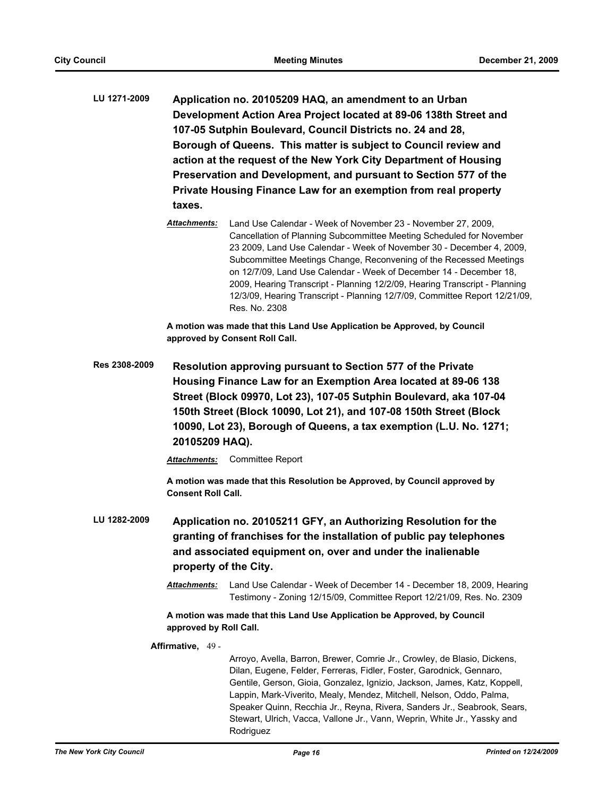- **LU 1271-2009 Application no. 20105209 HAQ, an amendment to an Urban Development Action Area Project located at 89-06 138th Street and 107-05 Sutphin Boulevard, Council Districts no. 24 and 28, Borough of Queens. This matter is subject to Council review and action at the request of the New York City Department of Housing Preservation and Development, and pursuant to Section 577 of the Private Housing Finance Law for an exemption from real property taxes.**
	- *Attachments:* Land Use Calendar Week of November 23 November 27, 2009, Cancellation of Planning Subcommittee Meeting Scheduled for November 23 2009, Land Use Calendar - Week of November 30 - December 4, 2009, Subcommittee Meetings Change, Reconvening of the Recessed Meetings on 12/7/09, Land Use Calendar - Week of December 14 - December 18, 2009, Hearing Transcript - Planning 12/2/09, Hearing Transcript - Planning 12/3/09, Hearing Transcript - Planning 12/7/09, Committee Report 12/21/09, Res. No. 2308

**A motion was made that this Land Use Application be Approved, by Council approved by Consent Roll Call.**

**Res 2308-2009 Resolution approving pursuant to Section 577 of the Private Housing Finance Law for an Exemption Area located at 89-06 138 Street (Block 09970, Lot 23), 107-05 Sutphin Boulevard, aka 107-04 150th Street (Block 10090, Lot 21), and 107-08 150th Street (Block 10090, Lot 23), Borough of Queens, a tax exemption (L.U. No. 1271; 20105209 HAQ).**

*Attachments:* Committee Report

**A motion was made that this Resolution be Approved, by Council approved by Consent Roll Call.**

- **LU 1282-2009 Application no. 20105211 GFY, an Authorizing Resolution for the granting of franchises for the installation of public pay telephones and associated equipment on, over and under the inalienable property of the City.**
	- *Attachments:* Land Use Calendar Week of December 14 December 18, 2009, Hearing Testimony - Zoning 12/15/09, Committee Report 12/21/09, Res. No. 2309

**A motion was made that this Land Use Application be Approved, by Council approved by Roll Call.**

**Affirmative,** 49 -

Arroyo, Avella, Barron, Brewer, Comrie Jr., Crowley, de Blasio, Dickens, Dilan, Eugene, Felder, Ferreras, Fidler, Foster, Garodnick, Gennaro, Gentile, Gerson, Gioia, Gonzalez, Ignizio, Jackson, James, Katz, Koppell, Lappin, Mark-Viverito, Mealy, Mendez, Mitchell, Nelson, Oddo, Palma, Speaker Quinn, Recchia Jr., Reyna, Rivera, Sanders Jr., Seabrook, Sears, Stewart, Ulrich, Vacca, Vallone Jr., Vann, Weprin, White Jr., Yassky and Rodriguez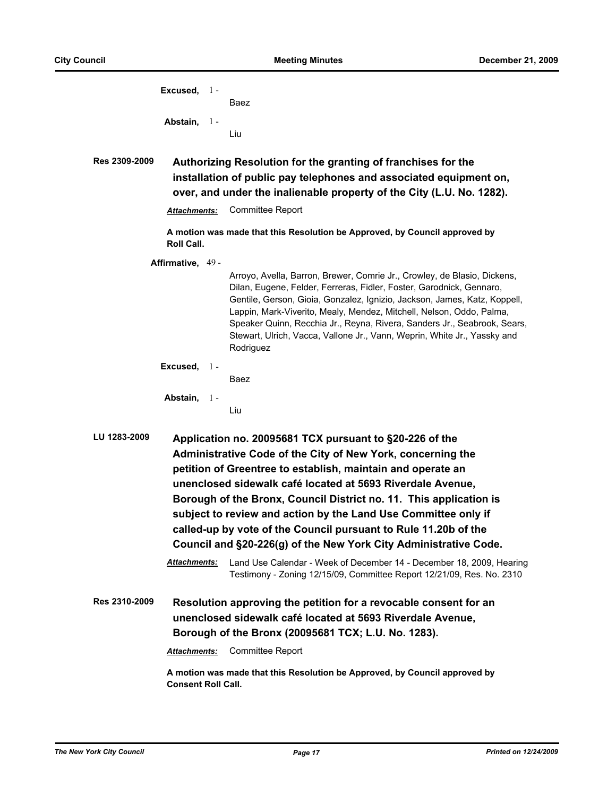|               | Excused, 1-               | Baez                                                                                                                                                                                                                                                                                                                                                                                                                                                                                                                               |
|---------------|---------------------------|------------------------------------------------------------------------------------------------------------------------------------------------------------------------------------------------------------------------------------------------------------------------------------------------------------------------------------------------------------------------------------------------------------------------------------------------------------------------------------------------------------------------------------|
|               | Abstain, 1-               |                                                                                                                                                                                                                                                                                                                                                                                                                                                                                                                                    |
|               |                           | Liu                                                                                                                                                                                                                                                                                                                                                                                                                                                                                                                                |
| Res 2309-2009 |                           | Authorizing Resolution for the granting of franchises for the<br>installation of public pay telephones and associated equipment on,<br>over, and under the inalienable property of the City (L.U. No. 1282).                                                                                                                                                                                                                                                                                                                       |
|               | <b>Attachments:</b>       | <b>Committee Report</b>                                                                                                                                                                                                                                                                                                                                                                                                                                                                                                            |
|               | Roll Call.                | A motion was made that this Resolution be Approved, by Council approved by                                                                                                                                                                                                                                                                                                                                                                                                                                                         |
|               | Affirmative, 49 -         | Arroyo, Avella, Barron, Brewer, Comrie Jr., Crowley, de Blasio, Dickens,<br>Dilan, Eugene, Felder, Ferreras, Fidler, Foster, Garodnick, Gennaro,<br>Gentile, Gerson, Gioia, Gonzalez, Ignizio, Jackson, James, Katz, Koppell,<br>Lappin, Mark-Viverito, Mealy, Mendez, Mitchell, Nelson, Oddo, Palma,<br>Speaker Quinn, Recchia Jr., Reyna, Rivera, Sanders Jr., Seabrook, Sears,<br>Stewart, Ulrich, Vacca, Vallone Jr., Vann, Weprin, White Jr., Yassky and<br>Rodriguez                                                         |
|               | Excused, $1 -$            | Baez                                                                                                                                                                                                                                                                                                                                                                                                                                                                                                                               |
|               | Abstain, 1-               | Liu                                                                                                                                                                                                                                                                                                                                                                                                                                                                                                                                |
| LU 1283-2009  |                           | Application no. 20095681 TCX pursuant to §20-226 of the<br>Administrative Code of the City of New York, concerning the<br>petition of Greentree to establish, maintain and operate an<br>unenclosed sidewalk café located at 5693 Riverdale Avenue,<br>Borough of the Bronx, Council District no. 11. This application is<br>subject to review and action by the Land Use Committee only if<br>called-up by vote of the Council pursuant to Rule 11.20b of the<br>Council and §20-226(g) of the New York City Administrative Code. |
|               | <b>Attachments:</b>       | Land Use Calendar - Week of December 14 - December 18, 2009, Hearing<br>Testimony - Zoning 12/15/09, Committee Report 12/21/09, Res. No. 2310                                                                                                                                                                                                                                                                                                                                                                                      |
| Res 2310-2009 |                           | Resolution approving the petition for a revocable consent for an<br>unenclosed sidewalk café located at 5693 Riverdale Avenue,<br>Borough of the Bronx (20095681 TCX; L.U. No. 1283).                                                                                                                                                                                                                                                                                                                                              |
|               | <b>Attachments:</b>       | Committee Report                                                                                                                                                                                                                                                                                                                                                                                                                                                                                                                   |
|               | <b>Consent Roll Call.</b> | A motion was made that this Resolution be Approved, by Council approved by                                                                                                                                                                                                                                                                                                                                                                                                                                                         |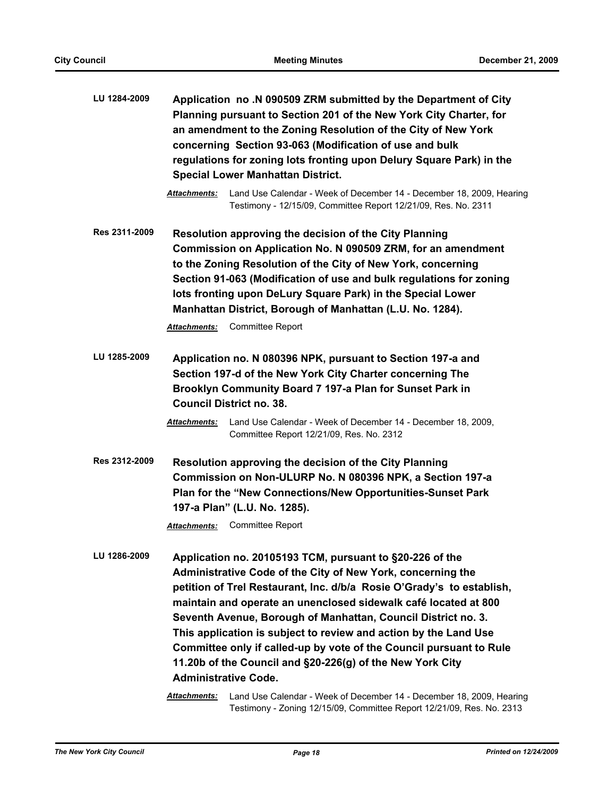| LU 1284-2009  | Application no .N 090509 ZRM submitted by the Department of City<br>Planning pursuant to Section 201 of the New York City Charter, for<br>an amendment to the Zoning Resolution of the City of New York<br>concerning Section 93-063 (Modification of use and bulk<br>regulations for zoning lots fronting upon Delury Square Park) in the<br><b>Special Lower Manhattan District.</b>                                                                                                                                                                                      |
|---------------|-----------------------------------------------------------------------------------------------------------------------------------------------------------------------------------------------------------------------------------------------------------------------------------------------------------------------------------------------------------------------------------------------------------------------------------------------------------------------------------------------------------------------------------------------------------------------------|
|               | Attachments:<br>Land Use Calendar - Week of December 14 - December 18, 2009, Hearing<br>Testimony - 12/15/09, Committee Report 12/21/09, Res. No. 2311                                                                                                                                                                                                                                                                                                                                                                                                                      |
| Res 2311-2009 | Resolution approving the decision of the City Planning<br>Commission on Application No. N 090509 ZRM, for an amendment<br>to the Zoning Resolution of the City of New York, concerning<br>Section 91-063 (Modification of use and bulk regulations for zoning<br>lots fronting upon DeLury Square Park) in the Special Lower<br>Manhattan District, Borough of Manhattan (L.U. No. 1284).<br><b>Attachments:</b> Committee Report                                                                                                                                           |
| LU 1285-2009  | Application no. N 080396 NPK, pursuant to Section 197-a and<br>Section 197-d of the New York City Charter concerning The<br>Brooklyn Community Board 7 197-a Plan for Sunset Park in<br><b>Council District no. 38.</b><br>Land Use Calendar - Week of December 14 - December 18, 2009,<br><b>Attachments:</b><br>Committee Report 12/21/09, Res. No. 2312                                                                                                                                                                                                                  |
| Res 2312-2009 | <b>Resolution approving the decision of the City Planning</b><br>Commission on Non-ULURP No. N 080396 NPK, a Section 197-a<br>Plan for the "New Connections/New Opportunities-Sunset Park<br>197-a Plan" (L.U. No. 1285).<br><b>Attachments:</b> Committee Report                                                                                                                                                                                                                                                                                                           |
| LU 1286-2009  | Application no. 20105193 TCM, pursuant to §20-226 of the<br>Administrative Code of the City of New York, concerning the<br>petition of Trel Restaurant, Inc. d/b/a Rosie O'Grady's to establish,<br>maintain and operate an unenclosed sidewalk café located at 800<br>Seventh Avenue, Borough of Manhattan, Council District no. 3.<br>This application is subject to review and action by the Land Use<br>Committee only if called-up by vote of the Council pursuant to Rule<br>11.20b of the Council and §20-226(g) of the New York City<br><b>Administrative Code.</b> |

*Attachments:* Land Use Calendar - Week of December 14 - December 18, 2009, Hearing Testimony - Zoning 12/15/09, Committee Report 12/21/09, Res. No. 2313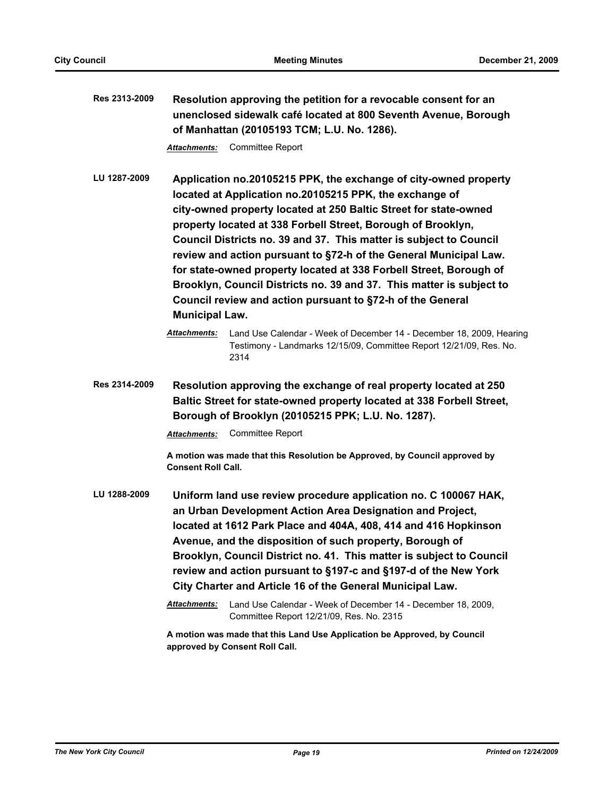**Res 2313-2009 Resolution approving the petition for a revocable consent for an unenclosed sidewalk café located at 800 Seventh Avenue, Borough of Manhattan (20105193 TCM; L.U. No. 1286).**

*Attachments:* Committee Report

**LU 1287-2009 Application no.20105215 PPK, the exchange of city-owned property located at Application no.20105215 PPK, the exchange of city-owned property located at 250 Baltic Street for state-owned property located at 338 Forbell Street, Borough of Brooklyn, Council Districts no. 39 and 37. This matter is subject to Council review and action pursuant to §72-h of the General Municipal Law. for state-owned property located at 338 Forbell Street, Borough of Brooklyn, Council Districts no. 39 and 37. This matter is subject to Council review and action pursuant to §72-h of the General Municipal Law.**

**Res 2314-2009 Resolution approving the exchange of real property located at 250 Baltic Street for state-owned property located at 338 Forbell Street, Borough of Brooklyn (20105215 PPK; L.U. No. 1287).**

*Attachments:* Committee Report

**A motion was made that this Resolution be Approved, by Council approved by Consent Roll Call.**

**LU 1288-2009 Uniform land use review procedure application no. C 100067 HAK, an Urban Development Action Area Designation and Project, located at 1612 Park Place and 404A, 408, 414 and 416 Hopkinson Avenue, and the disposition of such property, Borough of Brooklyn, Council District no. 41. This matter is subject to Council review and action pursuant to §197-c and §197-d of the New York City Charter and Article 16 of the General Municipal Law.**

> *Attachments:* Land Use Calendar - Week of December 14 - December 18, 2009, Committee Report 12/21/09, Res. No. 2315

**A motion was made that this Land Use Application be Approved, by Council approved by Consent Roll Call.**

*Attachments:* Land Use Calendar - Week of December 14 - December 18, 2009, Hearing Testimony - Landmarks 12/15/09, Committee Report 12/21/09, Res. No. 2314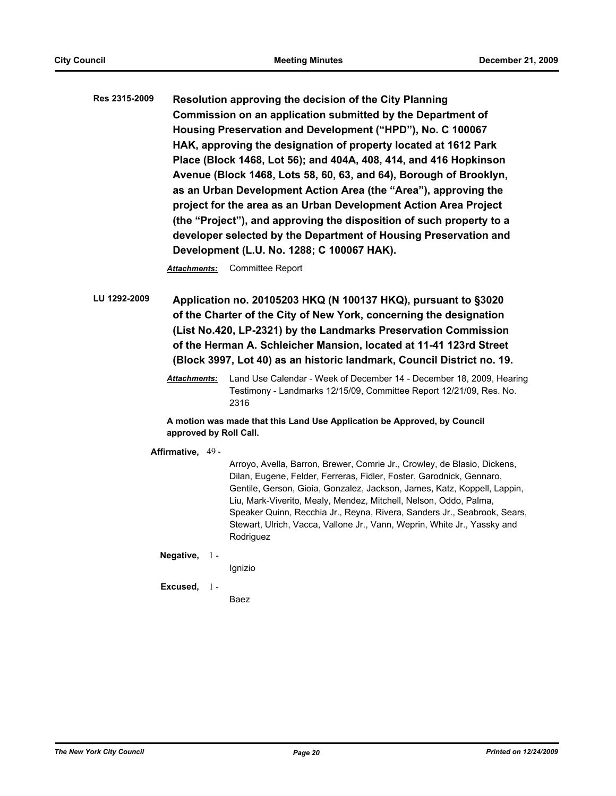**Res 2315-2009 Resolution approving the decision of the City Planning Commission on an application submitted by the Department of Housing Preservation and Development ("HPD"), No. C 100067 HAK, approving the designation of property located at 1612 Park Place (Block 1468, Lot 56); and 404A, 408, 414, and 416 Hopkinson Avenue (Block 1468, Lots 58, 60, 63, and 64), Borough of Brooklyn, as an Urban Development Action Area (the "Area"), approving the project for the area as an Urban Development Action Area Project (the "Project"), and approving the disposition of such property to a developer selected by the Department of Housing Preservation and Development (L.U. No. 1288; C 100067 HAK).**

*Attachments:* Committee Report

**LU 1292-2009 Application no. 20105203 HKQ (N 100137 HKQ), pursuant to §3020 of the Charter of the City of New York, concerning the designation (List No.420, LP-2321) by the Landmarks Preservation Commission of the Herman A. Schleicher Mansion, located at 11-41 123rd Street (Block 3997, Lot 40) as an historic landmark, Council District no. 19.**

> *Attachments:* Land Use Calendar - Week of December 14 - December 18, 2009, Hearing Testimony - Landmarks 12/15/09, Committee Report 12/21/09, Res. No. 2316

**A motion was made that this Land Use Application be Approved, by Council approved by Roll Call.**

**Affirmative,** 49 -

Arroyo, Avella, Barron, Brewer, Comrie Jr., Crowley, de Blasio, Dickens, Dilan, Eugene, Felder, Ferreras, Fidler, Foster, Garodnick, Gennaro, Gentile, Gerson, Gioia, Gonzalez, Jackson, James, Katz, Koppell, Lappin, Liu, Mark-Viverito, Mealy, Mendez, Mitchell, Nelson, Oddo, Palma, Speaker Quinn, Recchia Jr., Reyna, Rivera, Sanders Jr., Seabrook, Sears, Stewart, Ulrich, Vacca, Vallone Jr., Vann, Weprin, White Jr., Yassky and Rodriguez

**Negative,** 1 -

Ignizio

**Excused,** 1 -

Baez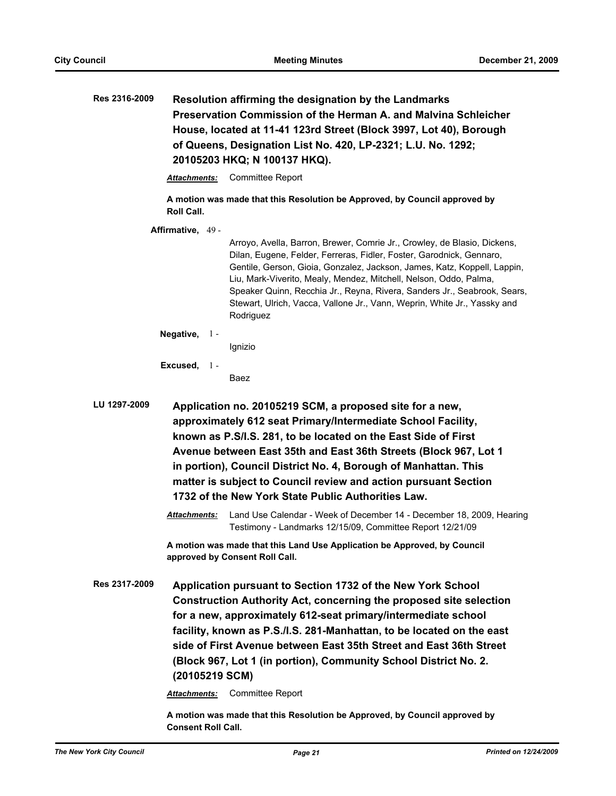| Res 2316-2009 |                                       | Resolution affirming the designation by the Landmarks<br>Preservation Commission of the Herman A. and Malvina Schleicher<br>House, located at 11-41 123rd Street (Block 3997, Lot 40), Borough<br>of Queens, Designation List No. 420, LP-2321; L.U. No. 1292;<br>20105203 HKQ; N 100137 HKQ).                                                                                                                                                                         |
|---------------|---------------------------------------|------------------------------------------------------------------------------------------------------------------------------------------------------------------------------------------------------------------------------------------------------------------------------------------------------------------------------------------------------------------------------------------------------------------------------------------------------------------------|
|               | <b>Attachments:</b>                   | <b>Committee Report</b>                                                                                                                                                                                                                                                                                                                                                                                                                                                |
|               | Roll Call.                            | A motion was made that this Resolution be Approved, by Council approved by                                                                                                                                                                                                                                                                                                                                                                                             |
|               | Affirmative, 49 -                     | Arroyo, Avella, Barron, Brewer, Comrie Jr., Crowley, de Blasio, Dickens,<br>Dilan, Eugene, Felder, Ferreras, Fidler, Foster, Garodnick, Gennaro,<br>Gentile, Gerson, Gioia, Gonzalez, Jackson, James, Katz, Koppell, Lappin,<br>Liu, Mark-Viverito, Mealy, Mendez, Mitchell, Nelson, Oddo, Palma,<br>Speaker Quinn, Recchia Jr., Reyna, Rivera, Sanders Jr., Seabrook, Sears,<br>Stewart, Ulrich, Vacca, Vallone Jr., Vann, Weprin, White Jr., Yassky and<br>Rodriguez |
|               | Negative, $1 -$                       | Ignizio                                                                                                                                                                                                                                                                                                                                                                                                                                                                |
|               | Excused, $1 -$                        | Baez                                                                                                                                                                                                                                                                                                                                                                                                                                                                   |
| LU 1297-2009  |                                       | Application no. 20105219 SCM, a proposed site for a new,<br>approximately 612 seat Primary/Intermediate School Facility,<br>known as P.S/I.S. 281, to be located on the East Side of First<br>Avenue between East 35th and East 36th Streets (Block 967, Lot 1<br>in portion), Council District No. 4, Borough of Manhattan. This<br>matter is subject to Council review and action pursuant Section<br>1732 of the New York State Public Authorities Law.             |
|               | Attachments:                          | Land Use Calendar - Week of December 14 - December 18, 2009, Hearing<br>Testimony - Landmarks 12/15/09, Committee Report 12/21/09                                                                                                                                                                                                                                                                                                                                      |
|               |                                       | A motion was made that this Land Use Application be Approved, by Council<br>approved by Consent Roll Call.                                                                                                                                                                                                                                                                                                                                                             |
| Res 2317-2009 | (20105219 SCM)<br><b>Attachments:</b> | Application pursuant to Section 1732 of the New York School<br><b>Construction Authority Act, concerning the proposed site selection</b><br>for a new, approximately 612-seat primary/intermediate school<br>facility, known as P.S./I.S. 281-Manhattan, to be located on the east<br>side of First Avenue between East 35th Street and East 36th Street<br>(Block 967, Lot 1 (in portion), Community School District No. 2.<br><b>Committee Report</b>                |
|               |                                       | A motion was made that this Resolution be Approved, by Council approved by                                                                                                                                                                                                                                                                                                                                                                                             |

**Consent Roll Call.**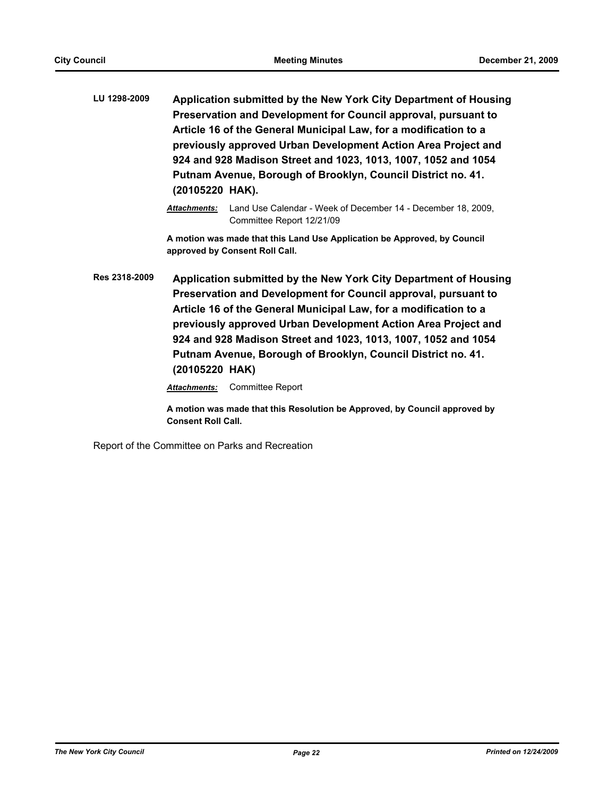- **LU 1298-2009 Application submitted by the New York City Department of Housing Preservation and Development for Council approval, pursuant to Article 16 of the General Municipal Law, for a modification to a previously approved Urban Development Action Area Project and 924 and 928 Madison Street and 1023, 1013, 1007, 1052 and 1054 Putnam Avenue, Borough of Brooklyn, Council District no. 41. (20105220 HAK).**
	- *Attachments:* Land Use Calendar Week of December 14 December 18, 2009, Committee Report 12/21/09

**A motion was made that this Land Use Application be Approved, by Council approved by Consent Roll Call.**

**Res 2318-2009 Application submitted by the New York City Department of Housing Preservation and Development for Council approval, pursuant to Article 16 of the General Municipal Law, for a modification to a previously approved Urban Development Action Area Project and 924 and 928 Madison Street and 1023, 1013, 1007, 1052 and 1054 Putnam Avenue, Borough of Brooklyn, Council District no. 41. (20105220 HAK)**

*Attachments:* Committee Report

**A motion was made that this Resolution be Approved, by Council approved by Consent Roll Call.**

Report of the Committee on Parks and Recreation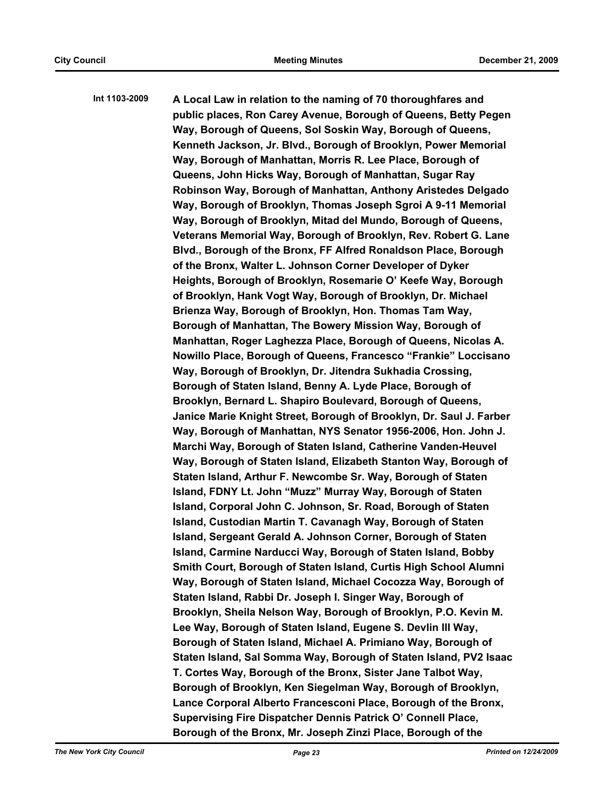**Int 1103-2009 A Local Law in relation to the naming of 70 thoroughfares and public places, Ron Carey Avenue, Borough of Queens, Betty Pegen Way, Borough of Queens, Sol Soskin Way, Borough of Queens, Kenneth Jackson, Jr. Blvd., Borough of Brooklyn, Power Memorial Way, Borough of Manhattan, Morris R. Lee Place, Borough of Queens, John Hicks Way, Borough of Manhattan, Sugar Ray Robinson Way, Borough of Manhattan, Anthony Aristedes Delgado Way, Borough of Brooklyn, Thomas Joseph Sgroi A 9-11 Memorial Way, Borough of Brooklyn, Mitad del Mundo, Borough of Queens, Veterans Memorial Way, Borough of Brooklyn, Rev. Robert G. Lane Blvd., Borough of the Bronx, FF Alfred Ronaldson Place, Borough of the Bronx, Walter L. Johnson Corner Developer of Dyker Heights, Borough of Brooklyn, Rosemarie O' Keefe Way, Borough of Brooklyn, Hank Vogt Way, Borough of Brooklyn, Dr. Michael Brienza Way, Borough of Brooklyn, Hon. Thomas Tam Way, Borough of Manhattan, The Bowery Mission Way, Borough of Manhattan, Roger Laghezza Place, Borough of Queens, Nicolas A. Nowillo Place, Borough of Queens, Francesco "Frankie" Loccisano Way, Borough of Brooklyn, Dr. Jitendra Sukhadia Crossing, Borough of Staten Island, Benny A. Lyde Place, Borough of Brooklyn, Bernard L. Shapiro Boulevard, Borough of Queens, Janice Marie Knight Street, Borough of Brooklyn, Dr. Saul J. Farber Way, Borough of Manhattan, NYS Senator 1956-2006, Hon. John J. Marchi Way, Borough of Staten Island, Catherine Vanden-Heuvel Way, Borough of Staten Island, Elizabeth Stanton Way, Borough of Staten Island, Arthur F. Newcombe Sr. Way, Borough of Staten Island, FDNY Lt. John "Muzz" Murray Way, Borough of Staten Island, Corporal John C. Johnson, Sr. Road, Borough of Staten Island, Custodian Martin T. Cavanagh Way, Borough of Staten Island, Sergeant Gerald A. Johnson Corner, Borough of Staten Island, Carmine Narducci Way, Borough of Staten Island, Bobby Smith Court, Borough of Staten Island, Curtis High School Alumni Way, Borough of Staten Island, Michael Cocozza Way, Borough of Staten Island, Rabbi Dr. Joseph I. Singer Way, Borough of Brooklyn, Sheila Nelson Way, Borough of Brooklyn, P.O. Kevin M. Lee Way, Borough of Staten Island, Eugene S. Devlin III Way, Borough of Staten Island, Michael A. Primiano Way, Borough of Staten Island, Sal Somma Way, Borough of Staten Island, PV2 Isaac T. Cortes Way, Borough of the Bronx, Sister Jane Talbot Way, Borough of Brooklyn, Ken Siegelman Way, Borough of Brooklyn, Lance Corporal Alberto Francesconi Place, Borough of the Bronx, Supervising Fire Dispatcher Dennis Patrick O' Connell Place, Borough of the Bronx, Mr. Joseph Zinzi Place, Borough of the**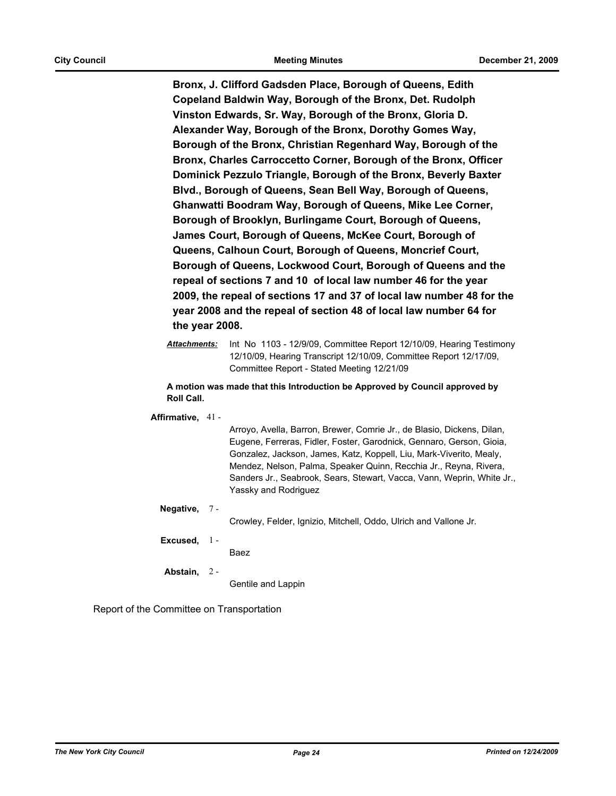**Bronx, J. Clifford Gadsden Place, Borough of Queens, Edith Copeland Baldwin Way, Borough of the Bronx, Det. Rudolph Vinston Edwards, Sr. Way, Borough of the Bronx, Gloria D. Alexander Way, Borough of the Bronx, Dorothy Gomes Way, Borough of the Bronx, Christian Regenhard Way, Borough of the Bronx, Charles Carroccetto Corner, Borough of the Bronx, Officer Dominick Pezzulo Triangle, Borough of the Bronx, Beverly Baxter Blvd., Borough of Queens, Sean Bell Way, Borough of Queens, Ghanwatti Boodram Way, Borough of Queens, Mike Lee Corner, Borough of Brooklyn, Burlingame Court, Borough of Queens, James Court, Borough of Queens, McKee Court, Borough of Queens, Calhoun Court, Borough of Queens, Moncrief Court, Borough of Queens, Lockwood Court, Borough of Queens and the repeal of sections 7 and 10 of local law number 46 for the year 2009, the repeal of sections 17 and 37 of local law number 48 for the year 2008 and the repeal of section 48 of local law number 64 for the year 2008.**

**A motion was made that this Introduction be Approved by Council approved by Roll Call.**

**Affirmative,** 41 -

Arroyo, Avella, Barron, Brewer, Comrie Jr., de Blasio, Dickens, Dilan, Eugene, Ferreras, Fidler, Foster, Garodnick, Gennaro, Gerson, Gioia, Gonzalez, Jackson, James, Katz, Koppell, Liu, Mark-Viverito, Mealy, Mendez, Nelson, Palma, Speaker Quinn, Recchia Jr., Reyna, Rivera, Sanders Jr., Seabrook, Sears, Stewart, Vacca, Vann, Weprin, White Jr., Yassky and Rodriguez

**Negative,** 7 -

Crowley, Felder, Ignizio, Mitchell, Oddo, Ulrich and Vallone Jr.

**Excused,** 1 -

Baez

**Abstain,**  $2 -$ 

Gentile and Lappin

Report of the Committee on Transportation

*Attachments:* Int No 1103 - 12/9/09, Committee Report 12/10/09, Hearing Testimony 12/10/09, Hearing Transcript 12/10/09, Committee Report 12/17/09, Committee Report - Stated Meeting 12/21/09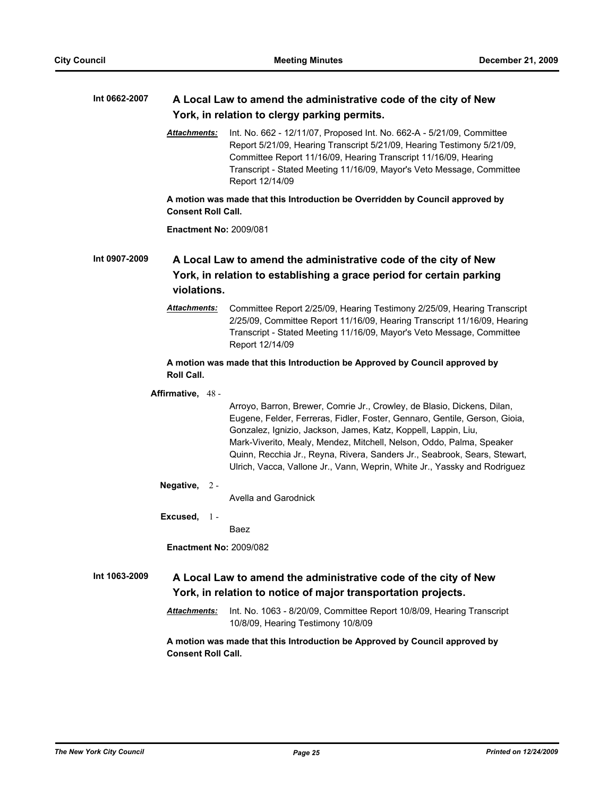| Int 0662-2007 | A Local Law to amend the administrative code of the city of New<br>York, in relation to clergy parking permits. |                                                                                                                                                                                                                                                                                                                                                                                                                                                           |  |  |
|---------------|-----------------------------------------------------------------------------------------------------------------|-----------------------------------------------------------------------------------------------------------------------------------------------------------------------------------------------------------------------------------------------------------------------------------------------------------------------------------------------------------------------------------------------------------------------------------------------------------|--|--|
|               | <b>Attachments:</b>                                                                                             | Int. No. 662 - 12/11/07, Proposed Int. No. 662-A - 5/21/09, Committee<br>Report 5/21/09, Hearing Transcript 5/21/09, Hearing Testimony 5/21/09,<br>Committee Report 11/16/09, Hearing Transcript 11/16/09, Hearing<br>Transcript - Stated Meeting 11/16/09, Mayor's Veto Message, Committee<br>Report 12/14/09                                                                                                                                            |  |  |
|               | <b>Consent Roll Call.</b>                                                                                       | A motion was made that this Introduction be Overridden by Council approved by                                                                                                                                                                                                                                                                                                                                                                             |  |  |
|               | <b>Enactment No: 2009/081</b>                                                                                   |                                                                                                                                                                                                                                                                                                                                                                                                                                                           |  |  |
| Int 0907-2009 | violations.                                                                                                     | A Local Law to amend the administrative code of the city of New<br>York, in relation to establishing a grace period for certain parking                                                                                                                                                                                                                                                                                                                   |  |  |
|               | <u> Attachments:</u>                                                                                            | Committee Report 2/25/09, Hearing Testimony 2/25/09, Hearing Transcript<br>2/25/09, Committee Report 11/16/09, Hearing Transcript 11/16/09, Hearing<br>Transcript - Stated Meeting 11/16/09, Mayor's Veto Message, Committee<br>Report 12/14/09                                                                                                                                                                                                           |  |  |
|               | Roll Call.                                                                                                      | A motion was made that this Introduction be Approved by Council approved by                                                                                                                                                                                                                                                                                                                                                                               |  |  |
|               | Affirmative, 48 -                                                                                               | Arroyo, Barron, Brewer, Comrie Jr., Crowley, de Blasio, Dickens, Dilan,<br>Eugene, Felder, Ferreras, Fidler, Foster, Gennaro, Gentile, Gerson, Gioia,<br>Gonzalez, Ignizio, Jackson, James, Katz, Koppell, Lappin, Liu,<br>Mark-Viverito, Mealy, Mendez, Mitchell, Nelson, Oddo, Palma, Speaker<br>Quinn, Recchia Jr., Reyna, Rivera, Sanders Jr., Seabrook, Sears, Stewart,<br>Ulrich, Vacca, Vallone Jr., Vann, Weprin, White Jr., Yassky and Rodriguez |  |  |
|               | Negative,<br>$2 -$                                                                                              | Avella and Garodnick                                                                                                                                                                                                                                                                                                                                                                                                                                      |  |  |
|               | Excused,<br>$1 -$                                                                                               | Baez                                                                                                                                                                                                                                                                                                                                                                                                                                                      |  |  |
|               | Enactment No: 2009/082                                                                                          |                                                                                                                                                                                                                                                                                                                                                                                                                                                           |  |  |
| Int 1063-2009 |                                                                                                                 | A Local Law to amend the administrative code of the city of New<br>York, in relation to notice of major transportation projects.                                                                                                                                                                                                                                                                                                                          |  |  |
|               | Attachments:                                                                                                    | Int. No. 1063 - 8/20/09, Committee Report 10/8/09, Hearing Transcript<br>10/8/09, Hearing Testimony 10/8/09                                                                                                                                                                                                                                                                                                                                               |  |  |
|               | <b>Consent Roll Call.</b>                                                                                       | A motion was made that this Introduction be Approved by Council approved by                                                                                                                                                                                                                                                                                                                                                                               |  |  |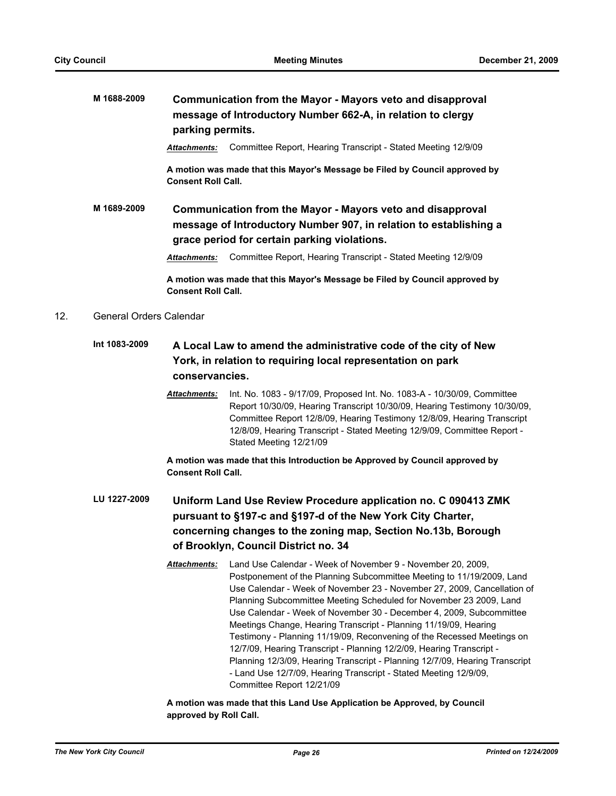## **M 1688-2009 Communication from the Mayor - Mayors veto and disapproval message of Introductory Number 662-A, in relation to clergy parking permits.**

*Attachments:* Committee Report, Hearing Transcript - Stated Meeting 12/9/09

**A motion was made that this Mayor's Message be Filed by Council approved by Consent Roll Call.**

**M 1689-2009 Communication from the Mayor - Mayors veto and disapproval message of Introductory Number 907, in relation to establishing a grace period for certain parking violations.**

*Attachments:* Committee Report, Hearing Transcript - Stated Meeting 12/9/09

**A motion was made that this Mayor's Message be Filed by Council approved by Consent Roll Call.**

#### 12. General Orders Calendar

- **Int 1083-2009 A Local Law to amend the administrative code of the city of New York, in relation to requiring local representation on park conservancies.**
	- *Attachments:* Int. No. 1083 9/17/09, Proposed Int. No. 1083-A 10/30/09, Committee Report 10/30/09, Hearing Transcript 10/30/09, Hearing Testimony 10/30/09, Committee Report 12/8/09, Hearing Testimony 12/8/09, Hearing Transcript 12/8/09, Hearing Transcript - Stated Meeting 12/9/09, Committee Report - Stated Meeting 12/21/09

**A motion was made that this Introduction be Approved by Council approved by Consent Roll Call.**

- **LU 1227-2009 Uniform Land Use Review Procedure application no. C 090413 ZMK pursuant to §197-c and §197-d of the New York City Charter, concerning changes to the zoning map, Section No.13b, Borough of Brooklyn, Council District no. 34**
	- *Attachments:* Land Use Calendar Week of November 9 November 20, 2009, Postponement of the Planning Subcommittee Meeting to 11/19/2009, Land Use Calendar - Week of November 23 - November 27, 2009, Cancellation of Planning Subcommittee Meeting Scheduled for November 23 2009, Land Use Calendar - Week of November 30 - December 4, 2009, Subcommittee Meetings Change, Hearing Transcript - Planning 11/19/09, Hearing Testimony - Planning 11/19/09, Reconvening of the Recessed Meetings on 12/7/09, Hearing Transcript - Planning 12/2/09, Hearing Transcript - Planning 12/3/09, Hearing Transcript - Planning 12/7/09, Hearing Transcript - Land Use 12/7/09, Hearing Transcript - Stated Meeting 12/9/09, Committee Report 12/21/09

**A motion was made that this Land Use Application be Approved, by Council approved by Roll Call.**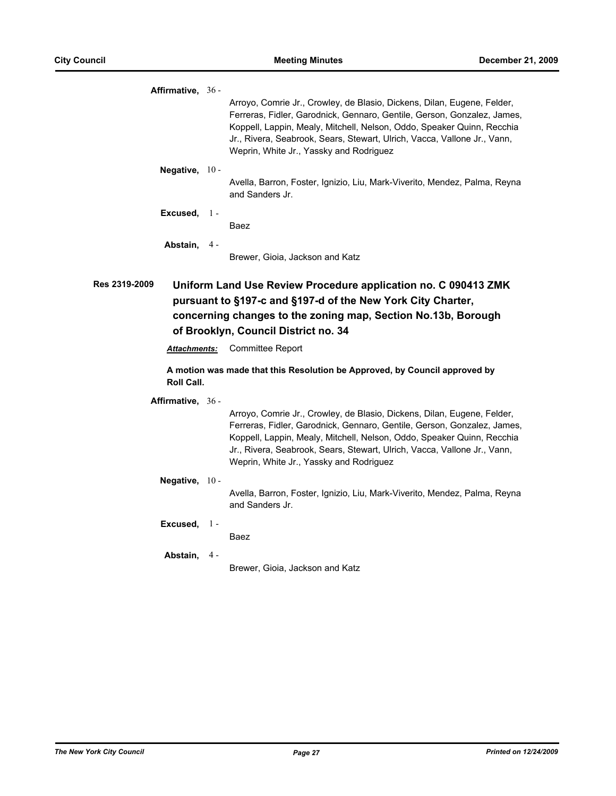| Affirmative, 36 -                                                                                                                                                                                                                                       |       |                                                                                                                                                                                                                                                                                                                                                     |  |  |
|---------------------------------------------------------------------------------------------------------------------------------------------------------------------------------------------------------------------------------------------------------|-------|-----------------------------------------------------------------------------------------------------------------------------------------------------------------------------------------------------------------------------------------------------------------------------------------------------------------------------------------------------|--|--|
|                                                                                                                                                                                                                                                         |       | Arroyo, Comrie Jr., Crowley, de Blasio, Dickens, Dilan, Eugene, Felder,<br>Ferreras, Fidler, Garodnick, Gennaro, Gentile, Gerson, Gonzalez, James,<br>Koppell, Lappin, Mealy, Mitchell, Nelson, Oddo, Speaker Quinn, Recchia<br>Jr., Rivera, Seabrook, Sears, Stewart, Ulrich, Vacca, Vallone Jr., Vann,<br>Weprin, White Jr., Yassky and Rodriguez |  |  |
| Negative, $10 -$                                                                                                                                                                                                                                        |       | Avella, Barron, Foster, Ignizio, Liu, Mark-Viverito, Mendez, Palma, Reyna<br>and Sanders Jr.                                                                                                                                                                                                                                                        |  |  |
| Excused, $1 -$                                                                                                                                                                                                                                          |       | Baez                                                                                                                                                                                                                                                                                                                                                |  |  |
| Abstain, 4-                                                                                                                                                                                                                                             |       | Brewer, Gioia, Jackson and Katz                                                                                                                                                                                                                                                                                                                     |  |  |
| Res 2319-2009<br>Uniform Land Use Review Procedure application no. C 090413 ZMK<br>pursuant to §197-c and §197-d of the New York City Charter,<br>concerning changes to the zoning map, Section No.13b, Borough<br>of Brooklyn, Council District no. 34 |       |                                                                                                                                                                                                                                                                                                                                                     |  |  |
| <u> Attachments:</u>                                                                                                                                                                                                                                    |       | <b>Committee Report</b>                                                                                                                                                                                                                                                                                                                             |  |  |
| <b>Roll Call.</b>                                                                                                                                                                                                                                       |       | A motion was made that this Resolution be Approved, by Council approved by                                                                                                                                                                                                                                                                          |  |  |
| Affirmative, 36 -                                                                                                                                                                                                                                       |       |                                                                                                                                                                                                                                                                                                                                                     |  |  |
|                                                                                                                                                                                                                                                         |       |                                                                                                                                                                                                                                                                                                                                                     |  |  |
|                                                                                                                                                                                                                                                         |       | Arroyo, Comrie Jr., Crowley, de Blasio, Dickens, Dilan, Eugene, Felder,<br>Ferreras, Fidler, Garodnick, Gennaro, Gentile, Gerson, Gonzalez, James,<br>Koppell, Lappin, Mealy, Mitchell, Nelson, Oddo, Speaker Quinn, Recchia<br>Jr., Rivera, Seabrook, Sears, Stewart, Ulrich, Vacca, Vallone Jr., Vann,<br>Weprin, White Jr., Yassky and Rodriguez |  |  |
| Negative, 10 -                                                                                                                                                                                                                                          |       |                                                                                                                                                                                                                                                                                                                                                     |  |  |
|                                                                                                                                                                                                                                                         |       | Avella, Barron, Foster, Ignizio, Liu, Mark-Viverito, Mendez, Palma, Reyna<br>and Sanders Jr.                                                                                                                                                                                                                                                        |  |  |
| Excused,                                                                                                                                                                                                                                                | $1 -$ | Baez                                                                                                                                                                                                                                                                                                                                                |  |  |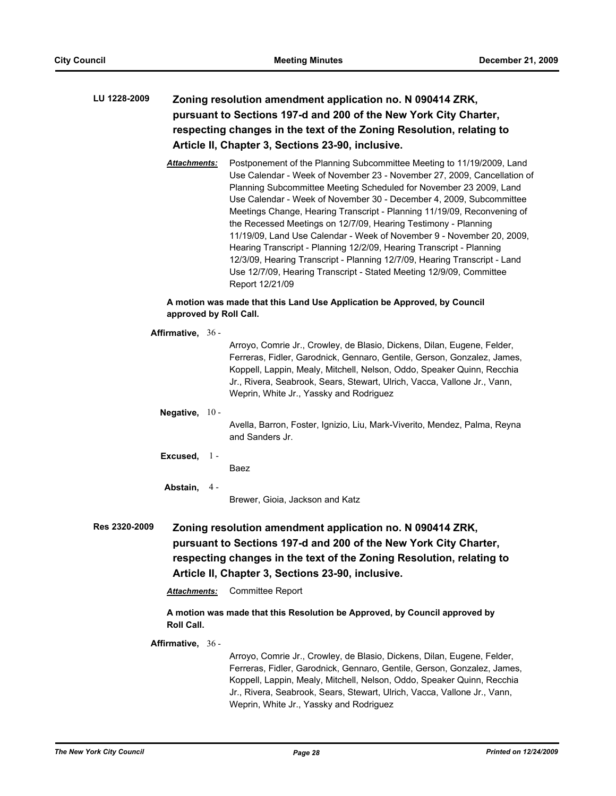# **LU 1228-2009 Zoning resolution amendment application no. N 090414 ZRK, pursuant to Sections 197-d and 200 of the New York City Charter, respecting changes in the text of the Zoning Resolution, relating to Article II, Chapter 3, Sections 23-90, inclusive.**

*Attachments:* Postponement of the Planning Subcommittee Meeting to 11/19/2009, Land Use Calendar - Week of November 23 - November 27, 2009, Cancellation of Planning Subcommittee Meeting Scheduled for November 23 2009, Land Use Calendar - Week of November 30 - December 4, 2009, Subcommittee Meetings Change, Hearing Transcript - Planning 11/19/09, Reconvening of the Recessed Meetings on 12/7/09, Hearing Testimony - Planning 11/19/09, Land Use Calendar - Week of November 9 - November 20, 2009, Hearing Transcript - Planning 12/2/09, Hearing Transcript - Planning 12/3/09, Hearing Transcript - Planning 12/7/09, Hearing Transcript - Land Use 12/7/09, Hearing Transcript - Stated Meeting 12/9/09, Committee Report 12/21/09

### **A motion was made that this Land Use Application be Approved, by Council approved by Roll Call.**

|               | Affirmative, $36 -$                                                                                                                                                                                                                                                                                                                                                                                      |  |                                                                                                                                                                                                                                                                                                                                                     |
|---------------|----------------------------------------------------------------------------------------------------------------------------------------------------------------------------------------------------------------------------------------------------------------------------------------------------------------------------------------------------------------------------------------------------------|--|-----------------------------------------------------------------------------------------------------------------------------------------------------------------------------------------------------------------------------------------------------------------------------------------------------------------------------------------------------|
|               |                                                                                                                                                                                                                                                                                                                                                                                                          |  | Arroyo, Comrie Jr., Crowley, de Blasio, Dickens, Dilan, Eugene, Felder,<br>Ferreras, Fidler, Garodnick, Gennaro, Gentile, Gerson, Gonzalez, James,<br>Koppell, Lappin, Mealy, Mitchell, Nelson, Oddo, Speaker Quinn, Recchia<br>Jr., Rivera, Seabrook, Sears, Stewart, Ulrich, Vacca, Vallone Jr., Vann,<br>Weprin, White Jr., Yassky and Rodriguez |
|               | Negative, $10 -$                                                                                                                                                                                                                                                                                                                                                                                         |  |                                                                                                                                                                                                                                                                                                                                                     |
|               |                                                                                                                                                                                                                                                                                                                                                                                                          |  | Avella, Barron, Foster, Ignizio, Liu, Mark-Viverito, Mendez, Palma, Reyna<br>and Sanders Jr.                                                                                                                                                                                                                                                        |
|               | Excused, $1 -$                                                                                                                                                                                                                                                                                                                                                                                           |  |                                                                                                                                                                                                                                                                                                                                                     |
|               |                                                                                                                                                                                                                                                                                                                                                                                                          |  | Baez                                                                                                                                                                                                                                                                                                                                                |
|               | Abstain, 4-                                                                                                                                                                                                                                                                                                                                                                                              |  |                                                                                                                                                                                                                                                                                                                                                     |
|               |                                                                                                                                                                                                                                                                                                                                                                                                          |  | Brewer, Gioia, Jackson and Katz                                                                                                                                                                                                                                                                                                                     |
| Res 2320-2009 | Zoning resolution amendment application no. N 090414 ZRK,<br>pursuant to Sections 197-d and 200 of the New York City Charter,<br>respecting changes in the text of the Zoning Resolution, relating to<br>Article II, Chapter 3, Sections 23-90, inclusive.<br><b>Committee Report</b><br><b>Attachments:</b><br>A motion was made that this Resolution be Approved, by Council approved by<br>Roll Call. |  |                                                                                                                                                                                                                                                                                                                                                     |

#### **Affirmative,** 36 -

Arroyo, Comrie Jr., Crowley, de Blasio, Dickens, Dilan, Eugene, Felder, Ferreras, Fidler, Garodnick, Gennaro, Gentile, Gerson, Gonzalez, James, Koppell, Lappin, Mealy, Mitchell, Nelson, Oddo, Speaker Quinn, Recchia Jr., Rivera, Seabrook, Sears, Stewart, Ulrich, Vacca, Vallone Jr., Vann, Weprin, White Jr., Yassky and Rodriguez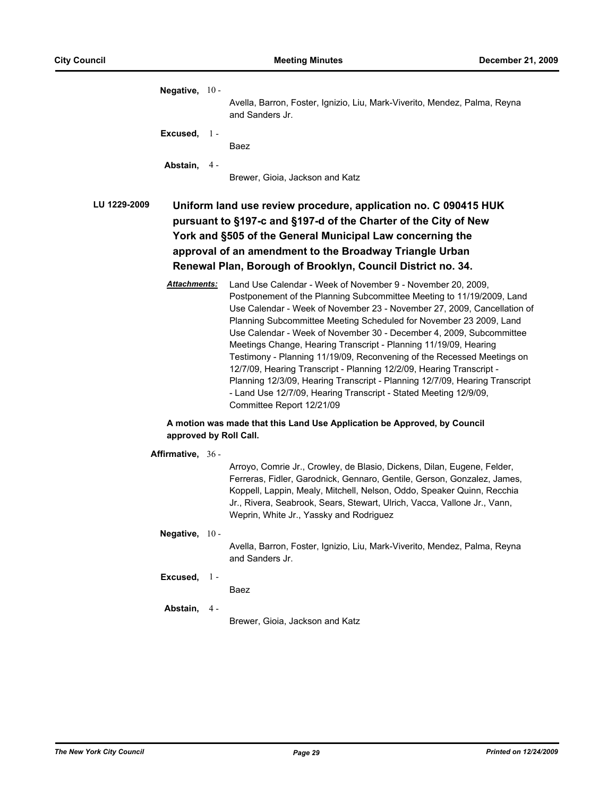| Negative, $10 -$                                                                                                                                                                                                                                                                                                                          |       | Avella, Barron, Foster, Ignizio, Liu, Mark-Viverito, Mendez, Palma, Reyna<br>and Sanders Jr.                                                                                                                                                                                                                                                                                                                                                                                                                                                                                                                                                                                                                                                                       |  |  |  |
|-------------------------------------------------------------------------------------------------------------------------------------------------------------------------------------------------------------------------------------------------------------------------------------------------------------------------------------------|-------|--------------------------------------------------------------------------------------------------------------------------------------------------------------------------------------------------------------------------------------------------------------------------------------------------------------------------------------------------------------------------------------------------------------------------------------------------------------------------------------------------------------------------------------------------------------------------------------------------------------------------------------------------------------------------------------------------------------------------------------------------------------------|--|--|--|
| Excused,                                                                                                                                                                                                                                                                                                                                  | $1 -$ | Baez                                                                                                                                                                                                                                                                                                                                                                                                                                                                                                                                                                                                                                                                                                                                                               |  |  |  |
| Abstain, 4-                                                                                                                                                                                                                                                                                                                               |       | Brewer, Gioia, Jackson and Katz                                                                                                                                                                                                                                                                                                                                                                                                                                                                                                                                                                                                                                                                                                                                    |  |  |  |
| LU 1229-2009<br>Uniform land use review procedure, application no. C 090415 HUK<br>pursuant to §197-c and §197-d of the Charter of the City of New<br>York and §505 of the General Municipal Law concerning the<br>approval of an amendment to the Broadway Triangle Urban<br>Renewal Plan, Borough of Brooklyn, Council District no. 34. |       |                                                                                                                                                                                                                                                                                                                                                                                                                                                                                                                                                                                                                                                                                                                                                                    |  |  |  |
| Attachments:                                                                                                                                                                                                                                                                                                                              |       | Land Use Calendar - Week of November 9 - November 20, 2009,<br>Postponement of the Planning Subcommittee Meeting to 11/19/2009, Land<br>Use Calendar - Week of November 23 - November 27, 2009, Cancellation of<br>Planning Subcommittee Meeting Scheduled for November 23 2009, Land<br>Use Calendar - Week of November 30 - December 4, 2009, Subcommittee<br>Meetings Change, Hearing Transcript - Planning 11/19/09, Hearing<br>Testimony - Planning 11/19/09, Reconvening of the Recessed Meetings on<br>12/7/09, Hearing Transcript - Planning 12/2/09, Hearing Transcript -<br>Planning 12/3/09, Hearing Transcript - Planning 12/7/09, Hearing Transcript<br>- Land Use 12/7/09, Hearing Transcript - Stated Meeting 12/9/09,<br>Committee Report 12/21/09 |  |  |  |
|                                                                                                                                                                                                                                                                                                                                           |       | A motion was made that this Land Use Application be Approved, by Council<br>approved by Roll Call.                                                                                                                                                                                                                                                                                                                                                                                                                                                                                                                                                                                                                                                                 |  |  |  |
| Affirmative, 36 -                                                                                                                                                                                                                                                                                                                         |       | Arroyo, Comrie Jr., Crowley, de Blasio, Dickens, Dilan, Eugene, Felder,<br>Ferreras, Fidler, Garodnick, Gennaro, Gentile, Gerson, Gonzalez, James,<br>Koppell, Lappin, Mealy, Mitchell, Nelson, Oddo, Speaker Quinn, Recchia<br>Jr., Rivera, Seabrook, Sears, Stewart, Ulrich, Vacca, Vallone Jr., Vann,<br>Weprin, White Jr., Yassky and Rodriguez                                                                                                                                                                                                                                                                                                                                                                                                                |  |  |  |
| Negative, $10 -$                                                                                                                                                                                                                                                                                                                          |       | Avella, Barron, Foster, Ignizio, Liu, Mark-Viverito, Mendez, Palma, Reyna<br>and Sanders Jr.                                                                                                                                                                                                                                                                                                                                                                                                                                                                                                                                                                                                                                                                       |  |  |  |
| Excused,                                                                                                                                                                                                                                                                                                                                  | $1 -$ | Baez                                                                                                                                                                                                                                                                                                                                                                                                                                                                                                                                                                                                                                                                                                                                                               |  |  |  |
| Abstain,                                                                                                                                                                                                                                                                                                                                  | 4 -   | Brewer, Gioia, Jackson and Katz                                                                                                                                                                                                                                                                                                                                                                                                                                                                                                                                                                                                                                                                                                                                    |  |  |  |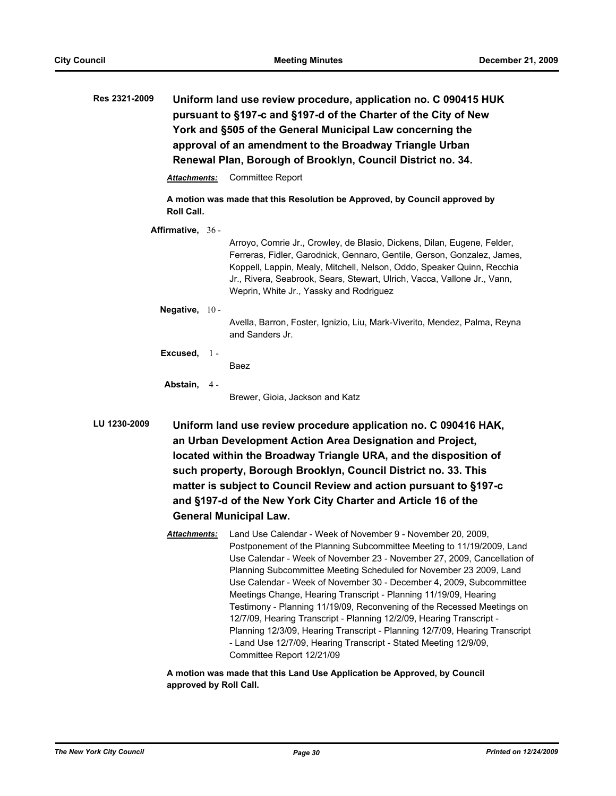| <b>Res 2321-2009</b> | Uniform land use review procedure, application no. C 090415 HUK<br>pursuant to §197-c and §197-d of the Charter of the City of New<br>York and §505 of the General Municipal Law concerning the<br>approval of an amendment to the Broadway Triangle Urban<br>Renewal Plan, Borough of Brooklyn, Council District no. 34. |                                                                                                                                                                                                                                                                                                                                                                                                                                                                                                                                                                                                                                                                                                                                       |  |  |  |  |  |
|----------------------|---------------------------------------------------------------------------------------------------------------------------------------------------------------------------------------------------------------------------------------------------------------------------------------------------------------------------|---------------------------------------------------------------------------------------------------------------------------------------------------------------------------------------------------------------------------------------------------------------------------------------------------------------------------------------------------------------------------------------------------------------------------------------------------------------------------------------------------------------------------------------------------------------------------------------------------------------------------------------------------------------------------------------------------------------------------------------|--|--|--|--|--|
|                      | Attachments:                                                                                                                                                                                                                                                                                                              | Committee Report                                                                                                                                                                                                                                                                                                                                                                                                                                                                                                                                                                                                                                                                                                                      |  |  |  |  |  |
|                      | <b>Roll Call.</b>                                                                                                                                                                                                                                                                                                         | A motion was made that this Resolution be Approved, by Council approved by                                                                                                                                                                                                                                                                                                                                                                                                                                                                                                                                                                                                                                                            |  |  |  |  |  |
|                      | Affirmative, 36 -                                                                                                                                                                                                                                                                                                         | Arroyo, Comrie Jr., Crowley, de Blasio, Dickens, Dilan, Eugene, Felder,<br>Ferreras, Fidler, Garodnick, Gennaro, Gentile, Gerson, Gonzalez, James,<br>Koppell, Lappin, Mealy, Mitchell, Nelson, Oddo, Speaker Quinn, Recchia<br>Jr., Rivera, Seabrook, Sears, Stewart, Ulrich, Vacca, Vallone Jr., Vann,<br>Weprin, White Jr., Yassky and Rodriguez                                                                                                                                                                                                                                                                                                                                                                                   |  |  |  |  |  |
|                      | Negative, 10-                                                                                                                                                                                                                                                                                                             | Avella, Barron, Foster, Ignizio, Liu, Mark-Viverito, Mendez, Palma, Reyna<br>and Sanders Jr.                                                                                                                                                                                                                                                                                                                                                                                                                                                                                                                                                                                                                                          |  |  |  |  |  |
| Excused,             | $1 -$                                                                                                                                                                                                                                                                                                                     | Baez                                                                                                                                                                                                                                                                                                                                                                                                                                                                                                                                                                                                                                                                                                                                  |  |  |  |  |  |
|                      | Abstain,<br>4 -                                                                                                                                                                                                                                                                                                           | Brewer, Gioia, Jackson and Katz                                                                                                                                                                                                                                                                                                                                                                                                                                                                                                                                                                                                                                                                                                       |  |  |  |  |  |
| LU 1230-2009         |                                                                                                                                                                                                                                                                                                                           | Uniform land use review procedure application no. C 090416 HAK,<br>an Urban Development Action Area Designation and Project,<br>located within the Broadway Triangle URA, and the disposition of<br>such property, Borough Brooklyn, Council District no. 33. This<br>matter is subject to Council Review and action pursuant to §197-c<br>and §197-d of the New York City Charter and Article 16 of the                                                                                                                                                                                                                                                                                                                              |  |  |  |  |  |
|                      | <b>General Municipal Law.</b>                                                                                                                                                                                                                                                                                             |                                                                                                                                                                                                                                                                                                                                                                                                                                                                                                                                                                                                                                                                                                                                       |  |  |  |  |  |
|                      | Attachments:                                                                                                                                                                                                                                                                                                              | Land Use Calendar - Week of November 9 - November 20, 2009,<br>Postponement of the Planning Subcommittee Meeting to 11/19/2009, Land<br>Use Calendar - Week of November 23 - November 27, 2009, Cancellation of<br>Planning Subcommittee Meeting Scheduled for November 23 2009, Land<br>Use Calendar - Week of November 30 - December 4, 2009, Subcommittee<br>Meetings Change, Hearing Transcript - Planning 11/19/09, Hearing<br>Testimony - Planning 11/19/09, Reconvening of the Recessed Meetings on<br>12/7/09, Hearing Transcript - Planning 12/2/09, Hearing Transcript -<br>Planning 12/3/09, Hearing Transcript - Planning 12/7/09, Hearing Transcript<br>- Land Use 12/7/09, Hearing Transcript - Stated Meeting 12/9/09, |  |  |  |  |  |

**A motion was made that this Land Use Application be Approved, by Council approved by Roll Call.**

Committee Report 12/21/09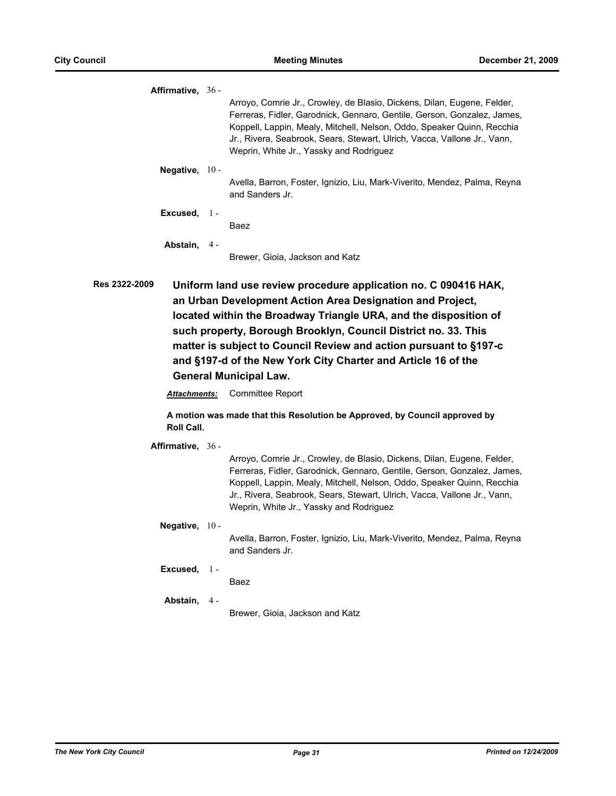**Affirmative,** 36 - Arroyo, Comrie Jr., Crowley, de Blasio, Dickens, Dilan, Eugene, Felder, Ferreras, Fidler, Garodnick, Gennaro, Gentile, Gerson, Gonzalez, James, Koppell, Lappin, Mealy, Mitchell, Nelson, Oddo, Speaker Quinn, Recchia Jr., Rivera, Seabrook, Sears, Stewart, Ulrich, Vacca, Vallone Jr., Vann, Weprin, White Jr., Yassky and Rodriguez **Negative,** 10 - Avella, Barron, Foster, Ignizio, Liu, Mark-Viverito, Mendez, Palma, Reyna and Sanders Jr. **Excused,** Baez  $1 -$ **Abstain,** Brewer, Gioia, Jackson and Katz  $4 -$ **Res 2322-2009 Uniform land use review procedure application no. C 090416 HAK, an Urban Development Action Area Designation and Project, located within the Broadway Triangle URA, and the disposition of such property, Borough Brooklyn, Council District no. 33. This matter is subject to Council Review and action pursuant to §197-c and §197-d of the New York City Charter and Article 16 of the General Municipal Law.** *Attachments:* Committee Report **A motion was made that this Resolution be Approved, by Council approved by Roll Call. Affirmative,** 36 - Arroyo, Comrie Jr., Crowley, de Blasio, Dickens, Dilan, Eugene, Felder,

Ferreras, Fidler, Garodnick, Gennaro, Gentile, Gerson, Gonzalez, James, Koppell, Lappin, Mealy, Mitchell, Nelson, Oddo, Speaker Quinn, Recchia Jr., Rivera, Seabrook, Sears, Stewart, Ulrich, Vacca, Vallone Jr., Vann, Weprin, White Jr., Yassky and Rodriguez

**Negative,** 10 - Avella, Barron, Foster, Ignizio, Liu, Mark-Viverito, Mendez, Palma, Reyna and Sanders Jr.

- **Excused,** 1 Baez
	-

**Abstain,** 4 -

Brewer, Gioia, Jackson and Katz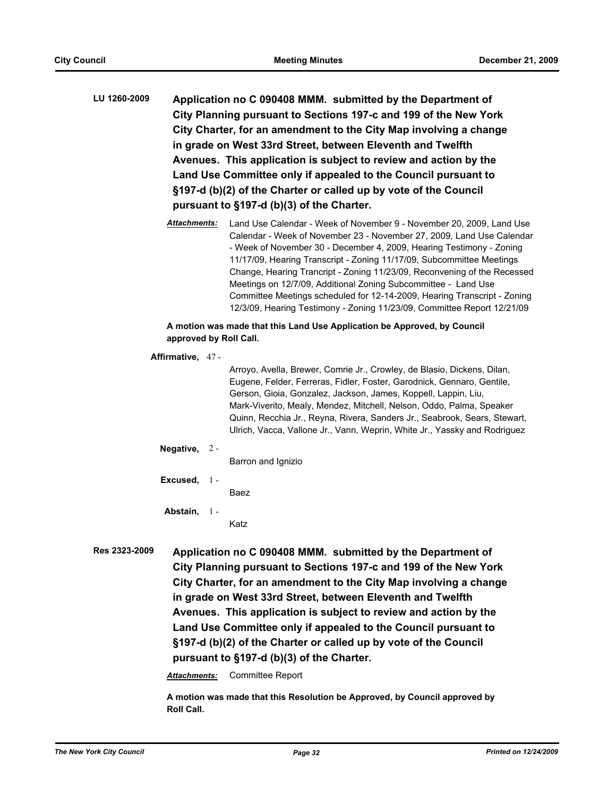- **LU 1260-2009 Application no C 090408 MMM. submitted by the Department of City Planning pursuant to Sections 197-c and 199 of the New York City Charter, for an amendment to the City Map involving a change in grade on West 33rd Street, between Eleventh and Twelfth Avenues. This application is subject to review and action by the Land Use Committee only if appealed to the Council pursuant to §197-d (b)(2) of the Charter or called up by vote of the Council pursuant to §197-d (b)(3) of the Charter.**
	- *Attachments:* Land Use Calendar Week of November 9 November 20, 2009, Land Use Calendar - Week of November 23 - November 27, 2009, Land Use Calendar - Week of November 30 - December 4, 2009, Hearing Testimony - Zoning 11/17/09, Hearing Transcript - Zoning 11/17/09, Subcommittee Meetings Change, Hearing Trancript - Zoning 11/23/09, Reconvening of the Recessed Meetings on 12/7/09, Additional Zoning Subcommittee - Land Use Committee Meetings scheduled for 12-14-2009, Hearing Transcript - Zoning 12/3/09, Hearing Testimony - Zoning 11/23/09, Committee Report 12/21/09

#### **A motion was made that this Land Use Application be Approved, by Council approved by Roll Call.**

#### **Affirmative,** 47 -

Arroyo, Avella, Brewer, Comrie Jr., Crowley, de Blasio, Dickens, Dilan, Eugene, Felder, Ferreras, Fidler, Foster, Garodnick, Gennaro, Gentile, Gerson, Gioia, Gonzalez, Jackson, James, Koppell, Lappin, Liu, Mark-Viverito, Mealy, Mendez, Mitchell, Nelson, Oddo, Palma, Speaker Quinn, Recchia Jr., Reyna, Rivera, Sanders Jr., Seabrook, Sears, Stewart, Ulrich, Vacca, Vallone Jr., Vann, Weprin, White Jr., Yassky and Rodriguez

#### **Negative,** 2 -

Barron and Ignizio

**Excused,** 1 - Baez

**Abstain,**  $1 -$ 

Katz

**Res 2323-2009 Application no C 090408 MMM. submitted by the Department of City Planning pursuant to Sections 197-c and 199 of the New York City Charter, for an amendment to the City Map involving a change in grade on West 33rd Street, between Eleventh and Twelfth Avenues. This application is subject to review and action by the Land Use Committee only if appealed to the Council pursuant to §197-d (b)(2) of the Charter or called up by vote of the Council pursuant to §197-d (b)(3) of the Charter.**

*Attachments:* Committee Report

**A motion was made that this Resolution be Approved, by Council approved by Roll Call.**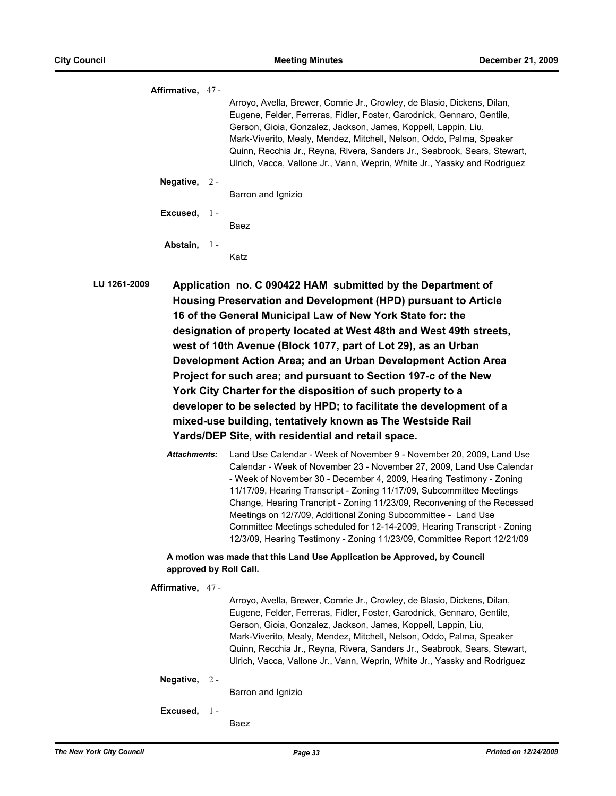| Affirmative, 47-                                                                                                                                                                                                                                                                                                                                                                                                                                                                                                                                                                                                              |  |                                                                                                                                                                                                                                                                                                                                                                                                                                                       |  |
|-------------------------------------------------------------------------------------------------------------------------------------------------------------------------------------------------------------------------------------------------------------------------------------------------------------------------------------------------------------------------------------------------------------------------------------------------------------------------------------------------------------------------------------------------------------------------------------------------------------------------------|--|-------------------------------------------------------------------------------------------------------------------------------------------------------------------------------------------------------------------------------------------------------------------------------------------------------------------------------------------------------------------------------------------------------------------------------------------------------|--|
|                                                                                                                                                                                                                                                                                                                                                                                                                                                                                                                                                                                                                               |  | Arroyo, Avella, Brewer, Comrie Jr., Crowley, de Blasio, Dickens, Dilan,<br>Eugene, Felder, Ferreras, Fidler, Foster, Garodnick, Gennaro, Gentile,<br>Gerson, Gioia, Gonzalez, Jackson, James, Koppell, Lappin, Liu,<br>Mark-Viverito, Mealy, Mendez, Mitchell, Nelson, Oddo, Palma, Speaker<br>Quinn, Recchia Jr., Reyna, Rivera, Sanders Jr., Seabrook, Sears, Stewart,<br>Ulrich, Vacca, Vallone Jr., Vann, Weprin, White Jr., Yassky and Rodriguez |  |
| Negative, $2 -$                                                                                                                                                                                                                                                                                                                                                                                                                                                                                                                                                                                                               |  | Barron and Ignizio                                                                                                                                                                                                                                                                                                                                                                                                                                    |  |
| Excused, 1-                                                                                                                                                                                                                                                                                                                                                                                                                                                                                                                                                                                                                   |  | Baez                                                                                                                                                                                                                                                                                                                                                                                                                                                  |  |
| Abstain, 1-                                                                                                                                                                                                                                                                                                                                                                                                                                                                                                                                                                                                                   |  | Katz                                                                                                                                                                                                                                                                                                                                                                                                                                                  |  |
| LU 1261-2009<br>Application no. C 090422 HAM submitted by the Department of<br>Housing Preservation and Development (HPD) pursuant to Article<br>16 of the General Municipal Law of New York State for: the<br>designation of property located at West 48th and West 49th streets,<br>west of 10th Avenue (Block 1077, part of Lot 29), as an Urban<br>Development Action Area; and an Urban Development Action Area<br>Project for such area; and pursuant to Section 197-c of the New<br>York City Charter for the disposition of such property to a<br>developer to be selected by HPD; to facilitate the development of a |  |                                                                                                                                                                                                                                                                                                                                                                                                                                                       |  |

**mixed-use building, tentatively known as The Westside Rail Yards/DEP Site, with residential and retail space.**

*Attachments:* Land Use Calendar - Week of November 9 - November 20, 2009, Land Use Calendar - Week of November 23 - November 27, 2009, Land Use Calendar - Week of November 30 - December 4, 2009, Hearing Testimony - Zoning 11/17/09, Hearing Transcript - Zoning 11/17/09, Subcommittee Meetings Change, Hearing Trancript - Zoning 11/23/09, Reconvening of the Recessed Meetings on 12/7/09, Additional Zoning Subcommittee - Land Use Committee Meetings scheduled for 12-14-2009, Hearing Transcript - Zoning 12/3/09, Hearing Testimony - Zoning 11/23/09, Committee Report 12/21/09

#### **A motion was made that this Land Use Application be Approved, by Council approved by Roll Call.**

#### **Affirmative,** 47 -

Arroyo, Avella, Brewer, Comrie Jr., Crowley, de Blasio, Dickens, Dilan, Eugene, Felder, Ferreras, Fidler, Foster, Garodnick, Gennaro, Gentile, Gerson, Gioia, Gonzalez, Jackson, James, Koppell, Lappin, Liu, Mark-Viverito, Mealy, Mendez, Mitchell, Nelson, Oddo, Palma, Speaker Quinn, Recchia Jr., Reyna, Rivera, Sanders Jr., Seabrook, Sears, Stewart, Ulrich, Vacca, Vallone Jr., Vann, Weprin, White Jr., Yassky and Rodriguez

**Negative,** 2 -

Barron and Ignizio

**Excused,** 1 -

Baez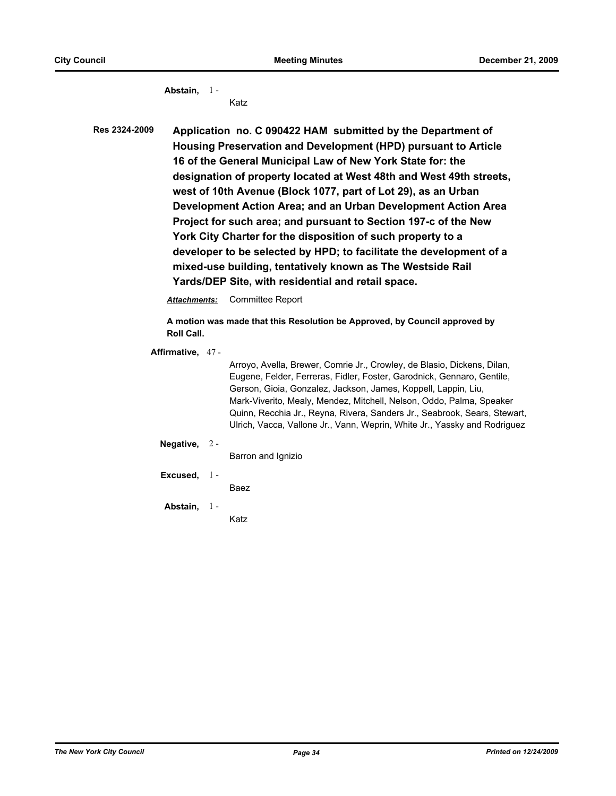**Abstain,** 1 - Katz

**Res 2324-2009 Application no. C 090422 HAM submitted by the Department of Housing Preservation and Development (HPD) pursuant to Article 16 of the General Municipal Law of New York State for: the designation of property located at West 48th and West 49th streets, west of 10th Avenue (Block 1077, part of Lot 29), as an Urban Development Action Area; and an Urban Development Action Area Project for such area; and pursuant to Section 197-c of the New York City Charter for the disposition of such property to a developer to be selected by HPD; to facilitate the development of a mixed-use building, tentatively known as The Westside Rail Yards/DEP Site, with residential and retail space.**

*Attachments:* Committee Report

**A motion was made that this Resolution be Approved, by Council approved by Roll Call.**

**Affirmative,** 47 -

Arroyo, Avella, Brewer, Comrie Jr., Crowley, de Blasio, Dickens, Dilan, Eugene, Felder, Ferreras, Fidler, Foster, Garodnick, Gennaro, Gentile, Gerson, Gioia, Gonzalez, Jackson, James, Koppell, Lappin, Liu, Mark-Viverito, Mealy, Mendez, Mitchell, Nelson, Oddo, Palma, Speaker Quinn, Recchia Jr., Reyna, Rivera, Sanders Jr., Seabrook, Sears, Stewart, Ulrich, Vacca, Vallone Jr., Vann, Weprin, White Jr., Yassky and Rodriguez

**Negative,** 2 -

Barron and Ignizio

**Excused,** 1 -

Baez

**Abstain,** 1 - Katz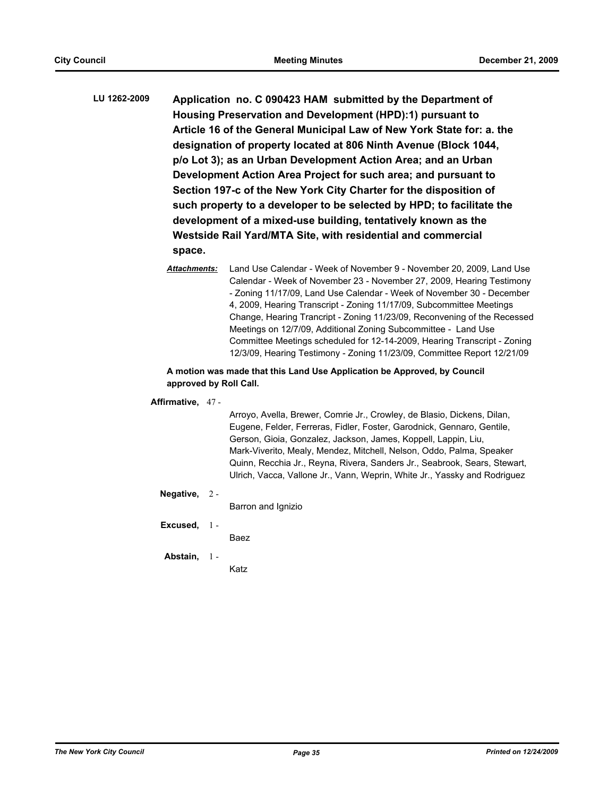- **LU 1262-2009 Application no. C 090423 HAM submitted by the Department of Housing Preservation and Development (HPD):1) pursuant to Article 16 of the General Municipal Law of New York State for: a. the designation of property located at 806 Ninth Avenue (Block 1044, p/o Lot 3); as an Urban Development Action Area; and an Urban Development Action Area Project for such area; and pursuant to Section 197-c of the New York City Charter for the disposition of such property to a developer to be selected by HPD; to facilitate the development of a mixed-use building, tentatively known as the Westside Rail Yard/MTA Site, with residential and commercial space.**
	- *Attachments:* Land Use Calendar Week of November 9 November 20, 2009, Land Use Calendar - Week of November 23 - November 27, 2009, Hearing Testimony - Zoning 11/17/09, Land Use Calendar - Week of November 30 - December 4, 2009, Hearing Transcript - Zoning 11/17/09, Subcommittee Meetings Change, Hearing Trancript - Zoning 11/23/09, Reconvening of the Recessed Meetings on 12/7/09, Additional Zoning Subcommittee - Land Use Committee Meetings scheduled for 12-14-2009, Hearing Transcript - Zoning 12/3/09, Hearing Testimony - Zoning 11/23/09, Committee Report 12/21/09

### **A motion was made that this Land Use Application be Approved, by Council approved by Roll Call.**

#### **Affirmative,** 47 -

Arroyo, Avella, Brewer, Comrie Jr., Crowley, de Blasio, Dickens, Dilan, Eugene, Felder, Ferreras, Fidler, Foster, Garodnick, Gennaro, Gentile, Gerson, Gioia, Gonzalez, Jackson, James, Koppell, Lappin, Liu, Mark-Viverito, Mealy, Mendez, Mitchell, Nelson, Oddo, Palma, Speaker Quinn, Recchia Jr., Reyna, Rivera, Sanders Jr., Seabrook, Sears, Stewart, Ulrich, Vacca, Vallone Jr., Vann, Weprin, White Jr., Yassky and Rodriguez

#### **Negative,** 2 -

Barron and Ignizio

**Excused,** 1 -

Baez

#### **Abstain,** 1 -

Katz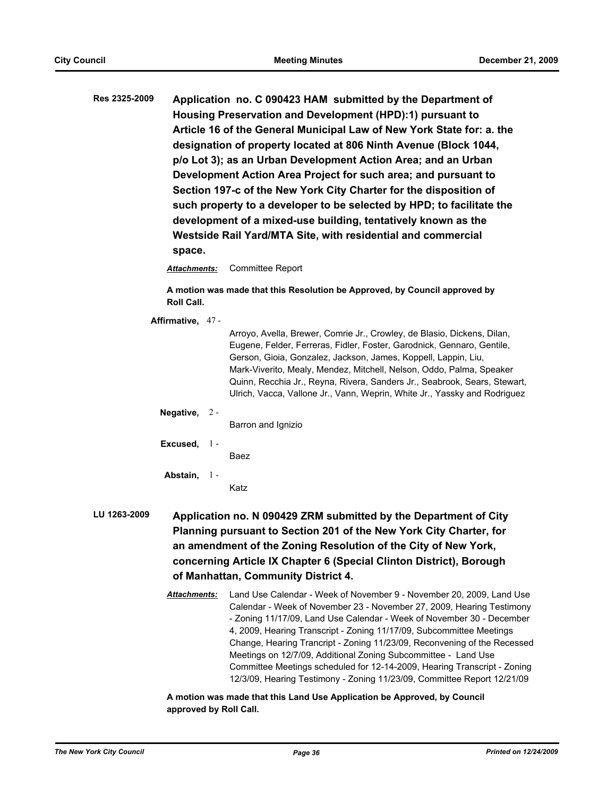**Res 2325-2009 Application no. C 090423 HAM submitted by the Department of Housing Preservation and Development (HPD):1) pursuant to Article 16 of the General Municipal Law of New York State for: a. the designation of property located at 806 Ninth Avenue (Block 1044, p/o Lot 3); as an Urban Development Action Area; and an Urban Development Action Area Project for such area; and pursuant to Section 197-c of the New York City Charter for the disposition of such property to a developer to be selected by HPD; to facilitate the development of a mixed-use building, tentatively known as the Westside Rail Yard/MTA Site, with residential and commercial space.**

*Attachments:* Committee Report

**A motion was made that this Resolution be Approved, by Council approved by Roll Call.**

**Affirmative,** 47 -

Arroyo, Avella, Brewer, Comrie Jr., Crowley, de Blasio, Dickens, Dilan, Eugene, Felder, Ferreras, Fidler, Foster, Garodnick, Gennaro, Gentile, Gerson, Gioia, Gonzalez, Jackson, James, Koppell, Lappin, Liu, Mark-Viverito, Mealy, Mendez, Mitchell, Nelson, Oddo, Palma, Speaker Quinn, Recchia Jr., Reyna, Rivera, Sanders Jr., Seabrook, Sears, Stewart, Ulrich, Vacca, Vallone Jr., Vann, Weprin, White Jr., Yassky and Rodriguez

**Negative,** 2 -

Barron and Ignizio

**Excused,** 1 -

Baez

**Abstain,** 1 -

Katz

# **LU 1263-2009 Application no. N 090429 ZRM submitted by the Department of City Planning pursuant to Section 201 of the New York City Charter, for an amendment of the Zoning Resolution of the City of New York, concerning Article IX Chapter 6 (Special Clinton District), Borough of Manhattan, Community District 4.**

*Attachments:* Land Use Calendar - Week of November 9 - November 20, 2009, Land Use Calendar - Week of November 23 - November 27, 2009, Hearing Testimony - Zoning 11/17/09, Land Use Calendar - Week of November 30 - December 4, 2009, Hearing Transcript - Zoning 11/17/09, Subcommittee Meetings Change, Hearing Trancript - Zoning 11/23/09, Reconvening of the Recessed Meetings on 12/7/09, Additional Zoning Subcommittee - Land Use Committee Meetings scheduled for 12-14-2009, Hearing Transcript - Zoning 12/3/09, Hearing Testimony - Zoning 11/23/09, Committee Report 12/21/09

**A motion was made that this Land Use Application be Approved, by Council approved by Roll Call.**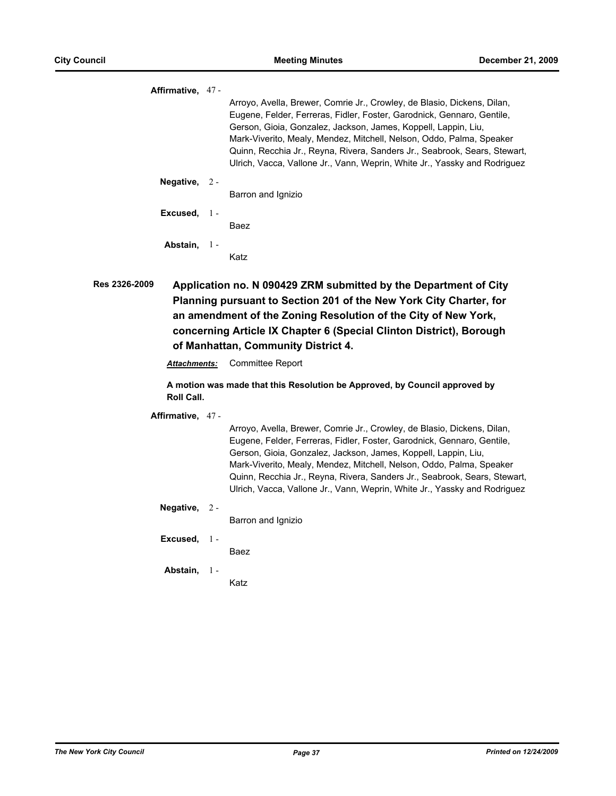|             | Affirmative, 47 - |                                                                                                                                                                                                                                                                                                                                                                                                                                                       |
|-------------|-------------------|-------------------------------------------------------------------------------------------------------------------------------------------------------------------------------------------------------------------------------------------------------------------------------------------------------------------------------------------------------------------------------------------------------------------------------------------------------|
|             |                   | Arroyo, Avella, Brewer, Comrie Jr., Crowley, de Blasio, Dickens, Dilan,<br>Eugene, Felder, Ferreras, Fidler, Foster, Garodnick, Gennaro, Gentile,<br>Gerson, Gioia, Gonzalez, Jackson, James, Koppell, Lappin, Liu,<br>Mark-Viverito, Mealy, Mendez, Mitchell, Nelson, Oddo, Palma, Speaker<br>Quinn, Recchia Jr., Reyna, Rivera, Sanders Jr., Seabrook, Sears, Stewart,<br>Ulrich, Vacca, Vallone Jr., Vann, Weprin, White Jr., Yassky and Rodriguez |
|             | Negative, $2 -$   |                                                                                                                                                                                                                                                                                                                                                                                                                                                       |
|             |                   | Barron and Ignizio                                                                                                                                                                                                                                                                                                                                                                                                                                    |
|             | Excused, $1 -$    |                                                                                                                                                                                                                                                                                                                                                                                                                                                       |
|             |                   | Baez                                                                                                                                                                                                                                                                                                                                                                                                                                                  |
|             | Abstain, 1-       |                                                                                                                                                                                                                                                                                                                                                                                                                                                       |
|             |                   | Katz                                                                                                                                                                                                                                                                                                                                                                                                                                                  |
| <b>nnno</b> |                   |                                                                                                                                                                                                                                                                                                                                                                                                                                                       |

**Res 2326-2009 Application no. N 090429 ZRM submitted by the Department of City Planning pursuant to Section 201 of the New York City Charter, for an amendment of the Zoning Resolution of the City of New York, concerning Article IX Chapter 6 (Special Clinton District), Borough of Manhattan, Community District 4.**

*Attachments:* Committee Report

**A motion was made that this Resolution be Approved, by Council approved by Roll Call.**

**Affirmative,** 47 -

Arroyo, Avella, Brewer, Comrie Jr., Crowley, de Blasio, Dickens, Dilan, Eugene, Felder, Ferreras, Fidler, Foster, Garodnick, Gennaro, Gentile, Gerson, Gioia, Gonzalez, Jackson, James, Koppell, Lappin, Liu, Mark-Viverito, Mealy, Mendez, Mitchell, Nelson, Oddo, Palma, Speaker Quinn, Recchia Jr., Reyna, Rivera, Sanders Jr., Seabrook, Sears, Stewart, Ulrich, Vacca, Vallone Jr., Vann, Weprin, White Jr., Yassky and Rodriguez

**Negative,** 2 -

Barron and Ignizio

**Excused,** 1 -

Baez

**Abstain,** 1 -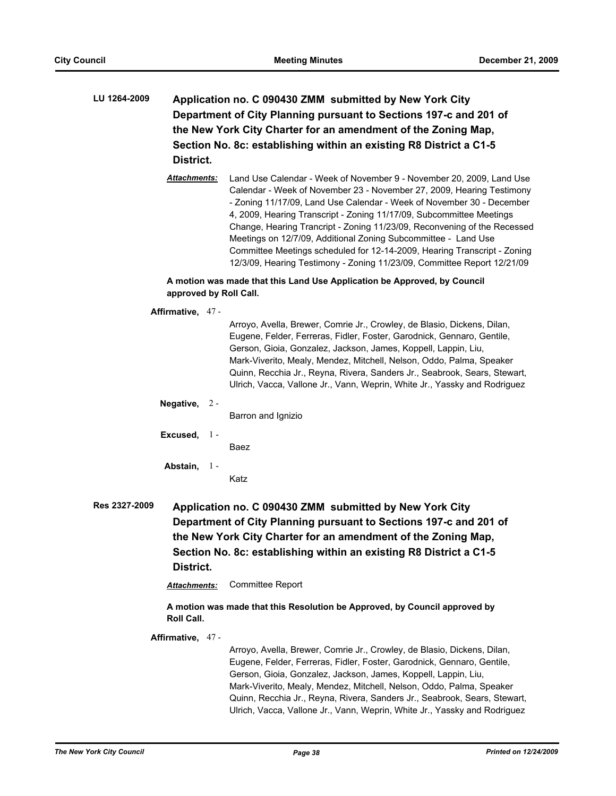- **LU 1264-2009 Application no. C 090430 ZMM submitted by New York City Department of City Planning pursuant to Sections 197-c and 201 of the New York City Charter for an amendment of the Zoning Map, Section No. 8c: establishing within an existing R8 District a C1-5 District.**
	- *Attachments:* Land Use Calendar Week of November 9 November 20, 2009, Land Use Calendar - Week of November 23 - November 27, 2009, Hearing Testimony - Zoning 11/17/09, Land Use Calendar - Week of November 30 - December 4, 2009, Hearing Transcript - Zoning 11/17/09, Subcommittee Meetings Change, Hearing Trancript - Zoning 11/23/09, Reconvening of the Recessed Meetings on 12/7/09, Additional Zoning Subcommittee - Land Use Committee Meetings scheduled for 12-14-2009, Hearing Transcript - Zoning 12/3/09, Hearing Testimony - Zoning 11/23/09, Committee Report 12/21/09

# **A motion was made that this Land Use Application be Approved, by Council approved by Roll Call.**

**Affirmative,** 47 -

Arroyo, Avella, Brewer, Comrie Jr., Crowley, de Blasio, Dickens, Dilan, Eugene, Felder, Ferreras, Fidler, Foster, Garodnick, Gennaro, Gentile, Gerson, Gioia, Gonzalez, Jackson, James, Koppell, Lappin, Liu, Mark-Viverito, Mealy, Mendez, Mitchell, Nelson, Oddo, Palma, Speaker Quinn, Recchia Jr., Reyna, Rivera, Sanders Jr., Seabrook, Sears, Stewart, Ulrich, Vacca, Vallone Jr., Vann, Weprin, White Jr., Yassky and Rodriguez

## **Negative,** 2 -

Barron and Ignizio

**Excused,** 1 -

Baez

**Abstain,**  $1 -$ 

Katz

**Res 2327-2009 Application no. C 090430 ZMM submitted by New York City Department of City Planning pursuant to Sections 197-c and 201 of the New York City Charter for an amendment of the Zoning Map, Section No. 8c: establishing within an existing R8 District a C1-5 District.**

*Attachments:* Committee Report

**A motion was made that this Resolution be Approved, by Council approved by Roll Call.**

**Affirmative,** 47 -

Arroyo, Avella, Brewer, Comrie Jr., Crowley, de Blasio, Dickens, Dilan, Eugene, Felder, Ferreras, Fidler, Foster, Garodnick, Gennaro, Gentile, Gerson, Gioia, Gonzalez, Jackson, James, Koppell, Lappin, Liu, Mark-Viverito, Mealy, Mendez, Mitchell, Nelson, Oddo, Palma, Speaker Quinn, Recchia Jr., Reyna, Rivera, Sanders Jr., Seabrook, Sears, Stewart, Ulrich, Vacca, Vallone Jr., Vann, Weprin, White Jr., Yassky and Rodriguez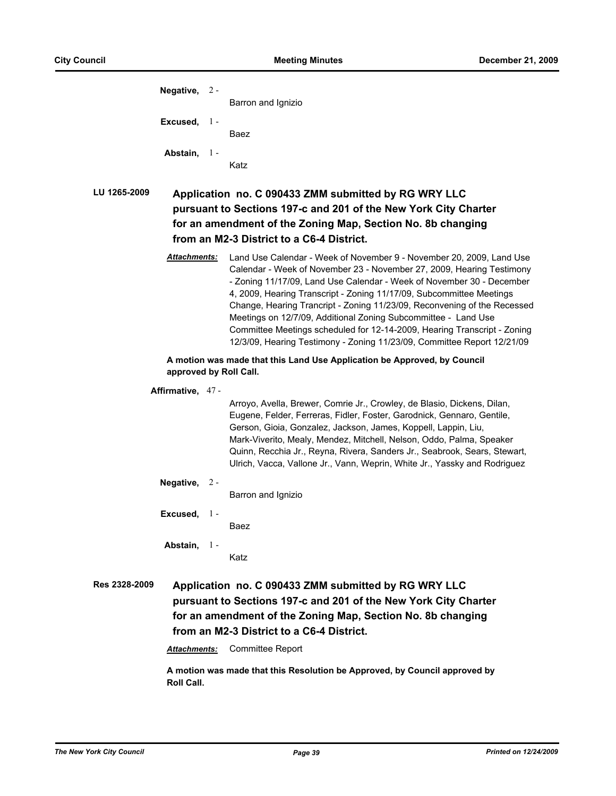| Negative, $2 -$        |              | Barron and Ignizio                                                                                                                                                                                                                                                                                                                                                                                                                                                                                                                                                                                  |
|------------------------|--------------|-----------------------------------------------------------------------------------------------------------------------------------------------------------------------------------------------------------------------------------------------------------------------------------------------------------------------------------------------------------------------------------------------------------------------------------------------------------------------------------------------------------------------------------------------------------------------------------------------------|
| Excused, $1 -$         |              | Baez                                                                                                                                                                                                                                                                                                                                                                                                                                                                                                                                                                                                |
| Abstain,               | $1 -$        | Katz                                                                                                                                                                                                                                                                                                                                                                                                                                                                                                                                                                                                |
| LU 1265-2009           |              | Application no. C 090433 ZMM submitted by RG WRY LLC<br>pursuant to Sections 197-c and 201 of the New York City Charter<br>for an amendment of the Zoning Map, Section No. 8b changing<br>from an M2-3 District to a C6-4 District.                                                                                                                                                                                                                                                                                                                                                                 |
| Attachments:           |              | Land Use Calendar - Week of November 9 - November 20, 2009, Land Use<br>Calendar - Week of November 23 - November 27, 2009, Hearing Testimony<br>- Zoning 11/17/09, Land Use Calendar - Week of November 30 - December<br>4, 2009, Hearing Transcript - Zoning 11/17/09, Subcommittee Meetings<br>Change, Hearing Trancript - Zoning 11/23/09, Reconvening of the Recessed<br>Meetings on 12/7/09, Additional Zoning Subcommittee - Land Use<br>Committee Meetings scheduled for 12-14-2009, Hearing Transcript - Zoning<br>12/3/09, Hearing Testimony - Zoning 11/23/09, Committee Report 12/21/09 |
| approved by Roll Call. |              | A motion was made that this Land Use Application be Approved, by Council                                                                                                                                                                                                                                                                                                                                                                                                                                                                                                                            |
| Affirmative, 47-       |              | Arroyo, Avella, Brewer, Comrie Jr., Crowley, de Blasio, Dickens, Dilan,<br>Eugene, Felder, Ferreras, Fidler, Foster, Garodnick, Gennaro, Gentile,<br>Gerson, Gioia, Gonzalez, Jackson, James, Koppell, Lappin, Liu,<br>Mark-Viverito, Mealy, Mendez, Mitchell, Nelson, Oddo, Palma, Speaker<br>Quinn, Recchia Jr., Reyna, Rivera, Sanders Jr., Seabrook, Sears, Stewart,<br>Ulrich, Vacca, Vallone Jr., Vann, Weprin, White Jr., Yassky and Rodriguez                                                                                                                                               |
| Negative,              | $2 -$        | Barron and Ignizio                                                                                                                                                                                                                                                                                                                                                                                                                                                                                                                                                                                  |
| Excused,               | $\mathbf{1}$ | Baez                                                                                                                                                                                                                                                                                                                                                                                                                                                                                                                                                                                                |
| Abstain,               | $1 -$        | Katz                                                                                                                                                                                                                                                                                                                                                                                                                                                                                                                                                                                                |
| <b>Res 2328-2009</b>   |              | Application no. C 090433 ZMM submitted by RG WRY LLC<br>pursuant to Sections 197-c and 201 of the New York City Charter<br>for an amendment of the Zoning Map, Section No. 8b changing                                                                                                                                                                                                                                                                                                                                                                                                              |

**from an M2-3 District to a C6-4 District.**

*Attachments:* Committee Report

**A motion was made that this Resolution be Approved, by Council approved by Roll Call.**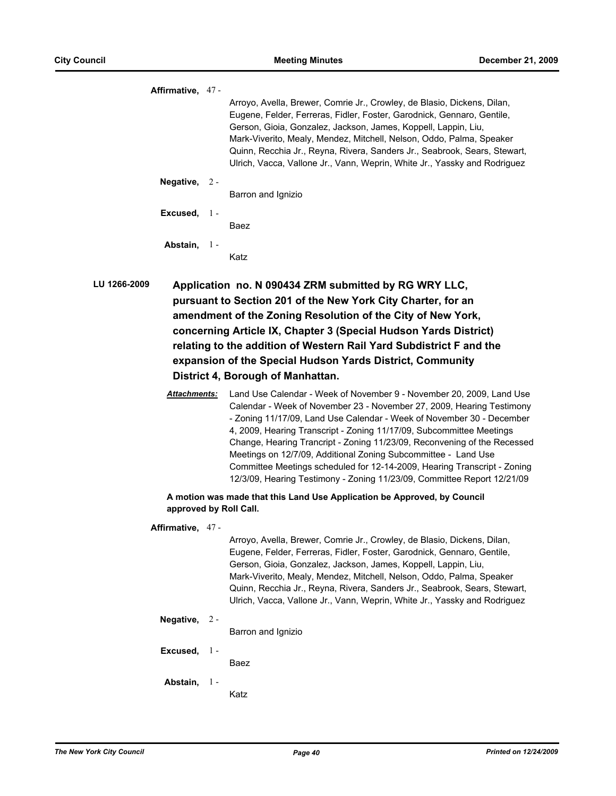|              | Affirmative, 47 - |                                                                                                                                                                                                                                                                                                                                                                                                                                                       |
|--------------|-------------------|-------------------------------------------------------------------------------------------------------------------------------------------------------------------------------------------------------------------------------------------------------------------------------------------------------------------------------------------------------------------------------------------------------------------------------------------------------|
|              |                   | Arroyo, Avella, Brewer, Comrie Jr., Crowley, de Blasio, Dickens, Dilan,<br>Eugene, Felder, Ferreras, Fidler, Foster, Garodnick, Gennaro, Gentile,<br>Gerson, Gioia, Gonzalez, Jackson, James, Koppell, Lappin, Liu,<br>Mark-Viverito, Mealy, Mendez, Mitchell, Nelson, Oddo, Palma, Speaker<br>Quinn, Recchia Jr., Reyna, Rivera, Sanders Jr., Seabrook, Sears, Stewart,<br>Ulrich, Vacca, Vallone Jr., Vann, Weprin, White Jr., Yassky and Rodriguez |
|              | Negative, $2 -$   | Barron and Ignizio                                                                                                                                                                                                                                                                                                                                                                                                                                    |
|              | Excused, $1 -$    |                                                                                                                                                                                                                                                                                                                                                                                                                                                       |
|              |                   | Baez                                                                                                                                                                                                                                                                                                                                                                                                                                                  |
|              | Abstain, 1-       |                                                                                                                                                                                                                                                                                                                                                                                                                                                       |
|              |                   | Katz                                                                                                                                                                                                                                                                                                                                                                                                                                                  |
| LU 1266-2009 |                   | Application no. N 090434 ZRM submitted by RG WRY LLC,<br>pursuant to Section 201 of the New York City Charter, for an                                                                                                                                                                                                                                                                                                                                 |

**amendment of the Zoning Resolution of the City of New York, concerning Article IX, Chapter 3 (Special Hudson Yards District) relating to the addition of Western Rail Yard Subdistrict F and the expansion of the Special Hudson Yards District, Community District 4, Borough of Manhattan.**

*Attachments:* Land Use Calendar - Week of November 9 - November 20, 2009, Land Use Calendar - Week of November 23 - November 27, 2009, Hearing Testimony - Zoning 11/17/09, Land Use Calendar - Week of November 30 - December 4, 2009, Hearing Transcript - Zoning 11/17/09, Subcommittee Meetings Change, Hearing Trancript - Zoning 11/23/09, Reconvening of the Recessed Meetings on 12/7/09, Additional Zoning Subcommittee - Land Use Committee Meetings scheduled for 12-14-2009, Hearing Transcript - Zoning 12/3/09, Hearing Testimony - Zoning 11/23/09, Committee Report 12/21/09

**A motion was made that this Land Use Application be Approved, by Council approved by Roll Call.**

#### **Affirmative,** 47 -

Arroyo, Avella, Brewer, Comrie Jr., Crowley, de Blasio, Dickens, Dilan, Eugene, Felder, Ferreras, Fidler, Foster, Garodnick, Gennaro, Gentile, Gerson, Gioia, Gonzalez, Jackson, James, Koppell, Lappin, Liu, Mark-Viverito, Mealy, Mendez, Mitchell, Nelson, Oddo, Palma, Speaker Quinn, Recchia Jr., Reyna, Rivera, Sanders Jr., Seabrook, Sears, Stewart, Ulrich, Vacca, Vallone Jr., Vann, Weprin, White Jr., Yassky and Rodriguez

#### **Negative,** 2 -

Barron and Ignizio

**Excused,** 1 -

Baez

# **Abstain,** 1 -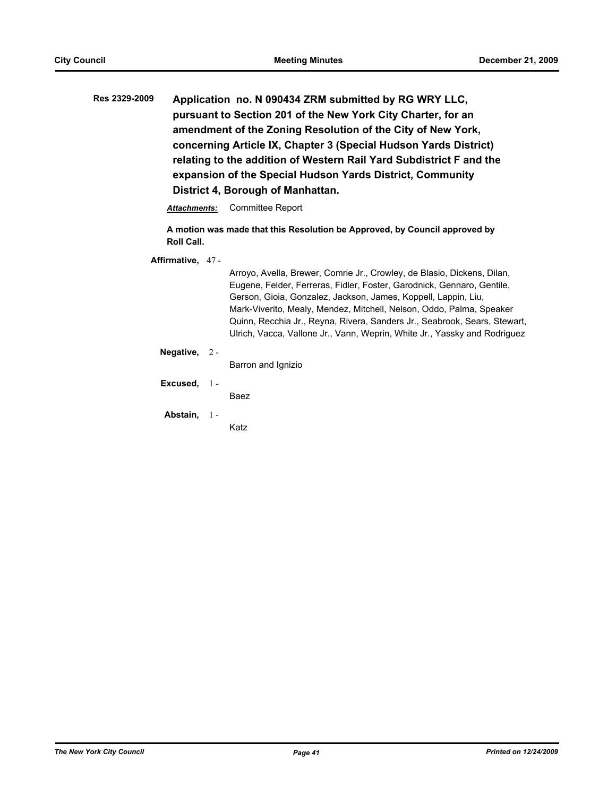**Res 2329-2009 Application no. N 090434 ZRM submitted by RG WRY LLC, pursuant to Section 201 of the New York City Charter, for an amendment of the Zoning Resolution of the City of New York, concerning Article IX, Chapter 3 (Special Hudson Yards District) relating to the addition of Western Rail Yard Subdistrict F and the expansion of the Special Hudson Yards District, Community District 4, Borough of Manhattan.**

*Attachments:* Committee Report

**A motion was made that this Resolution be Approved, by Council approved by Roll Call.**

**Affirmative,** 47 -

Arroyo, Avella, Brewer, Comrie Jr., Crowley, de Blasio, Dickens, Dilan, Eugene, Felder, Ferreras, Fidler, Foster, Garodnick, Gennaro, Gentile, Gerson, Gioia, Gonzalez, Jackson, James, Koppell, Lappin, Liu, Mark-Viverito, Mealy, Mendez, Mitchell, Nelson, Oddo, Palma, Speaker Quinn, Recchia Jr., Reyna, Rivera, Sanders Jr., Seabrook, Sears, Stewart, Ulrich, Vacca, Vallone Jr., Vann, Weprin, White Jr., Yassky and Rodriguez

**Negative,** 2 -

Barron and Ignizio

**Excused,** 1 -

Baez

**Abstain,** 1 -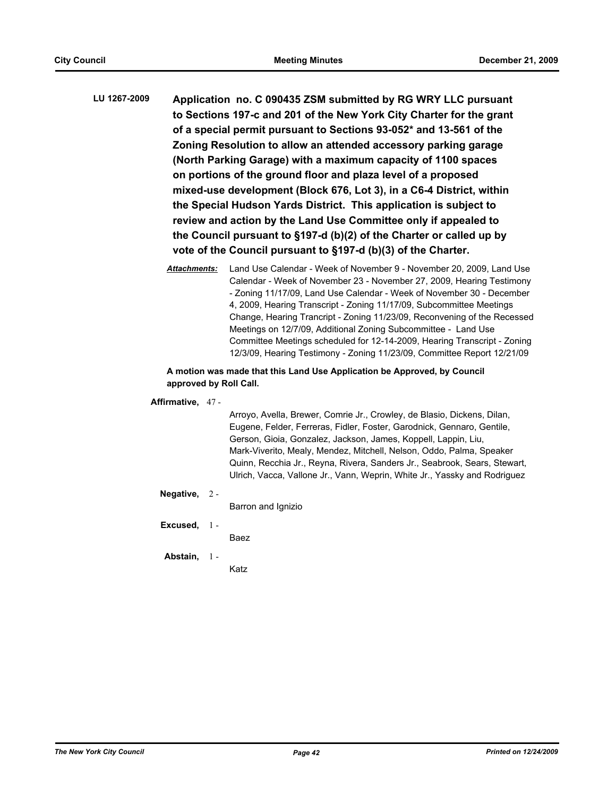- **LU 1267-2009 Application no. C 090435 ZSM submitted by RG WRY LLC pursuant to Sections 197-c and 201 of the New York City Charter for the grant of a special permit pursuant to Sections 93-052\* and 13-561 of the Zoning Resolution to allow an attended accessory parking garage (North Parking Garage) with a maximum capacity of 1100 spaces on portions of the ground floor and plaza level of a proposed mixed-use development (Block 676, Lot 3), in a C6-4 District, within the Special Hudson Yards District. This application is subject to review and action by the Land Use Committee only if appealed to the Council pursuant to §197-d (b)(2) of the Charter or called up by vote of the Council pursuant to §197-d (b)(3) of the Charter.**
	- *Attachments:* Land Use Calendar Week of November 9 November 20, 2009, Land Use Calendar - Week of November 23 - November 27, 2009, Hearing Testimony - Zoning 11/17/09, Land Use Calendar - Week of November 30 - December 4, 2009, Hearing Transcript - Zoning 11/17/09, Subcommittee Meetings Change, Hearing Trancript - Zoning 11/23/09, Reconvening of the Recessed Meetings on 12/7/09, Additional Zoning Subcommittee - Land Use Committee Meetings scheduled for 12-14-2009, Hearing Transcript - Zoning 12/3/09, Hearing Testimony - Zoning 11/23/09, Committee Report 12/21/09

# **A motion was made that this Land Use Application be Approved, by Council approved by Roll Call.**

## **Affirmative,** 47 -

Arroyo, Avella, Brewer, Comrie Jr., Crowley, de Blasio, Dickens, Dilan, Eugene, Felder, Ferreras, Fidler, Foster, Garodnick, Gennaro, Gentile, Gerson, Gioia, Gonzalez, Jackson, James, Koppell, Lappin, Liu, Mark-Viverito, Mealy, Mendez, Mitchell, Nelson, Oddo, Palma, Speaker Quinn, Recchia Jr., Reyna, Rivera, Sanders Jr., Seabrook, Sears, Stewart, Ulrich, Vacca, Vallone Jr., Vann, Weprin, White Jr., Yassky and Rodriguez

## **Negative,** 2 -

Barron and Ignizio

**Excused,** 1 -

Baez

#### **Abstain,** 1 -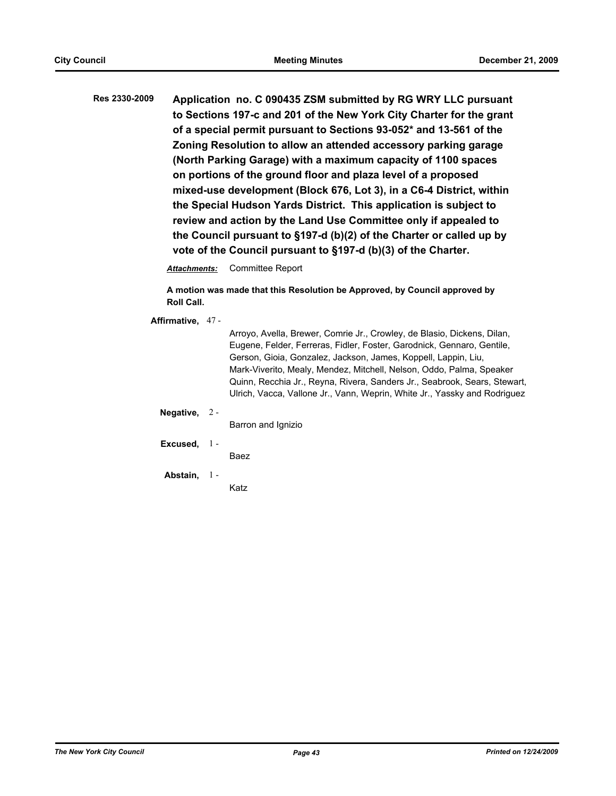**Res 2330-2009 Application no. C 090435 ZSM submitted by RG WRY LLC pursuant to Sections 197-c and 201 of the New York City Charter for the grant of a special permit pursuant to Sections 93-052\* and 13-561 of the Zoning Resolution to allow an attended accessory parking garage (North Parking Garage) with a maximum capacity of 1100 spaces on portions of the ground floor and plaza level of a proposed mixed-use development (Block 676, Lot 3), in a C6-4 District, within the Special Hudson Yards District. This application is subject to review and action by the Land Use Committee only if appealed to the Council pursuant to §197-d (b)(2) of the Charter or called up by vote of the Council pursuant to §197-d (b)(3) of the Charter.**

*Attachments:* Committee Report

**A motion was made that this Resolution be Approved, by Council approved by Roll Call.**

**Affirmative,** 47 -

Arroyo, Avella, Brewer, Comrie Jr., Crowley, de Blasio, Dickens, Dilan, Eugene, Felder, Ferreras, Fidler, Foster, Garodnick, Gennaro, Gentile, Gerson, Gioia, Gonzalez, Jackson, James, Koppell, Lappin, Liu, Mark-Viverito, Mealy, Mendez, Mitchell, Nelson, Oddo, Palma, Speaker Quinn, Recchia Jr., Reyna, Rivera, Sanders Jr., Seabrook, Sears, Stewart, Ulrich, Vacca, Vallone Jr., Vann, Weprin, White Jr., Yassky and Rodriguez

**Negative,** 2 -

Barron and Ignizio

**Excused,** 1 -

Baez

**Abstain,** 1 -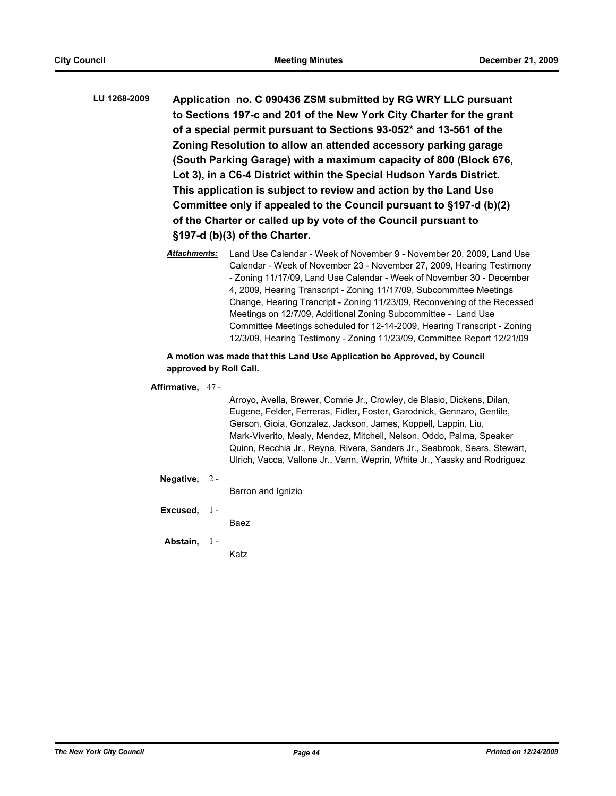- **LU 1268-2009 Application no. C 090436 ZSM submitted by RG WRY LLC pursuant to Sections 197-c and 201 of the New York City Charter for the grant of a special permit pursuant to Sections 93-052\* and 13-561 of the Zoning Resolution to allow an attended accessory parking garage (South Parking Garage) with a maximum capacity of 800 (Block 676, Lot 3), in a C6-4 District within the Special Hudson Yards District. This application is subject to review and action by the Land Use Committee only if appealed to the Council pursuant to §197-d (b)(2) of the Charter or called up by vote of the Council pursuant to §197-d (b)(3) of the Charter.**
	- *Attachments:* Land Use Calendar Week of November 9 November 20, 2009, Land Use Calendar - Week of November 23 - November 27, 2009, Hearing Testimony - Zoning 11/17/09, Land Use Calendar - Week of November 30 - December 4, 2009, Hearing Transcript - Zoning 11/17/09, Subcommittee Meetings Change, Hearing Trancript - Zoning 11/23/09, Reconvening of the Recessed Meetings on 12/7/09, Additional Zoning Subcommittee - Land Use Committee Meetings scheduled for 12-14-2009, Hearing Transcript - Zoning 12/3/09, Hearing Testimony - Zoning 11/23/09, Committee Report 12/21/09

# **A motion was made that this Land Use Application be Approved, by Council approved by Roll Call.**

# **Affirmative,** 47 -

Arroyo, Avella, Brewer, Comrie Jr., Crowley, de Blasio, Dickens, Dilan, Eugene, Felder, Ferreras, Fidler, Foster, Garodnick, Gennaro, Gentile, Gerson, Gioia, Gonzalez, Jackson, James, Koppell, Lappin, Liu, Mark-Viverito, Mealy, Mendez, Mitchell, Nelson, Oddo, Palma, Speaker Quinn, Recchia Jr., Reyna, Rivera, Sanders Jr., Seabrook, Sears, Stewart, Ulrich, Vacca, Vallone Jr., Vann, Weprin, White Jr., Yassky and Rodriguez

# **Negative,** 2 -

Barron and Ignizio

## **Excused,** 1 -

Baez

#### **Abstain,**  $1 -$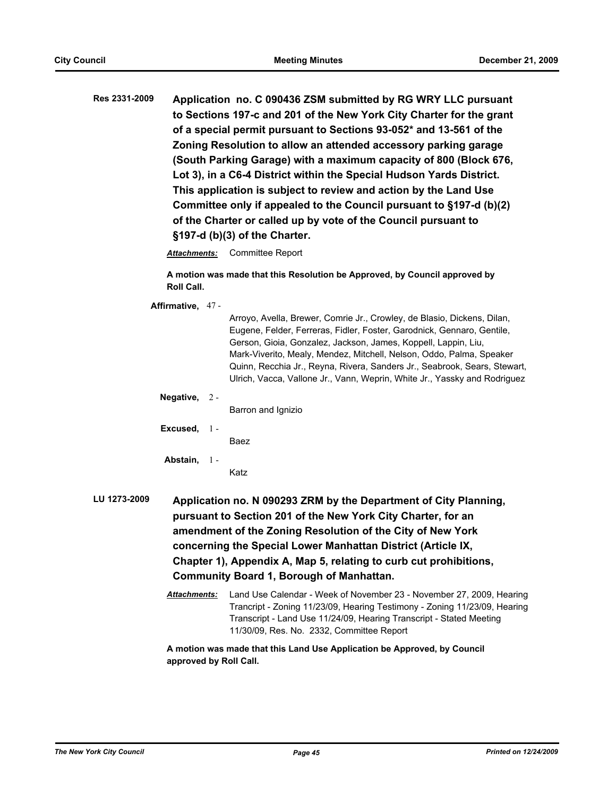**Res 2331-2009 Application no. C 090436 ZSM submitted by RG WRY LLC pursuant to Sections 197-c and 201 of the New York City Charter for the grant of a special permit pursuant to Sections 93-052\* and 13-561 of the Zoning Resolution to allow an attended accessory parking garage (South Parking Garage) with a maximum capacity of 800 (Block 676, Lot 3), in a C6-4 District within the Special Hudson Yards District. This application is subject to review and action by the Land Use Committee only if appealed to the Council pursuant to §197-d (b)(2) of the Charter or called up by vote of the Council pursuant to §197-d (b)(3) of the Charter.**

*Attachments:* Committee Report

**A motion was made that this Resolution be Approved, by Council approved by Roll Call.**

**Affirmative,** 47 -

|           |                                                                  | Arroyo, Avella, Brewer, Comrie Jr., Crowley, de Blasio, Dickens, Dilan,<br>Eugene, Felder, Ferreras, Fidler, Foster, Garodnick, Gennaro, Gentile,<br>Gerson, Gioia, Gonzalez, Jackson, James, Koppell, Lappin, Liu,<br>Mark-Viverito, Mealy, Mendez, Mitchell, Nelson, Oddo, Palma, Speaker<br>Quinn, Recchia Jr., Reyna, Rivera, Sanders Jr., Seabrook, Sears, Stewart, |  |  |  |
|-----------|------------------------------------------------------------------|--------------------------------------------------------------------------------------------------------------------------------------------------------------------------------------------------------------------------------------------------------------------------------------------------------------------------------------------------------------------------|--|--|--|
|           |                                                                  | Ulrich, Vacca, Vallone Jr., Vann, Weprin, White Jr., Yassky and Rodriguez                                                                                                                                                                                                                                                                                                |  |  |  |
| Negative, | $2 -$                                                            |                                                                                                                                                                                                                                                                                                                                                                          |  |  |  |
|           |                                                                  | Barron and Ignizio                                                                                                                                                                                                                                                                                                                                                       |  |  |  |
| Excused,  | $1 -$                                                            |                                                                                                                                                                                                                                                                                                                                                                          |  |  |  |
|           |                                                                  | Baez                                                                                                                                                                                                                                                                                                                                                                     |  |  |  |
| Abstain,  | -1 -                                                             |                                                                                                                                                                                                                                                                                                                                                                          |  |  |  |
|           |                                                                  | Katz                                                                                                                                                                                                                                                                                                                                                                     |  |  |  |
|           | Application no. N 090293 ZRM by the Department of City Planning, |                                                                                                                                                                                                                                                                                                                                                                          |  |  |  |

- **LU 1273-2009 Application no. N 090293 ZRM by the Department of City Planning, pursuant to Section 201 of the New York City Charter, for an amendment of the Zoning Resolution of the City of New York concerning the Special Lower Manhattan District (Article IX, Chapter 1), Appendix A, Map 5, relating to curb cut prohibitions, Community Board 1, Borough of Manhattan.**
	- *Attachments:* Land Use Calendar Week of November 23 November 27, 2009, Hearing Trancript - Zoning 11/23/09, Hearing Testimony - Zoning 11/23/09, Hearing Transcript - Land Use 11/24/09, Hearing Transcript - Stated Meeting 11/30/09, Res. No. 2332, Committee Report

**A motion was made that this Land Use Application be Approved, by Council approved by Roll Call.**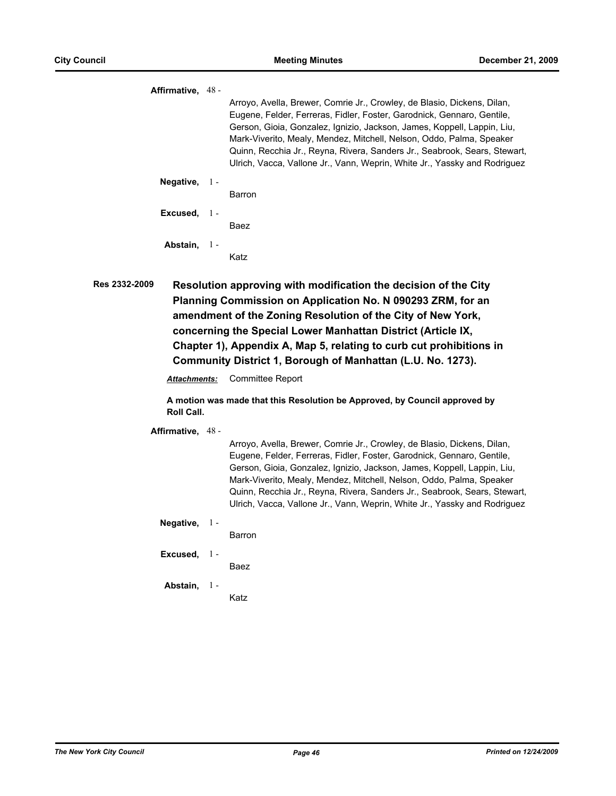|      | Affirmative, 48 - |       |                                                                                                                                                                                                                                                                                                                                                                                                                                                                |
|------|-------------------|-------|----------------------------------------------------------------------------------------------------------------------------------------------------------------------------------------------------------------------------------------------------------------------------------------------------------------------------------------------------------------------------------------------------------------------------------------------------------------|
|      |                   |       | Arroyo, Avella, Brewer, Comrie Jr., Crowley, de Blasio, Dickens, Dilan,<br>Eugene, Felder, Ferreras, Fidler, Foster, Garodnick, Gennaro, Gentile,<br>Gerson, Gioia, Gonzalez, Ignizio, Jackson, James, Koppell, Lappin, Liu,<br>Mark-Viverito, Mealy, Mendez, Mitchell, Nelson, Oddo, Palma, Speaker<br>Quinn, Recchia Jr., Reyna, Rivera, Sanders Jr., Seabrook, Sears, Stewart,<br>Ulrich, Vacca, Vallone Jr., Vann, Weprin, White Jr., Yassky and Rodriguez |
|      | Negative, $1 -$   |       |                                                                                                                                                                                                                                                                                                                                                                                                                                                                |
|      |                   |       | Barron                                                                                                                                                                                                                                                                                                                                                                                                                                                         |
|      | Excused, $1 -$    |       |                                                                                                                                                                                                                                                                                                                                                                                                                                                                |
|      |                   |       | Baez                                                                                                                                                                                                                                                                                                                                                                                                                                                           |
|      | Abstain,          | - 1 - |                                                                                                                                                                                                                                                                                                                                                                                                                                                                |
|      |                   |       | Katz                                                                                                                                                                                                                                                                                                                                                                                                                                                           |
| :009 |                   |       | Resolution approving with modification the decision of the City                                                                                                                                                                                                                                                                                                                                                                                                |

**Res 2332-2009 Resolution approving with modification the decision of the City Planning Commission on Application No. N 090293 ZRM, for an amendment of the Zoning Resolution of the City of New York, concerning the Special Lower Manhattan District (Article IX, Chapter 1), Appendix A, Map 5, relating to curb cut prohibitions in Community District 1, Borough of Manhattan (L.U. No. 1273).**

*Attachments:* Committee Report

**A motion was made that this Resolution be Approved, by Council approved by Roll Call.**

**Affirmative,** 48 -

Arroyo, Avella, Brewer, Comrie Jr., Crowley, de Blasio, Dickens, Dilan, Eugene, Felder, Ferreras, Fidler, Foster, Garodnick, Gennaro, Gentile, Gerson, Gioia, Gonzalez, Ignizio, Jackson, James, Koppell, Lappin, Liu, Mark-Viverito, Mealy, Mendez, Mitchell, Nelson, Oddo, Palma, Speaker Quinn, Recchia Jr., Reyna, Rivera, Sanders Jr., Seabrook, Sears, Stewart, Ulrich, Vacca, Vallone Jr., Vann, Weprin, White Jr., Yassky and Rodriguez

**Negative,** 1 -

Barron

**Excused,** 1 -

Baez

**Abstain,** 1 -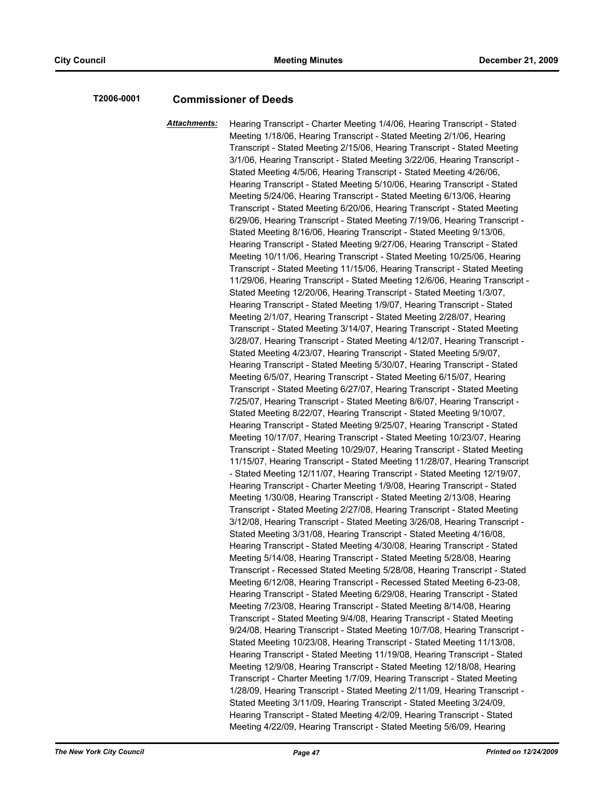# **T2006-0001 Commissioner of Deeds**

*Attachments:* Hearing Transcript - Charter Meeting 1/4/06, Hearing Transcript - Stated Meeting 1/18/06, Hearing Transcript - Stated Meeting 2/1/06, Hearing Transcript - Stated Meeting 2/15/06, Hearing Transcript - Stated Meeting 3/1/06, Hearing Transcript - Stated Meeting 3/22/06, Hearing Transcript - Stated Meeting 4/5/06, Hearing Transcript - Stated Meeting 4/26/06, Hearing Transcript - Stated Meeting 5/10/06, Hearing Transcript - Stated Meeting 5/24/06, Hearing Transcript - Stated Meeting 6/13/06, Hearing Transcript - Stated Meeting 6/20/06, Hearing Transcript - Stated Meeting 6/29/06, Hearing Transcript - Stated Meeting 7/19/06, Hearing Transcript - Stated Meeting 8/16/06, Hearing Transcript - Stated Meeting 9/13/06, Hearing Transcript - Stated Meeting 9/27/06, Hearing Transcript - Stated Meeting 10/11/06, Hearing Transcript - Stated Meeting 10/25/06, Hearing Transcript - Stated Meeting 11/15/06, Hearing Transcript - Stated Meeting 11/29/06, Hearing Transcript - Stated Meeting 12/6/06, Hearing Transcript - Stated Meeting 12/20/06, Hearing Transcript - Stated Meeting 1/3/07, Hearing Transcript - Stated Meeting 1/9/07, Hearing Transcript - Stated Meeting 2/1/07, Hearing Transcript - Stated Meeting 2/28/07, Hearing Transcript - Stated Meeting 3/14/07, Hearing Transcript - Stated Meeting 3/28/07, Hearing Transcript - Stated Meeting 4/12/07, Hearing Transcript - Stated Meeting 4/23/07, Hearing Transcript - Stated Meeting 5/9/07, Hearing Transcript - Stated Meeting 5/30/07, Hearing Transcript - Stated Meeting 6/5/07, Hearing Transcript - Stated Meeting 6/15/07, Hearing Transcript - Stated Meeting 6/27/07, Hearing Transcript - Stated Meeting 7/25/07, Hearing Transcript - Stated Meeting 8/6/07, Hearing Transcript - Stated Meeting 8/22/07, Hearing Transcript - Stated Meeting 9/10/07, Hearing Transcript - Stated Meeting 9/25/07, Hearing Transcript - Stated Meeting 10/17/07, Hearing Transcript - Stated Meeting 10/23/07, Hearing Transcript - Stated Meeting 10/29/07, Hearing Transcript - Stated Meeting 11/15/07, Hearing Transcript - Stated Meeting 11/28/07, Hearing Transcript - Stated Meeting 12/11/07, Hearing Transcript - Stated Meeting 12/19/07, Hearing Transcript - Charter Meeting 1/9/08, Hearing Transcript - Stated Meeting 1/30/08, Hearing Transcript - Stated Meeting 2/13/08, Hearing Transcript - Stated Meeting 2/27/08, Hearing Transcript - Stated Meeting 3/12/08, Hearing Transcript - Stated Meeting 3/26/08, Hearing Transcript - Stated Meeting 3/31/08, Hearing Transcript - Stated Meeting 4/16/08, Hearing Transcript - Stated Meeting 4/30/08, Hearing Transcript - Stated Meeting 5/14/08, Hearing Transcript - Stated Meeting 5/28/08, Hearing Transcript - Recessed Stated Meeting 5/28/08, Hearing Transcript - Stated Meeting 6/12/08, Hearing Transcript - Recessed Stated Meeting 6-23-08, Hearing Transcript - Stated Meeting 6/29/08, Hearing Transcript - Stated Meeting 7/23/08, Hearing Transcript - Stated Meeting 8/14/08, Hearing Transcript - Stated Meeting 9/4/08, Hearing Transcript - Stated Meeting 9/24/08, Hearing Transcript - Stated Meeting 10/7/08, Hearing Transcript - Stated Meeting 10/23/08, Hearing Transcript - Stated Meeting 11/13/08, Hearing Transcript - Stated Meeting 11/19/08, Hearing Transcript - Stated Meeting 12/9/08, Hearing Transcript - Stated Meeting 12/18/08, Hearing Transcript - Charter Meeting 1/7/09, Hearing Transcript - Stated Meeting 1/28/09, Hearing Transcript - Stated Meeting 2/11/09, Hearing Transcript - Stated Meeting 3/11/09, Hearing Transcript - Stated Meeting 3/24/09, Hearing Transcript - Stated Meeting 4/2/09, Hearing Transcript - Stated Meeting 4/22/09, Hearing Transcript - Stated Meeting 5/6/09, Hearing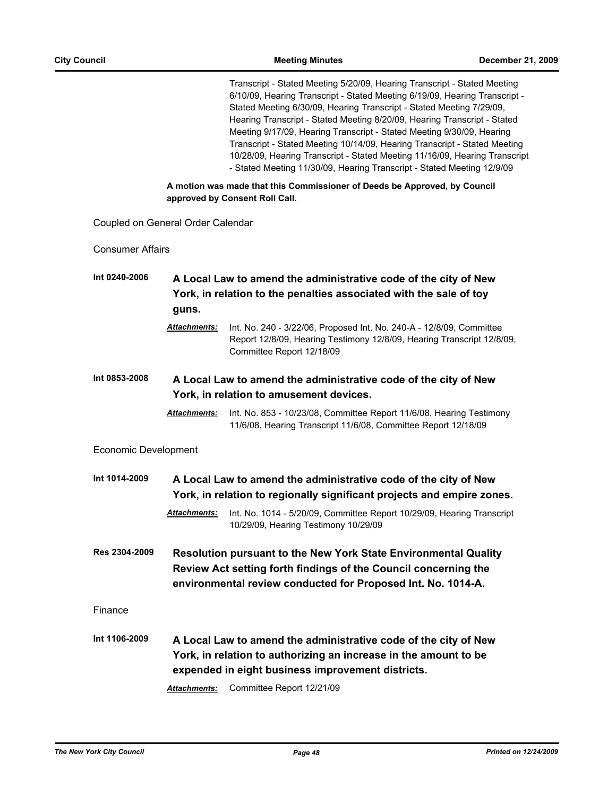Transcript - Stated Meeting 5/20/09, Hearing Transcript - Stated Meeting 6/10/09, Hearing Transcript - Stated Meeting 6/19/09, Hearing Transcript - Stated Meeting 6/30/09, Hearing Transcript - Stated Meeting 7/29/09, Hearing Transcript - Stated Meeting 8/20/09, Hearing Transcript - Stated Meeting 9/17/09, Hearing Transcript - Stated Meeting 9/30/09, Hearing Transcript - Stated Meeting 10/14/09, Hearing Transcript - Stated Meeting 10/28/09, Hearing Transcript - Stated Meeting 11/16/09, Hearing Transcript - Stated Meeting 11/30/09, Hearing Transcript - Stated Meeting 12/9/09

**A motion was made that this Commissioner of Deeds be Approved, by Council approved by Consent Roll Call.**

Coupled on General Order Calendar

Consumer Affairs

- **Int 0240-2006 A Local Law to amend the administrative code of the city of New York, in relation to the penalties associated with the sale of toy guns.**
	- *Attachments:* Int. No. 240 3/22/06, Proposed Int. No. 240-A 12/8/09, Committee Report 12/8/09, Hearing Testimony 12/8/09, Hearing Transcript 12/8/09, Committee Report 12/18/09
- **Int 0853-2008 A Local Law to amend the administrative code of the city of New York, in relation to amusement devices.**
	- *Attachments:* Int. No. 853 10/23/08, Committee Report 11/6/08, Hearing Testimony 11/6/08, Hearing Transcript 11/6/08, Committee Report 12/18/09

Economic Development

- **Int 1014-2009 A Local Law to amend the administrative code of the city of New York, in relation to regionally significant projects and empire zones.** *Attachments:* Int. No. 1014 - 5/20/09, Committee Report 10/29/09, Hearing Transcript 10/29/09, Hearing Testimony 10/29/09
- **Res 2304-2009 Resolution pursuant to the New York State Environmental Quality Review Act setting forth findings of the Council concerning the environmental review conducted for Proposed Int. No. 1014-A.**

Finance

**Int 1106-2009 A Local Law to amend the administrative code of the city of New York, in relation to authorizing an increase in the amount to be expended in eight business improvement districts.**

*Attachments:* Committee Report 12/21/09

*The New York City Council Page 48 Printed on 12/24/2009*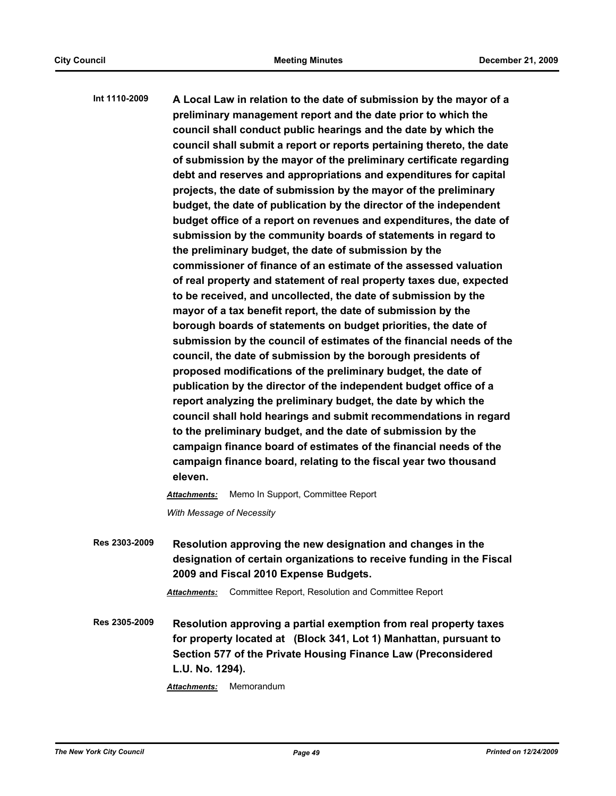**Int 1110-2009 A Local Law in relation to the date of submission by the mayor of a preliminary management report and the date prior to which the council shall conduct public hearings and the date by which the council shall submit a report or reports pertaining thereto, the date of submission by the mayor of the preliminary certificate regarding debt and reserves and appropriations and expenditures for capital projects, the date of submission by the mayor of the preliminary budget, the date of publication by the director of the independent budget office of a report on revenues and expenditures, the date of submission by the community boards of statements in regard to the preliminary budget, the date of submission by the commissioner of finance of an estimate of the assessed valuation of real property and statement of real property taxes due, expected to be received, and uncollected, the date of submission by the mayor of a tax benefit report, the date of submission by the borough boards of statements on budget priorities, the date of submission by the council of estimates of the financial needs of the council, the date of submission by the borough presidents of proposed modifications of the preliminary budget, the date of publication by the director of the independent budget office of a report analyzing the preliminary budget, the date by which the council shall hold hearings and submit recommendations in regard to the preliminary budget, and the date of submission by the campaign finance board of estimates of the financial needs of the campaign finance board, relating to the fiscal year two thousand eleven.** *Attachments:* Memo In Support, Committee Report

*With Message of Necessity*

**Res 2303-2009 Resolution approving the new designation and changes in the designation of certain organizations to receive funding in the Fiscal 2009 and Fiscal 2010 Expense Budgets.**

*Attachments:* Committee Report, Resolution and Committee Report

**Res 2305-2009 Resolution approving a partial exemption from real property taxes for property located at (Block 341, Lot 1) Manhattan, pursuant to Section 577 of the Private Housing Finance Law (Preconsidered L.U. No. 1294).**

*Attachments:* Memorandum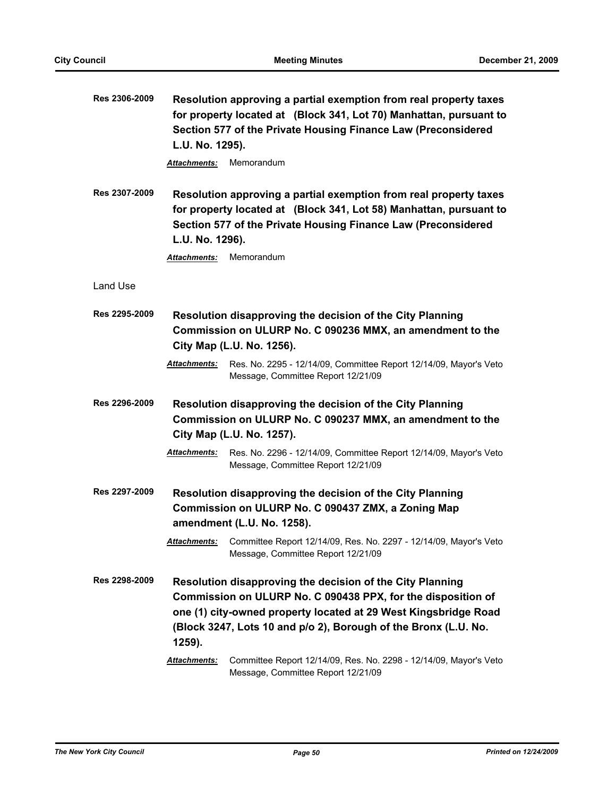| Res 2306-2009 | L.U. No. 1295).<br>Attachments:                                                                                                               | Resolution approving a partial exemption from real property taxes<br>for property located at (Block 341, Lot 70) Manhattan, pursuant to<br>Section 577 of the Private Housing Finance Law (Preconsidered<br>Memorandum                                          |  |
|---------------|-----------------------------------------------------------------------------------------------------------------------------------------------|-----------------------------------------------------------------------------------------------------------------------------------------------------------------------------------------------------------------------------------------------------------------|--|
| Res 2307-2009 | L.U. No. 1296).<br>Attachments:                                                                                                               | Resolution approving a partial exemption from real property taxes<br>for property located at (Block 341, Lot 58) Manhattan, pursuant to<br>Section 577 of the Private Housing Finance Law (Preconsidered<br>Memorandum                                          |  |
| Land Use      |                                                                                                                                               |                                                                                                                                                                                                                                                                 |  |
| Res 2295-2009 | Attachments:                                                                                                                                  | Resolution disapproving the decision of the City Planning<br>Commission on ULURP No. C 090236 MMX, an amendment to the<br>City Map (L.U. No. 1256).<br>Res. No. 2295 - 12/14/09, Committee Report 12/14/09, Mayor's Veto                                        |  |
|               |                                                                                                                                               | Message, Committee Report 12/21/09                                                                                                                                                                                                                              |  |
| Res 2296-2009 | Attachments:                                                                                                                                  | Resolution disapproving the decision of the City Planning<br>Commission on ULURP No. C 090237 MMX, an amendment to the<br>City Map (L.U. No. 1257).<br>Res. No. 2296 - 12/14/09, Committee Report 12/14/09, Mayor's Veto                                        |  |
|               |                                                                                                                                               | Message, Committee Report 12/21/09                                                                                                                                                                                                                              |  |
| Res 2297-2009 | Resolution disapproving the decision of the City Planning<br>Commission on ULURP No. C 090437 ZMX, a Zoning Map<br>amendment (L.U. No. 1258). |                                                                                                                                                                                                                                                                 |  |
|               |                                                                                                                                               | Attachments: Committee Report 12/14/09, Res. No. 2297 - 12/14/09, Mayor's Veto<br>Message, Committee Report 12/21/09                                                                                                                                            |  |
| Res 2298-2009 | 1259).                                                                                                                                        | Resolution disapproving the decision of the City Planning<br>Commission on ULURP No. C 090438 PPX, for the disposition of<br>one (1) city-owned property located at 29 West Kingsbridge Road<br>(Block 3247, Lots 10 and p/o 2), Borough of the Bronx (L.U. No. |  |
|               | Attachments:                                                                                                                                  | Committee Report 12/14/09, Res. No. 2298 - 12/14/09, Mayor's Veto<br>Message, Committee Report 12/21/09                                                                                                                                                         |  |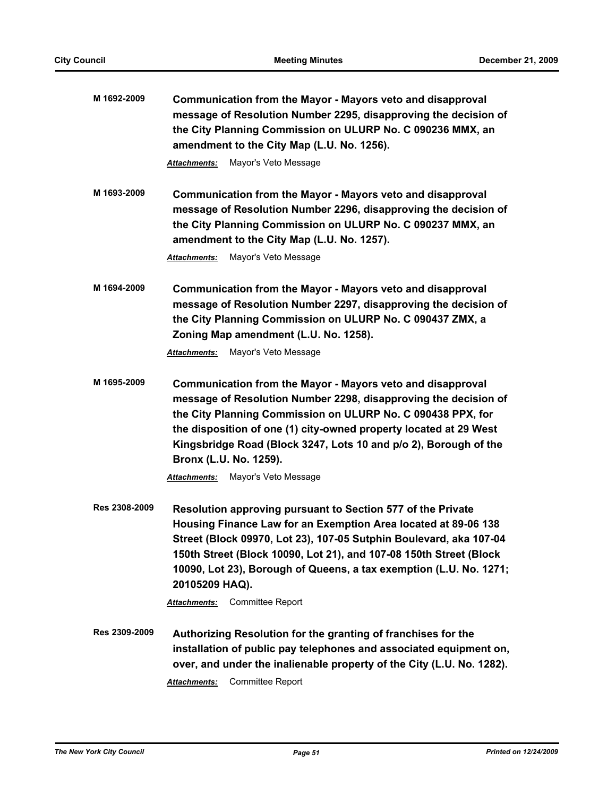| M 1692-2009   | Communication from the Mayor - Mayors veto and disapproval<br>message of Resolution Number 2295, disapproving the decision of<br>the City Planning Commission on ULURP No. C 090236 MMX, an<br>amendment to the City Map (L.U. No. 1256).                                                                                                                                                                      |
|---------------|----------------------------------------------------------------------------------------------------------------------------------------------------------------------------------------------------------------------------------------------------------------------------------------------------------------------------------------------------------------------------------------------------------------|
|               | Mayor's Veto Message<br><b>Attachments:</b>                                                                                                                                                                                                                                                                                                                                                                    |
| M 1693-2009   | Communication from the Mayor - Mayors veto and disapproval<br>message of Resolution Number 2296, disapproving the decision of<br>the City Planning Commission on ULURP No. C 090237 MMX, an<br>amendment to the City Map (L.U. No. 1257).<br>Mayor's Veto Message<br><b>Attachments:</b>                                                                                                                       |
| M 1694-2009   | Communication from the Mayor - Mayors veto and disapproval<br>message of Resolution Number 2297, disapproving the decision of<br>the City Planning Commission on ULURP No. C 090437 ZMX, a<br>Zoning Map amendment (L.U. No. 1258).<br>Mayor's Veto Message<br>Attachments:                                                                                                                                    |
| M 1695-2009   | Communication from the Mayor - Mayors veto and disapproval<br>message of Resolution Number 2298, disapproving the decision of<br>the City Planning Commission on ULURP No. C 090438 PPX, for<br>the disposition of one (1) city-owned property located at 29 West<br>Kingsbridge Road (Block 3247, Lots 10 and p/o 2), Borough of the<br>Bronx (L.U. No. 1259).<br>Mayor's Veto Message<br><b>Attachments:</b> |
| Res 2308-2009 | Resolution approving pursuant to Section 577 of the Private<br>Housing Finance Law for an Exemption Area located at 89-06 138<br>Street (Block 09970, Lot 23), 107-05 Sutphin Boulevard, aka 107-04<br>150th Street (Block 10090, Lot 21), and 107-08 150th Street (Block<br>10090, Lot 23), Borough of Queens, a tax exemption (L.U. No. 1271;<br>20105209 HAQ).                                              |
|               | Committee Report<br><b>Attachments:</b>                                                                                                                                                                                                                                                                                                                                                                        |
| Res 2309-2009 | Authorizing Resolution for the granting of franchises for the<br>installation of public pay telephones and associated equipment on,<br>over, and under the inalienable property of the City (L.U. No. 1282).                                                                                                                                                                                                   |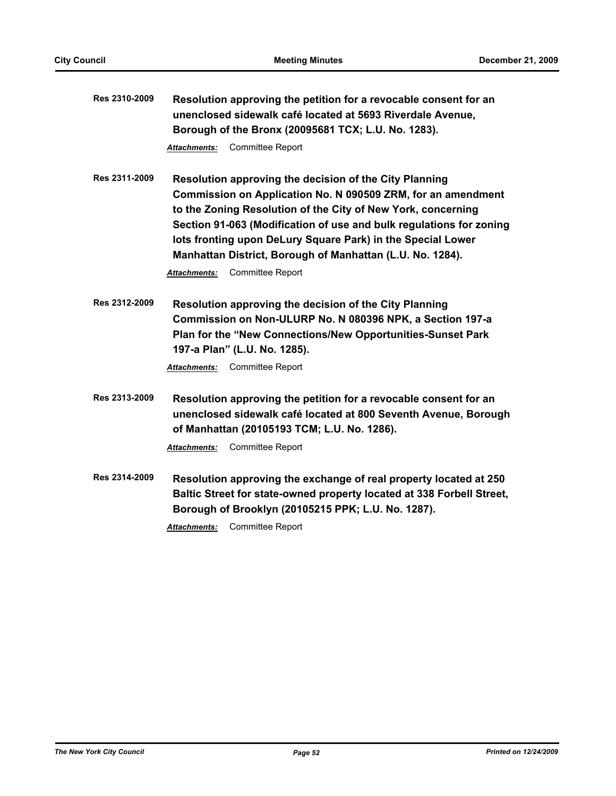| Res 2310-2009 | Resolution approving the petition for a revocable consent for an<br>unenclosed sidewalk café located at 5693 Riverdale Avenue,<br>Borough of the Bronx (20095681 TCX; L.U. No. 1283).                                                                                                                                                                                                     |  |  |  |
|---------------|-------------------------------------------------------------------------------------------------------------------------------------------------------------------------------------------------------------------------------------------------------------------------------------------------------------------------------------------------------------------------------------------|--|--|--|
|               | Committee Report<br>Attachments:                                                                                                                                                                                                                                                                                                                                                          |  |  |  |
| Res 2311-2009 | Resolution approving the decision of the City Planning<br>Commission on Application No. N 090509 ZRM, for an amendment<br>to the Zoning Resolution of the City of New York, concerning<br>Section 91-063 (Modification of use and bulk regulations for zoning<br>lots fronting upon DeLury Square Park) in the Special Lower<br>Manhattan District, Borough of Manhattan (L.U. No. 1284). |  |  |  |
|               | <b>Committee Report</b><br>Attachments:                                                                                                                                                                                                                                                                                                                                                   |  |  |  |
| Res 2312-2009 | Resolution approving the decision of the City Planning<br>Commission on Non-ULURP No. N 080396 NPK, a Section 197-a<br>Plan for the "New Connections/New Opportunities-Sunset Park<br>197-a Plan" (L.U. No. 1285).<br>Committee Report<br>Attachments:                                                                                                                                    |  |  |  |
| Res 2313-2009 | Resolution approving the petition for a revocable consent for an<br>unenclosed sidewalk café located at 800 Seventh Avenue, Borough<br>of Manhattan (20105193 TCM; L.U. No. 1286).                                                                                                                                                                                                        |  |  |  |
|               | Committee Report<br>Attachments:                                                                                                                                                                                                                                                                                                                                                          |  |  |  |
| Res 2314-2009 | Resolution approving the exchange of real property located at 250<br>Baltic Street for state-owned property located at 338 Forbell Street,<br>Borough of Brooklyn (20105215 PPK; L.U. No. 1287).                                                                                                                                                                                          |  |  |  |
|               | <b>Committee Report</b><br>Attachments:                                                                                                                                                                                                                                                                                                                                                   |  |  |  |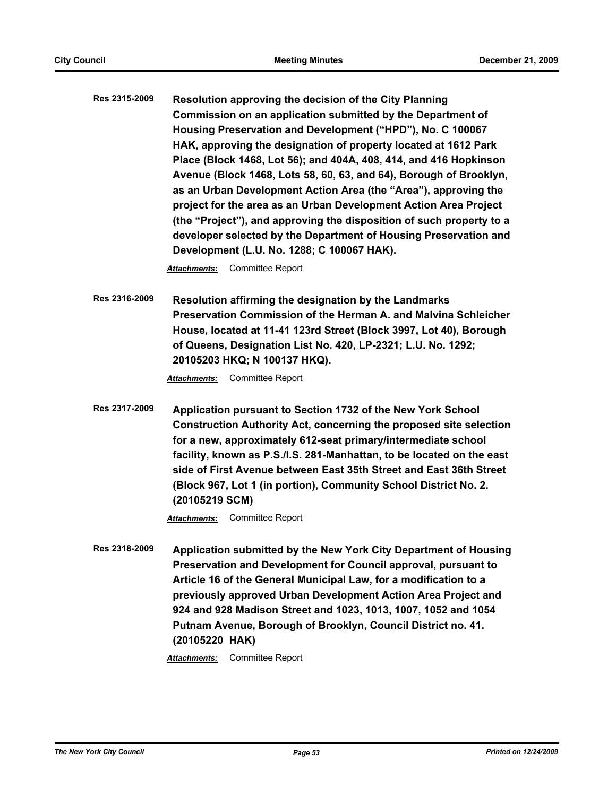**Res 2315-2009 Resolution approving the decision of the City Planning Commission on an application submitted by the Department of Housing Preservation and Development ("HPD"), No. C 100067 HAK, approving the designation of property located at 1612 Park Place (Block 1468, Lot 56); and 404A, 408, 414, and 416 Hopkinson Avenue (Block 1468, Lots 58, 60, 63, and 64), Borough of Brooklyn, as an Urban Development Action Area (the "Area"), approving the project for the area as an Urban Development Action Area Project (the "Project"), and approving the disposition of such property to a developer selected by the Department of Housing Preservation and Development (L.U. No. 1288; C 100067 HAK).**

*Attachments:* Committee Report

**Res 2316-2009 Resolution affirming the designation by the Landmarks Preservation Commission of the Herman A. and Malvina Schleicher House, located at 11-41 123rd Street (Block 3997, Lot 40), Borough of Queens, Designation List No. 420, LP-2321; L.U. No. 1292; 20105203 HKQ; N 100137 HKQ).**

*Attachments:* Committee Report

**Res 2317-2009 Application pursuant to Section 1732 of the New York School Construction Authority Act, concerning the proposed site selection for a new, approximately 612-seat primary/intermediate school facility, known as P.S./I.S. 281-Manhattan, to be located on the east side of First Avenue between East 35th Street and East 36th Street (Block 967, Lot 1 (in portion), Community School District No. 2. (20105219 SCM)**

*Attachments:* Committee Report

**Res 2318-2009 Application submitted by the New York City Department of Housing Preservation and Development for Council approval, pursuant to Article 16 of the General Municipal Law, for a modification to a previously approved Urban Development Action Area Project and 924 and 928 Madison Street and 1023, 1013, 1007, 1052 and 1054 Putnam Avenue, Borough of Brooklyn, Council District no. 41. (20105220 HAK)**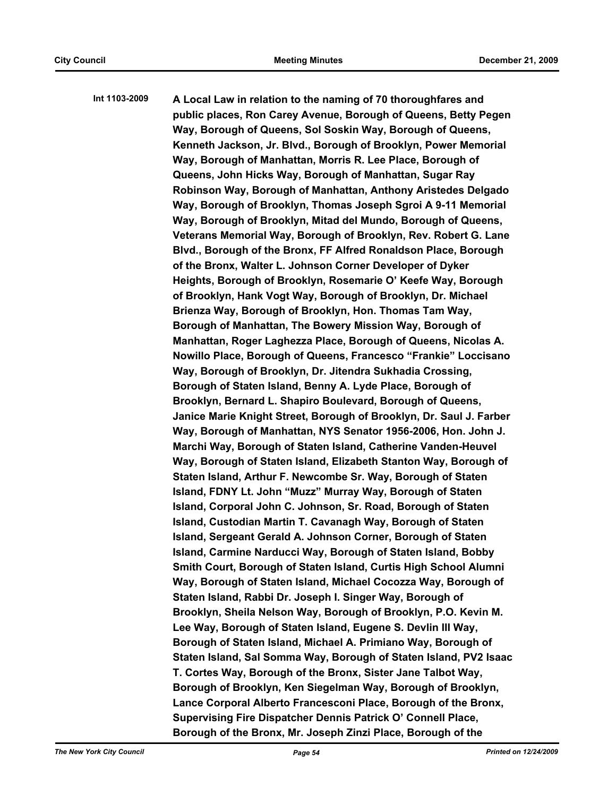**Int 1103-2009 A Local Law in relation to the naming of 70 thoroughfares and public places, Ron Carey Avenue, Borough of Queens, Betty Pegen Way, Borough of Queens, Sol Soskin Way, Borough of Queens, Kenneth Jackson, Jr. Blvd., Borough of Brooklyn, Power Memorial Way, Borough of Manhattan, Morris R. Lee Place, Borough of Queens, John Hicks Way, Borough of Manhattan, Sugar Ray Robinson Way, Borough of Manhattan, Anthony Aristedes Delgado Way, Borough of Brooklyn, Thomas Joseph Sgroi A 9-11 Memorial Way, Borough of Brooklyn, Mitad del Mundo, Borough of Queens, Veterans Memorial Way, Borough of Brooklyn, Rev. Robert G. Lane Blvd., Borough of the Bronx, FF Alfred Ronaldson Place, Borough of the Bronx, Walter L. Johnson Corner Developer of Dyker Heights, Borough of Brooklyn, Rosemarie O' Keefe Way, Borough of Brooklyn, Hank Vogt Way, Borough of Brooklyn, Dr. Michael Brienza Way, Borough of Brooklyn, Hon. Thomas Tam Way, Borough of Manhattan, The Bowery Mission Way, Borough of Manhattan, Roger Laghezza Place, Borough of Queens, Nicolas A. Nowillo Place, Borough of Queens, Francesco "Frankie" Loccisano Way, Borough of Brooklyn, Dr. Jitendra Sukhadia Crossing, Borough of Staten Island, Benny A. Lyde Place, Borough of Brooklyn, Bernard L. Shapiro Boulevard, Borough of Queens, Janice Marie Knight Street, Borough of Brooklyn, Dr. Saul J. Farber Way, Borough of Manhattan, NYS Senator 1956-2006, Hon. John J. Marchi Way, Borough of Staten Island, Catherine Vanden-Heuvel Way, Borough of Staten Island, Elizabeth Stanton Way, Borough of Staten Island, Arthur F. Newcombe Sr. Way, Borough of Staten Island, FDNY Lt. John "Muzz" Murray Way, Borough of Staten Island, Corporal John C. Johnson, Sr. Road, Borough of Staten Island, Custodian Martin T. Cavanagh Way, Borough of Staten Island, Sergeant Gerald A. Johnson Corner, Borough of Staten Island, Carmine Narducci Way, Borough of Staten Island, Bobby Smith Court, Borough of Staten Island, Curtis High School Alumni Way, Borough of Staten Island, Michael Cocozza Way, Borough of Staten Island, Rabbi Dr. Joseph I. Singer Way, Borough of Brooklyn, Sheila Nelson Way, Borough of Brooklyn, P.O. Kevin M. Lee Way, Borough of Staten Island, Eugene S. Devlin III Way, Borough of Staten Island, Michael A. Primiano Way, Borough of Staten Island, Sal Somma Way, Borough of Staten Island, PV2 Isaac T. Cortes Way, Borough of the Bronx, Sister Jane Talbot Way, Borough of Brooklyn, Ken Siegelman Way, Borough of Brooklyn, Lance Corporal Alberto Francesconi Place, Borough of the Bronx, Supervising Fire Dispatcher Dennis Patrick O' Connell Place, Borough of the Bronx, Mr. Joseph Zinzi Place, Borough of the**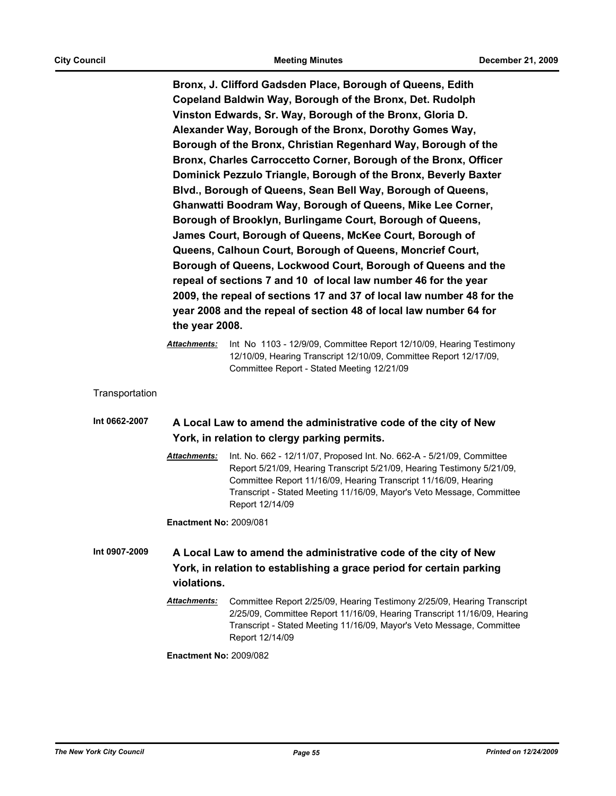**Bronx, J. Clifford Gadsden Place, Borough of Queens, Edith Copeland Baldwin Way, Borough of the Bronx, Det. Rudolph Vinston Edwards, Sr. Way, Borough of the Bronx, Gloria D. Alexander Way, Borough of the Bronx, Dorothy Gomes Way, Borough of the Bronx, Christian Regenhard Way, Borough of the Bronx, Charles Carroccetto Corner, Borough of the Bronx, Officer Dominick Pezzulo Triangle, Borough of the Bronx, Beverly Baxter Blvd., Borough of Queens, Sean Bell Way, Borough of Queens, Ghanwatti Boodram Way, Borough of Queens, Mike Lee Corner, Borough of Brooklyn, Burlingame Court, Borough of Queens, James Court, Borough of Queens, McKee Court, Borough of Queens, Calhoun Court, Borough of Queens, Moncrief Court, Borough of Queens, Lockwood Court, Borough of Queens and the repeal of sections 7 and 10 of local law number 46 for the year 2009, the repeal of sections 17 and 37 of local law number 48 for the year 2008 and the repeal of section 48 of local law number 64 for the year 2008.**

*Attachments:* Int No 1103 - 12/9/09, Committee Report 12/10/09, Hearing Testimony 12/10/09, Hearing Transcript 12/10/09, Committee Report 12/17/09, Committee Report - Stated Meeting 12/21/09

- **Transportation**
- **Int 0662-2007 A Local Law to amend the administrative code of the city of New York, in relation to clergy parking permits.**
	- *Attachments:* Int. No. 662 12/11/07, Proposed Int. No. 662-A 5/21/09, Committee Report 5/21/09, Hearing Transcript 5/21/09, Hearing Testimony 5/21/09, Committee Report 11/16/09, Hearing Transcript 11/16/09, Hearing Transcript - Stated Meeting 11/16/09, Mayor's Veto Message, Committee Report 12/14/09

**Enactment No:** 2009/081

- **Int 0907-2009 A Local Law to amend the administrative code of the city of New York, in relation to establishing a grace period for certain parking violations.**
	- *Attachments:* Committee Report 2/25/09, Hearing Testimony 2/25/09, Hearing Transcript 2/25/09, Committee Report 11/16/09, Hearing Transcript 11/16/09, Hearing Transcript - Stated Meeting 11/16/09, Mayor's Veto Message, Committee Report 12/14/09

**Enactment No:** 2009/082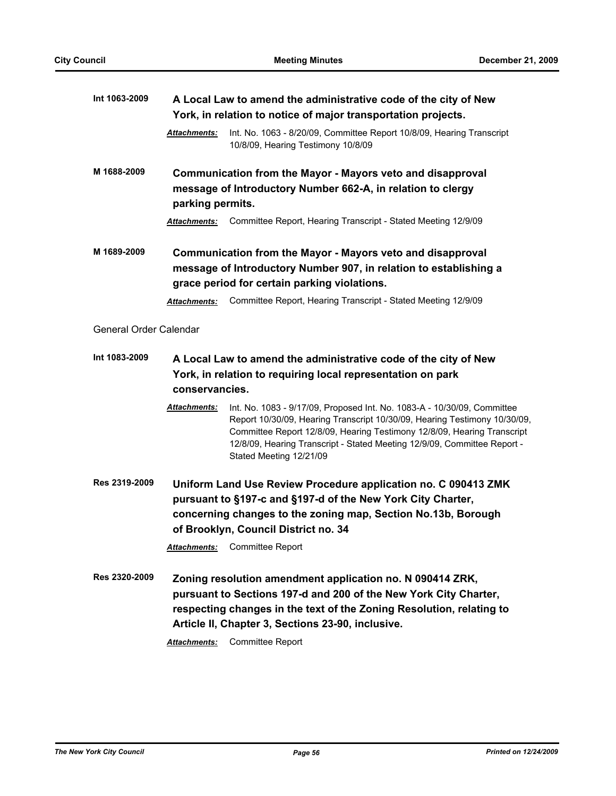| Int 1063-2009          | A Local Law to amend the administrative code of the city of New<br>York, in relation to notice of major transportation projects. |                                                                                                                                                                                                                                                                                                                                        |  |
|------------------------|----------------------------------------------------------------------------------------------------------------------------------|----------------------------------------------------------------------------------------------------------------------------------------------------------------------------------------------------------------------------------------------------------------------------------------------------------------------------------------|--|
|                        | <b>Attachments:</b>                                                                                                              | Int. No. 1063 - 8/20/09, Committee Report 10/8/09, Hearing Transcript<br>10/8/09, Hearing Testimony 10/8/09                                                                                                                                                                                                                            |  |
| M 1688-2009            | parking permits.                                                                                                                 | Communication from the Mayor - Mayors veto and disapproval<br>message of Introductory Number 662-A, in relation to clergy                                                                                                                                                                                                              |  |
|                        | <b>Attachments:</b>                                                                                                              | Committee Report, Hearing Transcript - Stated Meeting 12/9/09                                                                                                                                                                                                                                                                          |  |
| M 1689-2009            |                                                                                                                                  | Communication from the Mayor - Mayors veto and disapproval<br>message of Introductory Number 907, in relation to establishing a<br>grace period for certain parking violations.                                                                                                                                                        |  |
|                        | <b>Attachments:</b>                                                                                                              | Committee Report, Hearing Transcript - Stated Meeting 12/9/09                                                                                                                                                                                                                                                                          |  |
| General Order Calendar |                                                                                                                                  |                                                                                                                                                                                                                                                                                                                                        |  |
| Int 1083-2009          | conservancies.                                                                                                                   | A Local Law to amend the administrative code of the city of New<br>York, in relation to requiring local representation on park                                                                                                                                                                                                         |  |
|                        | Attachments:                                                                                                                     | Int. No. 1083 - 9/17/09, Proposed Int. No. 1083-A - 10/30/09, Committee<br>Report 10/30/09, Hearing Transcript 10/30/09, Hearing Testimony 10/30/09,<br>Committee Report 12/8/09, Hearing Testimony 12/8/09, Hearing Transcript<br>12/8/09, Hearing Transcript - Stated Meeting 12/9/09, Committee Report -<br>Stated Meeting 12/21/09 |  |
| Res 2319-2009          |                                                                                                                                  | Uniform Land Use Review Procedure application no. C 090413 ZMK<br>pursuant to §197-c and §197-d of the New York City Charter,<br>concerning changes to the zoning map, Section No.13b, Borough<br>of Brooklyn, Council District no. 34                                                                                                 |  |
|                        |                                                                                                                                  | <b>Attachments:</b> Committee Report                                                                                                                                                                                                                                                                                                   |  |
| Res 2320-2009          | Attachments:                                                                                                                     | Zoning resolution amendment application no. N 090414 ZRK,<br>pursuant to Sections 197-d and 200 of the New York City Charter,<br>respecting changes in the text of the Zoning Resolution, relating to<br>Article II, Chapter 3, Sections 23-90, inclusive.<br>Committee Report                                                         |  |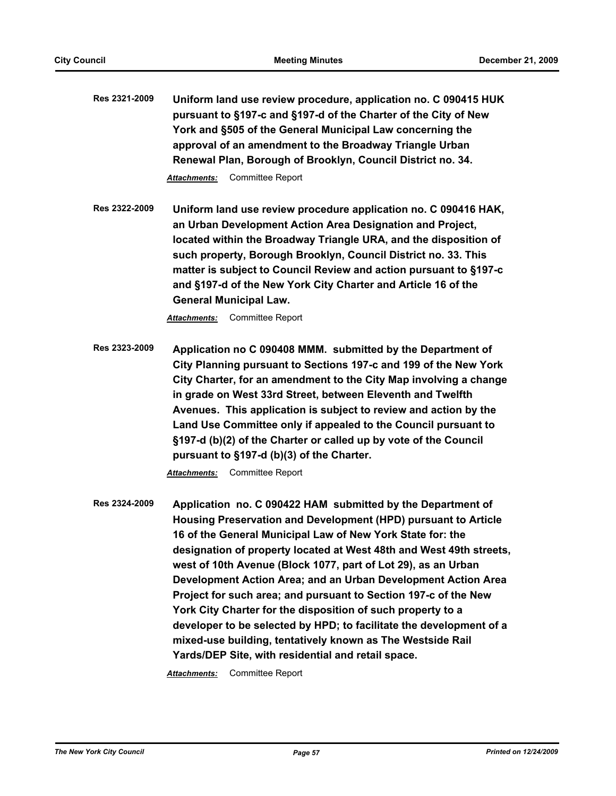**Res 2321-2009 Uniform land use review procedure, application no. C 090415 HUK pursuant to §197-c and §197-d of the Charter of the City of New York and §505 of the General Municipal Law concerning the approval of an amendment to the Broadway Triangle Urban Renewal Plan, Borough of Brooklyn, Council District no. 34.**

*Attachments:* Committee Report

**Res 2322-2009 Uniform land use review procedure application no. C 090416 HAK, an Urban Development Action Area Designation and Project, located within the Broadway Triangle URA, and the disposition of such property, Borough Brooklyn, Council District no. 33. This matter is subject to Council Review and action pursuant to §197-c and §197-d of the New York City Charter and Article 16 of the General Municipal Law.**

*Attachments:* Committee Report

**Res 2323-2009 Application no C 090408 MMM. submitted by the Department of City Planning pursuant to Sections 197-c and 199 of the New York City Charter, for an amendment to the City Map involving a change in grade on West 33rd Street, between Eleventh and Twelfth Avenues. This application is subject to review and action by the Land Use Committee only if appealed to the Council pursuant to §197-d (b)(2) of the Charter or called up by vote of the Council pursuant to §197-d (b)(3) of the Charter.**

*Attachments:* Committee Report

**Res 2324-2009 Application no. C 090422 HAM submitted by the Department of Housing Preservation and Development (HPD) pursuant to Article 16 of the General Municipal Law of New York State for: the designation of property located at West 48th and West 49th streets, west of 10th Avenue (Block 1077, part of Lot 29), as an Urban Development Action Area; and an Urban Development Action Area Project for such area; and pursuant to Section 197-c of the New York City Charter for the disposition of such property to a developer to be selected by HPD; to facilitate the development of a mixed-use building, tentatively known as The Westside Rail Yards/DEP Site, with residential and retail space.**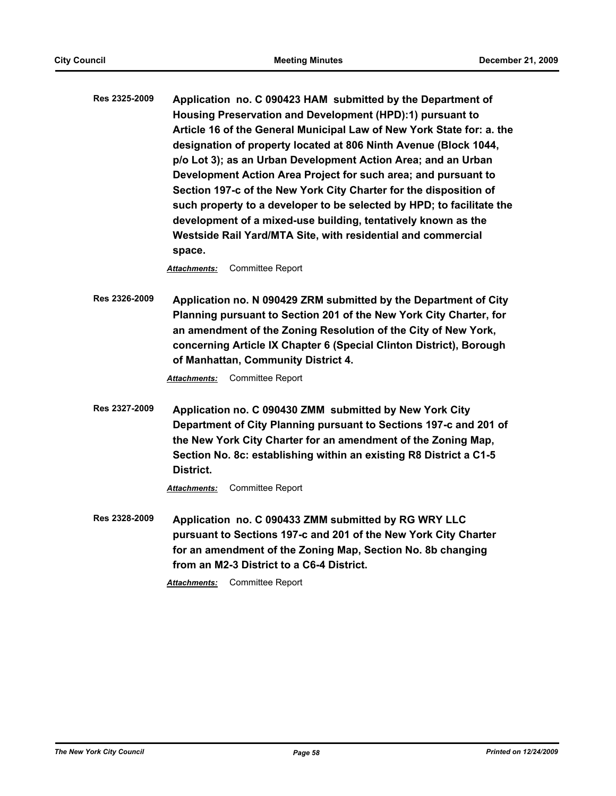**Res 2325-2009 Application no. C 090423 HAM submitted by the Department of Housing Preservation and Development (HPD):1) pursuant to Article 16 of the General Municipal Law of New York State for: a. the designation of property located at 806 Ninth Avenue (Block 1044, p/o Lot 3); as an Urban Development Action Area; and an Urban Development Action Area Project for such area; and pursuant to Section 197-c of the New York City Charter for the disposition of such property to a developer to be selected by HPD; to facilitate the development of a mixed-use building, tentatively known as the Westside Rail Yard/MTA Site, with residential and commercial space.**

*Attachments:* Committee Report

**Res 2326-2009 Application no. N 090429 ZRM submitted by the Department of City Planning pursuant to Section 201 of the New York City Charter, for an amendment of the Zoning Resolution of the City of New York, concerning Article IX Chapter 6 (Special Clinton District), Borough of Manhattan, Community District 4.**

*Attachments:* Committee Report

**Res 2327-2009 Application no. C 090430 ZMM submitted by New York City Department of City Planning pursuant to Sections 197-c and 201 of the New York City Charter for an amendment of the Zoning Map, Section No. 8c: establishing within an existing R8 District a C1-5 District.**

*Attachments:* Committee Report

**Res 2328-2009 Application no. C 090433 ZMM submitted by RG WRY LLC pursuant to Sections 197-c and 201 of the New York City Charter for an amendment of the Zoning Map, Section No. 8b changing from an M2-3 District to a C6-4 District.**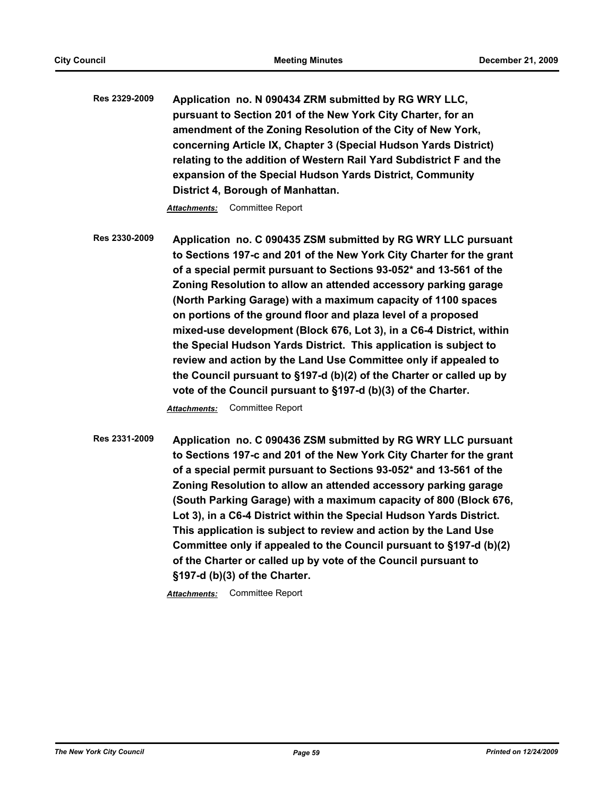**Res 2329-2009 Application no. N 090434 ZRM submitted by RG WRY LLC, pursuant to Section 201 of the New York City Charter, for an amendment of the Zoning Resolution of the City of New York, concerning Article IX, Chapter 3 (Special Hudson Yards District) relating to the addition of Western Rail Yard Subdistrict F and the expansion of the Special Hudson Yards District, Community District 4, Borough of Manhattan.**

*Attachments:* Committee Report

**Res 2330-2009 Application no. C 090435 ZSM submitted by RG WRY LLC pursuant to Sections 197-c and 201 of the New York City Charter for the grant of a special permit pursuant to Sections 93-052\* and 13-561 of the Zoning Resolution to allow an attended accessory parking garage (North Parking Garage) with a maximum capacity of 1100 spaces on portions of the ground floor and plaza level of a proposed mixed-use development (Block 676, Lot 3), in a C6-4 District, within the Special Hudson Yards District. This application is subject to review and action by the Land Use Committee only if appealed to the Council pursuant to §197-d (b)(2) of the Charter or called up by vote of the Council pursuant to §197-d (b)(3) of the Charter.**

*Attachments:* Committee Report

**Res 2331-2009 Application no. C 090436 ZSM submitted by RG WRY LLC pursuant to Sections 197-c and 201 of the New York City Charter for the grant of a special permit pursuant to Sections 93-052\* and 13-561 of the Zoning Resolution to allow an attended accessory parking garage (South Parking Garage) with a maximum capacity of 800 (Block 676, Lot 3), in a C6-4 District within the Special Hudson Yards District. This application is subject to review and action by the Land Use Committee only if appealed to the Council pursuant to §197-d (b)(2) of the Charter or called up by vote of the Council pursuant to §197-d (b)(3) of the Charter.**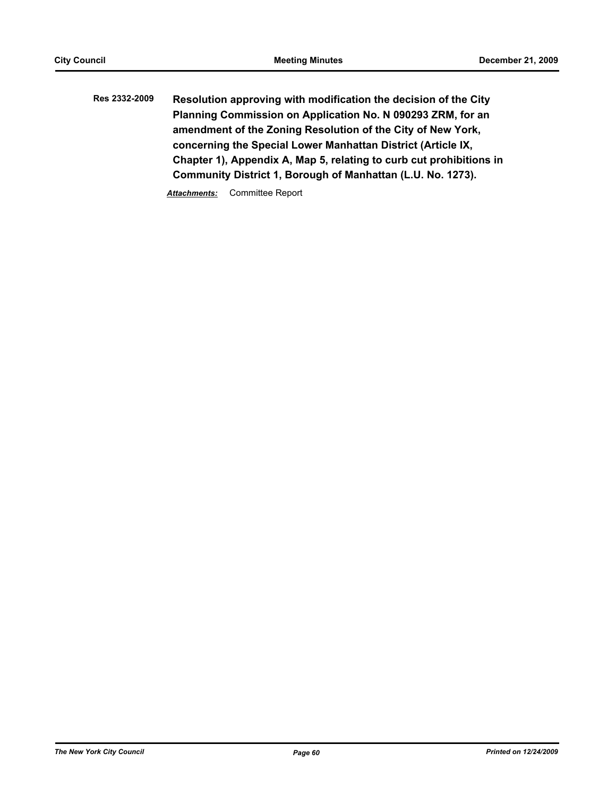**Res 2332-2009 Resolution approving with modification the decision of the City Planning Commission on Application No. N 090293 ZRM, for an amendment of the Zoning Resolution of the City of New York, concerning the Special Lower Manhattan District (Article IX, Chapter 1), Appendix A, Map 5, relating to curb cut prohibitions in Community District 1, Borough of Manhattan (L.U. No. 1273).**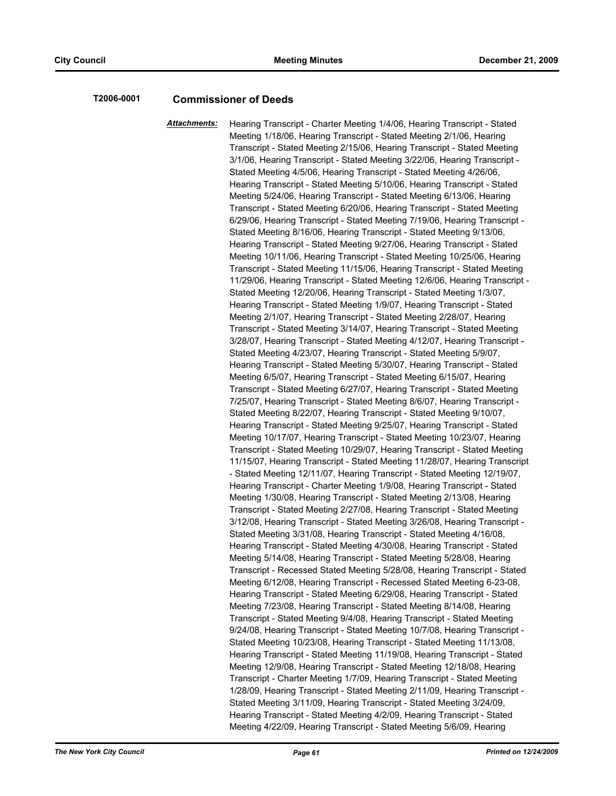# **T2006-0001 Commissioner of Deeds**

*Attachments:* Hearing Transcript - Charter Meeting 1/4/06, Hearing Transcript - Stated Meeting 1/18/06, Hearing Transcript - Stated Meeting 2/1/06, Hearing Transcript - Stated Meeting 2/15/06, Hearing Transcript - Stated Meeting 3/1/06, Hearing Transcript - Stated Meeting 3/22/06, Hearing Transcript - Stated Meeting 4/5/06, Hearing Transcript - Stated Meeting 4/26/06, Hearing Transcript - Stated Meeting 5/10/06, Hearing Transcript - Stated Meeting 5/24/06, Hearing Transcript - Stated Meeting 6/13/06, Hearing Transcript - Stated Meeting 6/20/06, Hearing Transcript - Stated Meeting 6/29/06, Hearing Transcript - Stated Meeting 7/19/06, Hearing Transcript - Stated Meeting 8/16/06, Hearing Transcript - Stated Meeting 9/13/06, Hearing Transcript - Stated Meeting 9/27/06, Hearing Transcript - Stated Meeting 10/11/06, Hearing Transcript - Stated Meeting 10/25/06, Hearing Transcript - Stated Meeting 11/15/06, Hearing Transcript - Stated Meeting 11/29/06, Hearing Transcript - Stated Meeting 12/6/06, Hearing Transcript - Stated Meeting 12/20/06, Hearing Transcript - Stated Meeting 1/3/07, Hearing Transcript - Stated Meeting 1/9/07, Hearing Transcript - Stated Meeting 2/1/07, Hearing Transcript - Stated Meeting 2/28/07, Hearing Transcript - Stated Meeting 3/14/07, Hearing Transcript - Stated Meeting 3/28/07, Hearing Transcript - Stated Meeting 4/12/07, Hearing Transcript - Stated Meeting 4/23/07, Hearing Transcript - Stated Meeting 5/9/07, Hearing Transcript - Stated Meeting 5/30/07, Hearing Transcript - Stated Meeting 6/5/07, Hearing Transcript - Stated Meeting 6/15/07, Hearing Transcript - Stated Meeting 6/27/07, Hearing Transcript - Stated Meeting 7/25/07, Hearing Transcript - Stated Meeting 8/6/07, Hearing Transcript - Stated Meeting 8/22/07, Hearing Transcript - Stated Meeting 9/10/07, Hearing Transcript - Stated Meeting 9/25/07, Hearing Transcript - Stated Meeting 10/17/07, Hearing Transcript - Stated Meeting 10/23/07, Hearing Transcript - Stated Meeting 10/29/07, Hearing Transcript - Stated Meeting 11/15/07, Hearing Transcript - Stated Meeting 11/28/07, Hearing Transcript - Stated Meeting 12/11/07, Hearing Transcript - Stated Meeting 12/19/07, Hearing Transcript - Charter Meeting 1/9/08, Hearing Transcript - Stated Meeting 1/30/08, Hearing Transcript - Stated Meeting 2/13/08, Hearing Transcript - Stated Meeting 2/27/08, Hearing Transcript - Stated Meeting 3/12/08, Hearing Transcript - Stated Meeting 3/26/08, Hearing Transcript - Stated Meeting 3/31/08, Hearing Transcript - Stated Meeting 4/16/08, Hearing Transcript - Stated Meeting 4/30/08, Hearing Transcript - Stated Meeting 5/14/08, Hearing Transcript - Stated Meeting 5/28/08, Hearing Transcript - Recessed Stated Meeting 5/28/08, Hearing Transcript - Stated Meeting 6/12/08, Hearing Transcript - Recessed Stated Meeting 6-23-08, Hearing Transcript - Stated Meeting 6/29/08, Hearing Transcript - Stated Meeting 7/23/08, Hearing Transcript - Stated Meeting 8/14/08, Hearing Transcript - Stated Meeting 9/4/08, Hearing Transcript - Stated Meeting 9/24/08, Hearing Transcript - Stated Meeting 10/7/08, Hearing Transcript - Stated Meeting 10/23/08, Hearing Transcript - Stated Meeting 11/13/08, Hearing Transcript - Stated Meeting 11/19/08, Hearing Transcript - Stated Meeting 12/9/08, Hearing Transcript - Stated Meeting 12/18/08, Hearing Transcript - Charter Meeting 1/7/09, Hearing Transcript - Stated Meeting 1/28/09, Hearing Transcript - Stated Meeting 2/11/09, Hearing Transcript - Stated Meeting 3/11/09, Hearing Transcript - Stated Meeting 3/24/09, Hearing Transcript - Stated Meeting 4/2/09, Hearing Transcript - Stated Meeting 4/22/09, Hearing Transcript - Stated Meeting 5/6/09, Hearing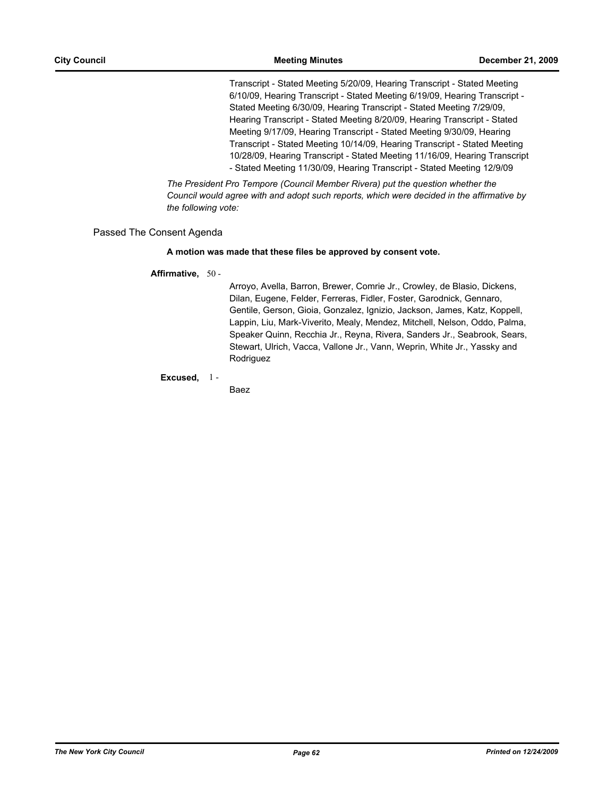Transcript - Stated Meeting 5/20/09, Hearing Transcript - Stated Meeting 6/10/09, Hearing Transcript - Stated Meeting 6/19/09, Hearing Transcript - Stated Meeting 6/30/09, Hearing Transcript - Stated Meeting 7/29/09, Hearing Transcript - Stated Meeting 8/20/09, Hearing Transcript - Stated Meeting 9/17/09, Hearing Transcript - Stated Meeting 9/30/09, Hearing Transcript - Stated Meeting 10/14/09, Hearing Transcript - Stated Meeting 10/28/09, Hearing Transcript - Stated Meeting 11/16/09, Hearing Transcript - Stated Meeting 11/30/09, Hearing Transcript - Stated Meeting 12/9/09

*The President Pro Tempore (Council Member Rivera) put the question whether the Council would agree with and adopt such reports, which were decided in the affirmative by the following vote:*

## Passed The Consent Agenda

## **A motion was made that these files be approved by consent vote.**

## **Affirmative,** 50 -

Arroyo, Avella, Barron, Brewer, Comrie Jr., Crowley, de Blasio, Dickens, Dilan, Eugene, Felder, Ferreras, Fidler, Foster, Garodnick, Gennaro, Gentile, Gerson, Gioia, Gonzalez, Ignizio, Jackson, James, Katz, Koppell, Lappin, Liu, Mark-Viverito, Mealy, Mendez, Mitchell, Nelson, Oddo, Palma, Speaker Quinn, Recchia Jr., Reyna, Rivera, Sanders Jr., Seabrook, Sears, Stewart, Ulrich, Vacca, Vallone Jr., Vann, Weprin, White Jr., Yassky and Rodriguez

**Excused,** 1 -

Baez

*The New York City Council Page 62 Printed on 12/24/2009*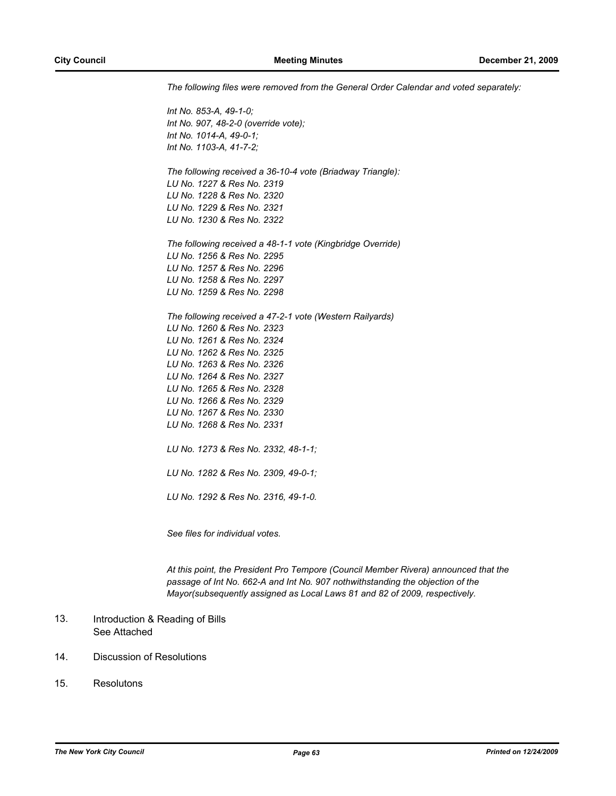*The following files were removed from the General Order Calendar and voted separately:*

*Int No. 853-A, 49-1-0; Int No. 907, 48-2-0 (override vote); Int No. 1014-A, 49-0-1; Int No. 1103-A, 41-7-2; The following received a 36-10-4 vote (Briadway Triangle): LU No. 1227 & Res No. 2319 LU No. 1228 & Res No. 2320 LU No. 1229 & Res No. 2321 LU No. 1230 & Res No. 2322 The following received a 48-1-1 vote (Kingbridge Override) LU No. 1256 & Res No. 2295 LU No. 1257 & Res No. 2296 LU No. 1258 & Res No. 2297 LU No. 1259 & Res No. 2298 The following received a 47-2-1 vote (Western Railyards) LU No. 1260 & Res No. 2323 LU No. 1261 & Res No. 2324 LU No. 1262 & Res No. 2325 LU No. 1263 & Res No. 2326 LU No. 1264 & Res No. 2327 LU No. 1265 & Res No. 2328 LU No. 1266 & Res No. 2329 LU No. 1267 & Res No. 2330 LU No. 1268 & Res No. 2331 LU No. 1273 & Res No. 2332, 48-1-1; LU No. 1282 & Res No. 2309, 49-0-1; LU No. 1292 & Res No. 2316, 49-1-0.*

*See files for individual votes.*

*At this point, the President Pro Tempore (Council Member Rivera) announced that the passage of Int No. 662-A and Int No. 907 nothwithstanding the objection of the Mayor(subsequently assigned as Local Laws 81 and 82 of 2009, respectively.*

#### Introduction & Reading of Bills See Attached 13.

- 14. Discussion of Resolutions
- 15. Resolutons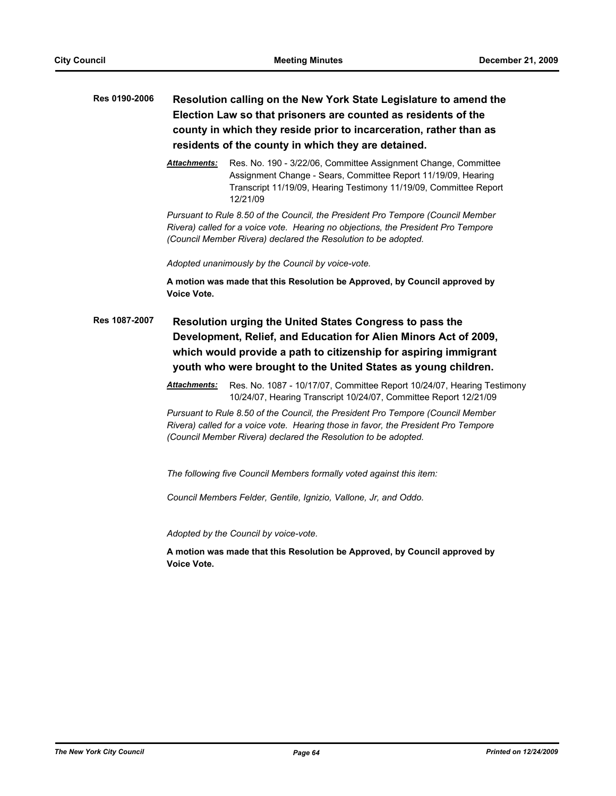# **Res 0190-2006 Resolution calling on the New York State Legislature to amend the Election Law so that prisoners are counted as residents of the county in which they reside prior to incarceration, rather than as residents of the county in which they are detained.**

*Attachments:* Res. No. 190 - 3/22/06, Committee Assignment Change, Committee Assignment Change - Sears, Committee Report 11/19/09, Hearing Transcript 11/19/09, Hearing Testimony 11/19/09, Committee Report 12/21/09

*Pursuant to Rule 8.50 of the Council, the President Pro Tempore (Council Member Rivera) called for a voice vote. Hearing no objections, the President Pro Tempore (Council Member Rivera) declared the Resolution to be adopted.*

*Adopted unanimously by the Council by voice-vote.*

**A motion was made that this Resolution be Approved, by Council approved by Voice Vote.**

**Res 1087-2007 Resolution urging the United States Congress to pass the Development, Relief, and Education for Alien Minors Act of 2009, which would provide a path to citizenship for aspiring immigrant youth who were brought to the United States as young children.**

> *Attachments:* Res. No. 1087 - 10/17/07, Committee Report 10/24/07, Hearing Testimony 10/24/07, Hearing Transcript 10/24/07, Committee Report 12/21/09

*Pursuant to Rule 8.50 of the Council, the President Pro Tempore (Council Member Rivera) called for a voice vote. Hearing those in favor, the President Pro Tempore (Council Member Rivera) declared the Resolution to be adopted.*

*The following five Council Members formally voted against this item:* 

*Council Members Felder, Gentile, Ignizio, Vallone, Jr, and Oddo.*

*Adopted by the Council by voice-vote.*

**A motion was made that this Resolution be Approved, by Council approved by Voice Vote.**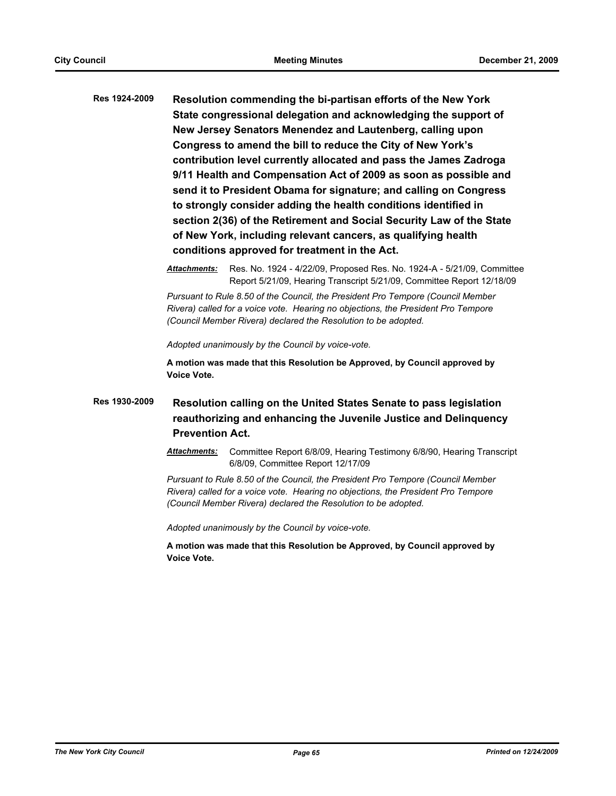**Res 1924-2009 Resolution commending the bi-partisan efforts of the New York State congressional delegation and acknowledging the support of New Jersey Senators Menendez and Lautenberg, calling upon Congress to amend the bill to reduce the City of New York's contribution level currently allocated and pass the James Zadroga 9/11 Health and Compensation Act of 2009 as soon as possible and send it to President Obama for signature; and calling on Congress to strongly consider adding the health conditions identified in section 2(36) of the Retirement and Social Security Law of the State of New York, including relevant cancers, as qualifying health conditions approved for treatment in the Act.**

> *Attachments:* Res. No. 1924 - 4/22/09, Proposed Res. No. 1924-A - 5/21/09, Committee Report 5/21/09, Hearing Transcript 5/21/09, Committee Report 12/18/09

*Pursuant to Rule 8.50 of the Council, the President Pro Tempore (Council Member Rivera) called for a voice vote. Hearing no objections, the President Pro Tempore (Council Member Rivera) declared the Resolution to be adopted.*

*Adopted unanimously by the Council by voice-vote.*

**A motion was made that this Resolution be Approved, by Council approved by Voice Vote.**

# **Res 1930-2009 Resolution calling on the United States Senate to pass legislation reauthorizing and enhancing the Juvenile Justice and Delinquency Prevention Act.**

*Attachments:* Committee Report 6/8/09, Hearing Testimony 6/8/90, Hearing Transcript 6/8/09, Committee Report 12/17/09

*Pursuant to Rule 8.50 of the Council, the President Pro Tempore (Council Member Rivera) called for a voice vote. Hearing no objections, the President Pro Tempore (Council Member Rivera) declared the Resolution to be adopted.*

*Adopted unanimously by the Council by voice-vote.*

**A motion was made that this Resolution be Approved, by Council approved by Voice Vote.**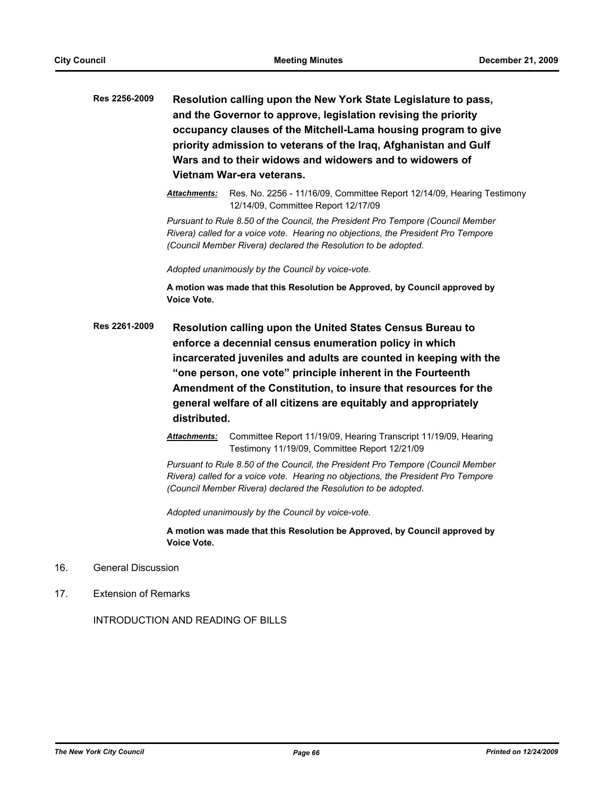- **Res 2256-2009 Resolution calling upon the New York State Legislature to pass, and the Governor to approve, legislation revising the priority occupancy clauses of the Mitchell-Lama housing program to give priority admission to veterans of the Iraq, Afghanistan and Gulf Wars and to their widows and widowers and to widowers of Vietnam War-era veterans.**
	- *Attachments:* Res. No. 2256 11/16/09, Committee Report 12/14/09, Hearing Testimony 12/14/09, Committee Report 12/17/09

*Pursuant to Rule 8.50 of the Council, the President Pro Tempore (Council Member Rivera) called for a voice vote. Hearing no objections, the President Pro Tempore (Council Member Rivera) declared the Resolution to be adopted.*

*Adopted unanimously by the Council by voice-vote.*

**A motion was made that this Resolution be Approved, by Council approved by Voice Vote.**

**Res 2261-2009 Resolution calling upon the United States Census Bureau to enforce a decennial census enumeration policy in which incarcerated juveniles and adults are counted in keeping with the "one person, one vote" principle inherent in the Fourteenth Amendment of the Constitution, to insure that resources for the general welfare of all citizens are equitably and appropriately distributed.**

> *Attachments:* Committee Report 11/19/09, Hearing Transcript 11/19/09, Hearing Testimony 11/19/09, Committee Report 12/21/09

> *Pursuant to Rule 8.50 of the Council, the President Pro Tempore (Council Member Rivera) called for a voice vote. Hearing no objections, the President Pro Tempore (Council Member Rivera) declared the Resolution to be adopted.*

*Adopted unanimously by the Council by voice-vote.*

**A motion was made that this Resolution be Approved, by Council approved by Voice Vote.**

- 16. General Discussion
- 17. Extension of Remarks

INTRODUCTION AND READING OF BILLS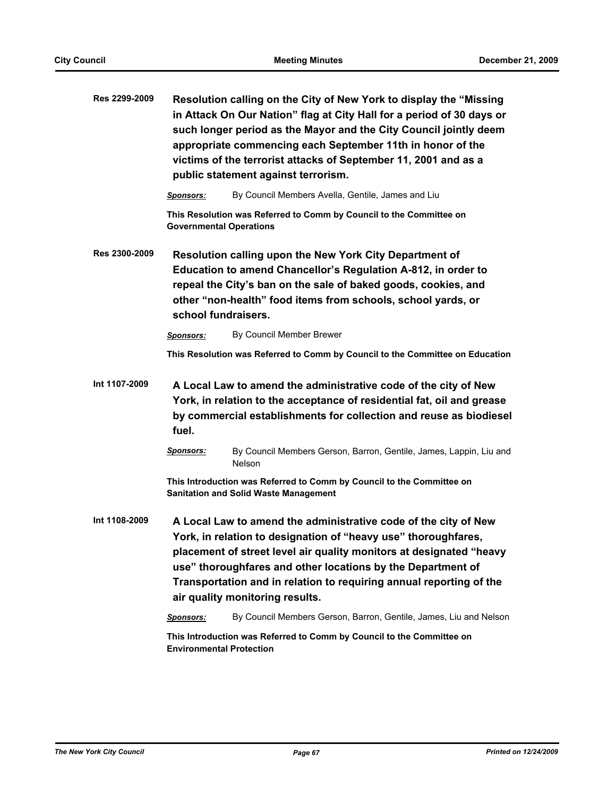| Res 2299-2009 | Resolution calling on the City of New York to display the "Missing<br>in Attack On Our Nation" flag at City Hall for a period of 30 days or<br>such longer period as the Mayor and the City Council jointly deem<br>appropriate commencing each September 11th in honor of the<br>victims of the terrorist attacks of September 11, 2001 and as a<br>public statement against terrorism. |                                                                                                                                                                                                                                                                                                                                                                                                                                                        |  |  |
|---------------|------------------------------------------------------------------------------------------------------------------------------------------------------------------------------------------------------------------------------------------------------------------------------------------------------------------------------------------------------------------------------------------|--------------------------------------------------------------------------------------------------------------------------------------------------------------------------------------------------------------------------------------------------------------------------------------------------------------------------------------------------------------------------------------------------------------------------------------------------------|--|--|
|               | <b>Sponsors:</b>                                                                                                                                                                                                                                                                                                                                                                         | By Council Members Avella, Gentile, James and Liu                                                                                                                                                                                                                                                                                                                                                                                                      |  |  |
|               | <b>Governmental Operations</b>                                                                                                                                                                                                                                                                                                                                                           | This Resolution was Referred to Comm by Council to the Committee on                                                                                                                                                                                                                                                                                                                                                                                    |  |  |
| Res 2300-2009 | Resolution calling upon the New York City Department of<br>Education to amend Chancellor's Regulation A-812, in order to<br>repeal the City's ban on the sale of baked goods, cookies, and<br>other "non-health" food items from schools, school yards, or<br>school fundraisers.                                                                                                        |                                                                                                                                                                                                                                                                                                                                                                                                                                                        |  |  |
|               | <b>Sponsors:</b>                                                                                                                                                                                                                                                                                                                                                                         | By Council Member Brewer                                                                                                                                                                                                                                                                                                                                                                                                                               |  |  |
|               |                                                                                                                                                                                                                                                                                                                                                                                          | This Resolution was Referred to Comm by Council to the Committee on Education                                                                                                                                                                                                                                                                                                                                                                          |  |  |
| Int 1107-2009 | A Local Law to amend the administrative code of the city of New<br>York, in relation to the acceptance of residential fat, oil and grease<br>by commercial establishments for collection and reuse as biodiesel<br>fuel.                                                                                                                                                                 |                                                                                                                                                                                                                                                                                                                                                                                                                                                        |  |  |
|               | <b>Sponsors:</b>                                                                                                                                                                                                                                                                                                                                                                         | By Council Members Gerson, Barron, Gentile, James, Lappin, Liu and<br><b>Nelson</b>                                                                                                                                                                                                                                                                                                                                                                    |  |  |
|               | This Introduction was Referred to Comm by Council to the Committee on<br><b>Sanitation and Solid Waste Management</b>                                                                                                                                                                                                                                                                    |                                                                                                                                                                                                                                                                                                                                                                                                                                                        |  |  |
| Int 1108-2009 | Sponsors:                                                                                                                                                                                                                                                                                                                                                                                | A Local Law to amend the administrative code of the city of New<br>York, in relation to designation of "heavy use" thoroughfares,<br>placement of street level air quality monitors at designated "heavy<br>use" thoroughfares and other locations by the Department of<br>Transportation and in relation to requiring annual reporting of the<br>air quality monitoring results.<br>By Council Members Gerson, Barron, Gentile, James, Liu and Nelson |  |  |
|               |                                                                                                                                                                                                                                                                                                                                                                                          | This Introduction was Referred to Comm by Council to the Committee on                                                                                                                                                                                                                                                                                                                                                                                  |  |  |
|               | <b>Environmental Protection</b>                                                                                                                                                                                                                                                                                                                                                          |                                                                                                                                                                                                                                                                                                                                                                                                                                                        |  |  |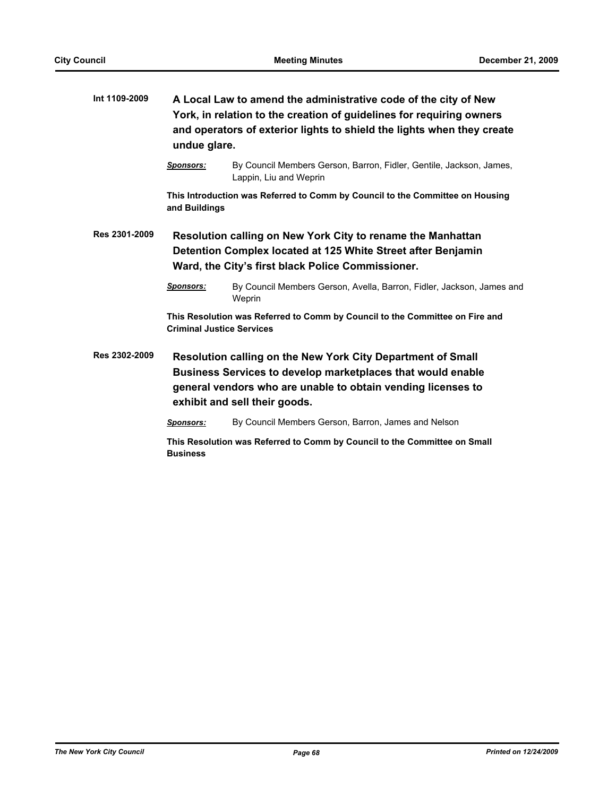| Int 1109-2009 | A Local Law to amend the administrative code of the city of New<br>York, in relation to the creation of guidelines for requiring owners<br>and operators of exterior lights to shield the lights when they create<br>undue glare. |                                                                                                                                                                                                                             |  |  |
|---------------|-----------------------------------------------------------------------------------------------------------------------------------------------------------------------------------------------------------------------------------|-----------------------------------------------------------------------------------------------------------------------------------------------------------------------------------------------------------------------------|--|--|
|               | <b>Sponsors:</b>                                                                                                                                                                                                                  | By Council Members Gerson, Barron, Fidler, Gentile, Jackson, James,<br>Lappin, Liu and Weprin                                                                                                                               |  |  |
|               | This Introduction was Referred to Comm by Council to the Committee on Housing<br>and Buildings                                                                                                                                    |                                                                                                                                                                                                                             |  |  |
| Res 2301-2009 | Resolution calling on New York City to rename the Manhattan<br>Detention Complex located at 125 White Street after Benjamin<br>Ward, the City's first black Police Commissioner.                                                  |                                                                                                                                                                                                                             |  |  |
|               | <b>Sponsors:</b>                                                                                                                                                                                                                  | By Council Members Gerson, Avella, Barron, Fidler, Jackson, James and<br>Weprin                                                                                                                                             |  |  |
|               | This Resolution was Referred to Comm by Council to the Committee on Fire and<br><b>Criminal Justice Services</b>                                                                                                                  |                                                                                                                                                                                                                             |  |  |
| Res 2302-2009 |                                                                                                                                                                                                                                   | Resolution calling on the New York City Department of Small<br>Business Services to develop marketplaces that would enable<br>general vendors who are unable to obtain vending licenses to<br>exhibit and sell their goods. |  |  |
|               | <b>Sponsors:</b>                                                                                                                                                                                                                  | By Council Members Gerson, Barron, James and Nelson                                                                                                                                                                         |  |  |
|               | This Resolution was Referred to Comm by Council to the Committee on Small<br><b>Business</b>                                                                                                                                      |                                                                                                                                                                                                                             |  |  |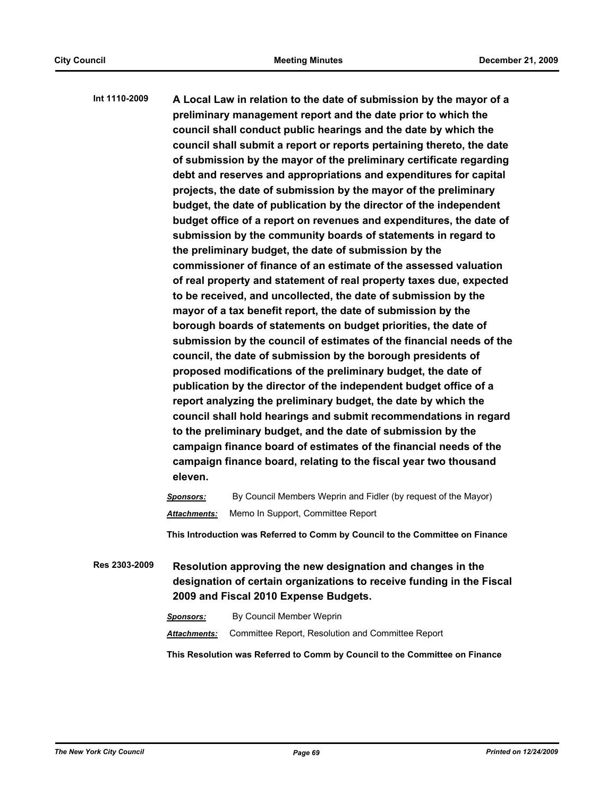**Int 1110-2009 A Local Law in relation to the date of submission by the mayor of a preliminary management report and the date prior to which the council shall conduct public hearings and the date by which the council shall submit a report or reports pertaining thereto, the date of submission by the mayor of the preliminary certificate regarding debt and reserves and appropriations and expenditures for capital projects, the date of submission by the mayor of the preliminary budget, the date of publication by the director of the independent budget office of a report on revenues and expenditures, the date of submission by the community boards of statements in regard to the preliminary budget, the date of submission by the commissioner of finance of an estimate of the assessed valuation of real property and statement of real property taxes due, expected to be received, and uncollected, the date of submission by the mayor of a tax benefit report, the date of submission by the borough boards of statements on budget priorities, the date of submission by the council of estimates of the financial needs of the council, the date of submission by the borough presidents of proposed modifications of the preliminary budget, the date of publication by the director of the independent budget office of a report analyzing the preliminary budget, the date by which the council shall hold hearings and submit recommendations in regard to the preliminary budget, and the date of submission by the campaign finance board of estimates of the financial needs of the campaign finance board, relating to the fiscal year two thousand eleven.**

> *Sponsors:* By Council Members Weprin and Fidler (by request of the Mayor) *Attachments:* Memo In Support, Committee Report

**This Introduction was Referred to Comm by Council to the Committee on Finance**

**Res 2303-2009 Resolution approving the new designation and changes in the designation of certain organizations to receive funding in the Fiscal 2009 and Fiscal 2010 Expense Budgets.**

*Sponsors:* By Council Member Weprin

*Attachments:* Committee Report, Resolution and Committee Report

**This Resolution was Referred to Comm by Council to the Committee on Finance**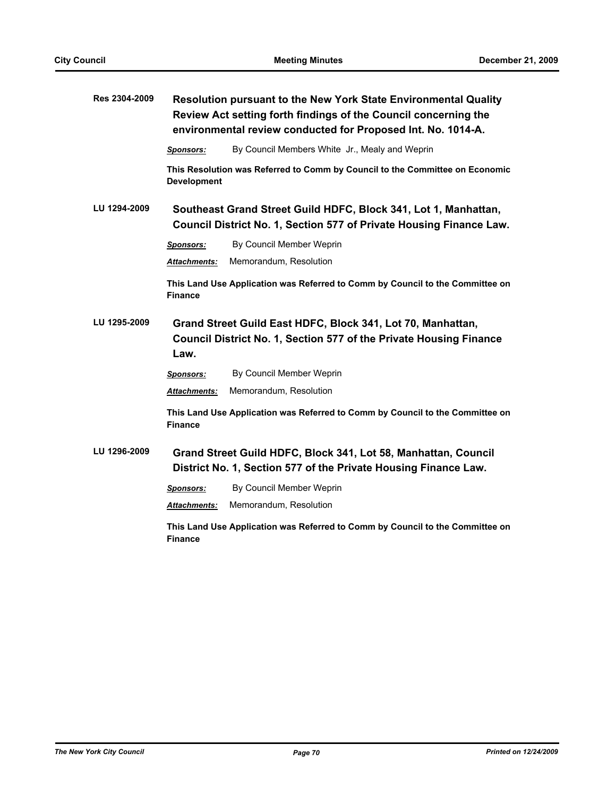| Res 2304-2009 | Resolution pursuant to the New York State Environmental Quality<br>Review Act setting forth findings of the Council concerning the<br>environmental review conducted for Proposed Int. No. 1014-A. |                                                                               |  |
|---------------|----------------------------------------------------------------------------------------------------------------------------------------------------------------------------------------------------|-------------------------------------------------------------------------------|--|
|               | <b>Sponsors:</b>                                                                                                                                                                                   | By Council Members White Jr., Mealy and Weprin                                |  |
|               | <b>Development</b>                                                                                                                                                                                 | This Resolution was Referred to Comm by Council to the Committee on Economic  |  |
| LU 1294-2009  | Southeast Grand Street Guild HDFC, Block 341, Lot 1, Manhattan,<br>Council District No. 1, Section 577 of Private Housing Finance Law.                                                             |                                                                               |  |
|               | <b>Sponsors:</b>                                                                                                                                                                                   | By Council Member Weprin                                                      |  |
|               | Attachments:                                                                                                                                                                                       | Memorandum, Resolution                                                        |  |
|               | <b>Finance</b>                                                                                                                                                                                     | This Land Use Application was Referred to Comm by Council to the Committee on |  |
| LU 1295-2009  | Grand Street Guild East HDFC, Block 341, Lot 70, Manhattan,<br>Council District No. 1, Section 577 of the Private Housing Finance<br>Law.                                                          |                                                                               |  |
|               | Sponsors:                                                                                                                                                                                          | By Council Member Weprin                                                      |  |
|               | <b>Attachments:</b>                                                                                                                                                                                | Memorandum, Resolution                                                        |  |
|               | <b>Finance</b>                                                                                                                                                                                     | This Land Use Application was Referred to Comm by Council to the Committee on |  |
| LU 1296-2009  | Grand Street Guild HDFC, Block 341, Lot 58, Manhattan, Council<br>District No. 1, Section 577 of the Private Housing Finance Law.                                                                  |                                                                               |  |
|               | <b>Sponsors:</b>                                                                                                                                                                                   | By Council Member Weprin                                                      |  |
|               | Attachments:                                                                                                                                                                                       | Memorandum, Resolution                                                        |  |
|               |                                                                                                                                                                                                    | This Land Use Application was Referred to Comm by Council to the Committee on |  |

**This Land Use Application was Referred to Comm by Council to the Committee on Finance**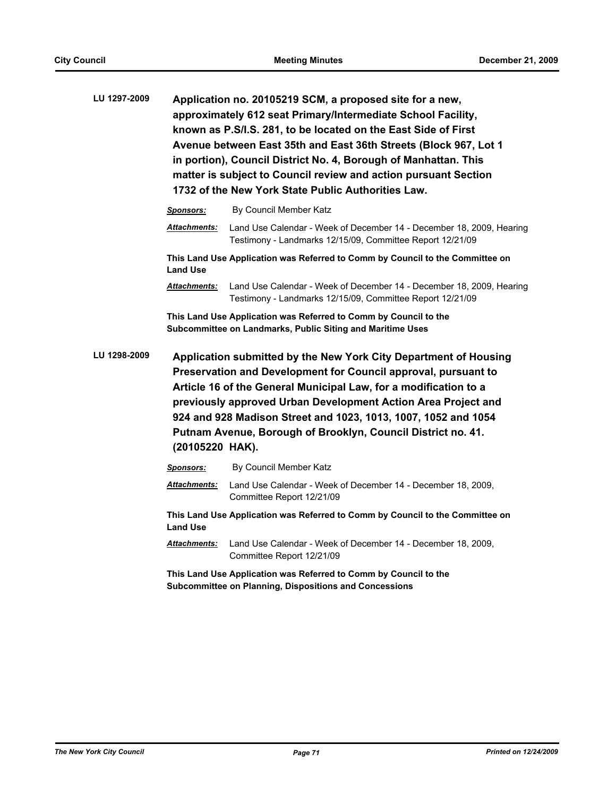| LU 1297-2009 | Application no. 20105219 SCM, a proposed site for a new,<br>approximately 612 seat Primary/Intermediate School Facility,<br>known as P.S/I.S. 281, to be located on the East Side of First<br>Avenue between East 35th and East 36th Streets (Block 967, Lot 1<br>in portion), Council District No. 4, Borough of Manhattan. This<br>matter is subject to Council review and action pursuant Section<br>1732 of the New York State Public Authorities Law. |                                                                                                                                   |
|--------------|------------------------------------------------------------------------------------------------------------------------------------------------------------------------------------------------------------------------------------------------------------------------------------------------------------------------------------------------------------------------------------------------------------------------------------------------------------|-----------------------------------------------------------------------------------------------------------------------------------|
|              | Sponsors:                                                                                                                                                                                                                                                                                                                                                                                                                                                  | By Council Member Katz                                                                                                            |
|              | <b>Attachments:</b>                                                                                                                                                                                                                                                                                                                                                                                                                                        | Land Use Calendar - Week of December 14 - December 18, 2009, Hearing<br>Testimony - Landmarks 12/15/09, Committee Report 12/21/09 |
|              | This Land Use Application was Referred to Comm by Council to the Committee on<br><b>Land Use</b>                                                                                                                                                                                                                                                                                                                                                           |                                                                                                                                   |
|              | <u>Attachments:</u>                                                                                                                                                                                                                                                                                                                                                                                                                                        | Land Use Calendar - Week of December 14 - December 18, 2009, Hearing<br>Testimony - Landmarks 12/15/09, Committee Report 12/21/09 |
|              | This Land Use Application was Referred to Comm by Council to the<br>Subcommittee on Landmarks, Public Siting and Maritime Uses                                                                                                                                                                                                                                                                                                                             |                                                                                                                                   |
| LU 1298-2009 | Application submitted by the New York City Department of Housing<br>Preservation and Development for Council approval, pursuant to<br>Article 16 of the General Municipal Law, for a modification to a<br>previously approved Urban Development Action Area Project and<br>924 and 928 Madison Street and 1023, 1013, 1007, 1052 and 1054<br>Putnam Avenue, Borough of Brooklyn, Council District no. 41.<br>(20105220 HAK).                               |                                                                                                                                   |
|              | <u>Sponsors:</u>                                                                                                                                                                                                                                                                                                                                                                                                                                           | By Council Member Katz                                                                                                            |
|              | <b>Attachments:</b>                                                                                                                                                                                                                                                                                                                                                                                                                                        | Land Use Calendar - Week of December 14 - December 18, 2009,<br>Committee Report 12/21/09                                         |
|              | This Land Use Application was Referred to Comm by Council to the Committee on<br><b>Land Use</b>                                                                                                                                                                                                                                                                                                                                                           |                                                                                                                                   |
|              | <b>Attachments:</b>                                                                                                                                                                                                                                                                                                                                                                                                                                        | Land Use Calendar - Week of December 14 - December 18, 2009,<br>Committee Report 12/21/09                                         |
|              | This Land Use Application was Referred to Comm by Council to the<br>Subcommittee on Planning, Dispositions and Concessions                                                                                                                                                                                                                                                                                                                                 |                                                                                                                                   |